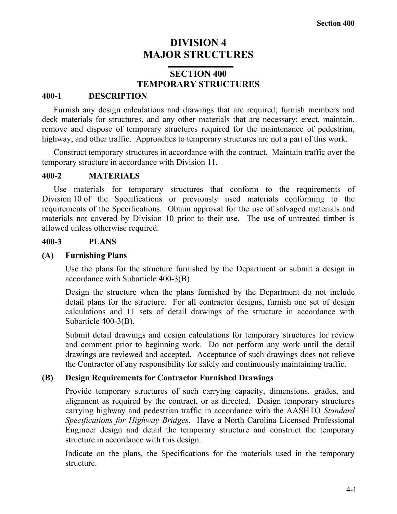# **DIVISION 4 MAJOR STRUCTURES**

# **SECTION 400 TEMPORARY STRUCTURES**

## **400-1 DESCRIPTION**

Furnish any design calculations and drawings that are required; furnish members and deck materials for structures, and any other materials that are necessary; erect, maintain, remove and dispose of temporary structures required for the maintenance of pedestrian, highway, and other traffic. Approaches to temporary structures are not a part of this work.

Construct temporary structures in accordance with the contract. Maintain traffic over the temporary structure in accordance with Division 11.

## **400-2 MATERIALS**

Use materials for temporary structures that conform to the requirements of Division 10 of the Specifications or previously used materials conforming to the requirements of the Specifications. Obtain approval for the use of salvaged materials and materials not covered by Division 10 prior to their use. The use of untreated timber is allowed unless otherwise required.

## **400-3 PLANS**

## **(A) Furnishing Plans**

Use the plans for the structure furnished by the Department or submit a design in accordance with Subarticle 400-3(B)

Design the structure when the plans furnished by the Department do not include detail plans for the structure. For all contractor designs, furnish one set of design calculations and 11 sets of detail drawings of the structure in accordance with Subarticle 400-3(B).

Submit detail drawings and design calculations for temporary structures for review and comment prior to beginning work. Do not perform any work until the detail drawings are reviewed and accepted. Acceptance of such drawings does not relieve the Contractor of any responsibility for safely and continuously maintaining traffic.

## **(B) Design Requirements for Contractor Furnished Drawings**

Provide temporary structures of such carrying capacity, dimensions, grades, and alignment as required by the contract, or as directed. Design temporary structures carrying highway and pedestrian traffic in accordance with the AASHTO *Standard Specifications for Highway Bridges*. Have a North Carolina Licensed Professional Engineer design and detail the temporary structure and construct the temporary structure in accordance with this design.

Indicate on the plans, the Specifications for the materials used in the temporary structure.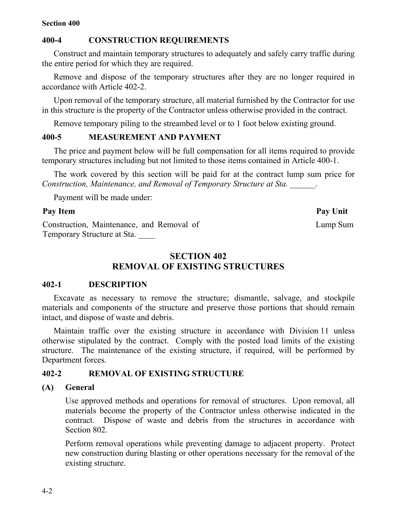## **Section 400**

# **400-4 CONSTRUCTION REQUIREMENTS**

Construct and maintain temporary structures to adequately and safely carry traffic during the entire period for which they are required.

Remove and dispose of the temporary structures after they are no longer required in accordance with Article 402-2.

Upon removal of the temporary structure, all material furnished by the Contractor for use in this structure is the property of the Contractor unless otherwise provided in the contract.

Remove temporary piling to the streambed level or to 1 foot below existing ground.

## **400-5 MEASUREMENT AND PAYMENT**

The price and payment below will be full compensation for all items required to provide temporary structures including but not limited to those items contained in Article 400-1.

The work covered by this section will be paid for at the contract lump sum price for *Construction, Maintenance, and Removal of Temporary Structure at Sta. \_\_\_\_\_\_*.

Payment will be made under:

# Pay Item Pay Unit

Construction, Maintenance, and Removal of Temporary Structure at Sta. \_\_\_\_

# **SECTION 402 REMOVAL OF EXISTING STRUCTURES**

# **402-1 DESCRIPTION**

Excavate as necessary to remove the structure; dismantle, salvage, and stockpile materials and components of the structure and preserve those portions that should remain intact, and dispose of waste and debris.

Maintain traffic over the existing structure in accordance with Division 11 unless otherwise stipulated by the contract. Comply with the posted load limits of the existing structure. The maintenance of the existing structure, if required, will be performed by Department forces.

# **402-2 REMOVAL OF EXISTING STRUCTURE**

# **(A) General**

Use approved methods and operations for removal of structures. Upon removal, all materials become the property of the Contractor unless otherwise indicated in the contract. Dispose of waste and debris from the structures in accordance with Section 802.

Perform removal operations while preventing damage to adjacent property. Protect new construction during blasting or other operations necessary for the removal of the existing structure.

Lump Sum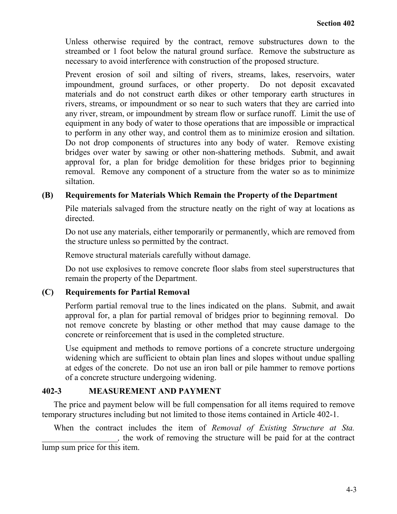Unless otherwise required by the contract, remove substructures down to the streambed or 1 foot below the natural ground surface. Remove the substructure as necessary to avoid interference with construction of the proposed structure.

Prevent erosion of soil and silting of rivers, streams, lakes, reservoirs, water impoundment, ground surfaces, or other property. Do not deposit excavated materials and do not construct earth dikes or other temporary earth structures in rivers, streams, or impoundment or so near to such waters that they are carried into any river, stream, or impoundment by stream flow or surface runoff. Limit the use of equipment in any body of water to those operations that are impossible or impractical to perform in any other way, and control them as to minimize erosion and siltation. Do not drop components of structures into any body of water. Remove existing bridges over water by sawing or other non-shattering methods. Submit, and await approval for, a plan for bridge demolition for these bridges prior to beginning removal. Remove any component of a structure from the water so as to minimize siltation.

## **(B) Requirements for Materials Which Remain the Property of the Department**

Pile materials salvaged from the structure neatly on the right of way at locations as directed.

Do not use any materials, either temporarily or permanently, which are removed from the structure unless so permitted by the contract.

Remove structural materials carefully without damage.

Do not use explosives to remove concrete floor slabs from steel superstructures that remain the property of the Department.

# **(C) Requirements for Partial Removal**

Perform partial removal true to the lines indicated on the plans. Submit, and await approval for, a plan for partial removal of bridges prior to beginning removal. Do not remove concrete by blasting or other method that may cause damage to the concrete or reinforcement that is used in the completed structure.

Use equipment and methods to remove portions of a concrete structure undergoing widening which are sufficient to obtain plan lines and slopes without undue spalling at edges of the concrete. Do not use an iron ball or pile hammer to remove portions of a concrete structure undergoing widening.

## **402-3 MEASUREMENT AND PAYMENT**

The price and payment below will be full compensation for all items required to remove temporary structures including but not limited to those items contained in Article 402-1.

When the contract includes the item of *Removal of Existing Structure at Sta. \_\_\_\_\_\_\_\_\_\_\_\_\_\_\_\_\_\_,* the work of removing the structure will be paid for at the contract lump sum price for this item.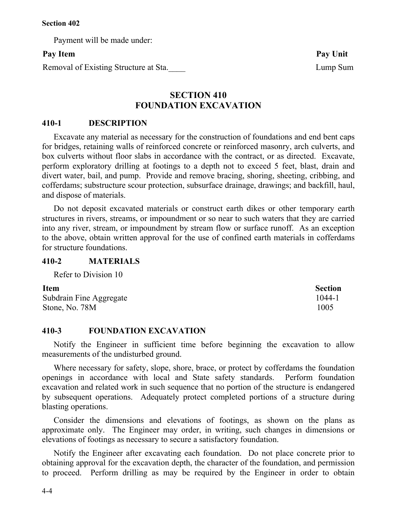Payment will be made under:

# **Pay Item Pay Unit**

Removal of Existing Structure at Sta. Lump Sum

# **SECTION 410 FOUNDATION EXCAVATION**

## **410-1 DESCRIPTION**

Excavate any material as necessary for the construction of foundations and end bent caps for bridges, retaining walls of reinforced concrete or reinforced masonry, arch culverts, and box culverts without floor slabs in accordance with the contract, or as directed. Excavate, perform exploratory drilling at footings to a depth not to exceed 5 feet, blast, drain and divert water, bail, and pump. Provide and remove bracing, shoring, sheeting, cribbing, and cofferdams; substructure scour protection, subsurface drainage, drawings; and backfill, haul, and dispose of materials.

Do not deposit excavated materials or construct earth dikes or other temporary earth structures in rivers, streams, or impoundment or so near to such waters that they are carried into any river, stream, or impoundment by stream flow or surface runoff. As an exception to the above, obtain written approval for the use of confined earth materials in cofferdams for structure foundations.

## **410-2 MATERIALS**

Refer to Division 10

| <b>Item</b>             | <b>Section</b> |
|-------------------------|----------------|
| Subdrain Fine Aggregate | 1044-1         |
| Stone, No. 78M          | 1005           |

# **410-3 FOUNDATION EXCAVATION**

Notify the Engineer in sufficient time before beginning the excavation to allow measurements of the undisturbed ground.

Where necessary for safety, slope, shore, brace, or protect by cofferdams the foundation openings in accordance with local and State safety standards. Perform foundation excavation and related work in such sequence that no portion of the structure is endangered by subsequent operations. Adequately protect completed portions of a structure during blasting operations.

Consider the dimensions and elevations of footings, as shown on the plans as approximate only. The Engineer may order, in writing, such changes in dimensions or elevations of footings as necessary to secure a satisfactory foundation.

Notify the Engineer after excavating each foundation. Do not place concrete prior to obtaining approval for the excavation depth, the character of the foundation, and permission to proceed. Perform drilling as may be required by the Engineer in order to obtain

4-4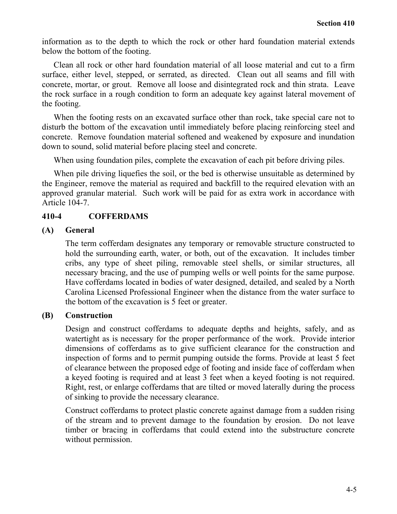information as to the depth to which the rock or other hard foundation material extends below the bottom of the footing.

Clean all rock or other hard foundation material of all loose material and cut to a firm surface, either level, stepped, or serrated, as directed. Clean out all seams and fill with concrete, mortar, or grout. Remove all loose and disintegrated rock and thin strata. Leave the rock surface in a rough condition to form an adequate key against lateral movement of the footing.

When the footing rests on an excavated surface other than rock, take special care not to disturb the bottom of the excavation until immediately before placing reinforcing steel and concrete. Remove foundation material softened and weakened by exposure and inundation down to sound, solid material before placing steel and concrete.

When using foundation piles, complete the excavation of each pit before driving piles.

When pile driving liquefies the soil, or the bed is otherwise unsuitable as determined by the Engineer, remove the material as required and backfill to the required elevation with an approved granular material. Such work will be paid for as extra work in accordance with Article 104-7.

# **410-4 COFFERDAMS**

## **(A) General**

The term cofferdam designates any temporary or removable structure constructed to hold the surrounding earth, water, or both, out of the excavation. It includes timber cribs, any type of sheet piling, removable steel shells, or similar structures, all necessary bracing, and the use of pumping wells or well points for the same purpose. Have cofferdams located in bodies of water designed, detailed, and sealed by a North Carolina Licensed Professional Engineer when the distance from the water surface to the bottom of the excavation is 5 feet or greater.

## **(B) Construction**

Design and construct cofferdams to adequate depths and heights, safely, and as watertight as is necessary for the proper performance of the work. Provide interior dimensions of cofferdams as to give sufficient clearance for the construction and inspection of forms and to permit pumping outside the forms. Provide at least 5 feet of clearance between the proposed edge of footing and inside face of cofferdam when a keyed footing is required and at least 3 feet when a keyed footing is not required. Right, rest, or enlarge cofferdams that are tilted or moved laterally during the process of sinking to provide the necessary clearance.

Construct cofferdams to protect plastic concrete against damage from a sudden rising of the stream and to prevent damage to the foundation by erosion. Do not leave timber or bracing in cofferdams that could extend into the substructure concrete without permission.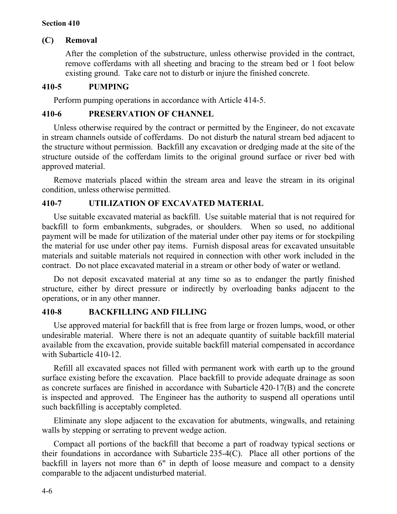## **Section 410**

## **(C) Removal**

After the completion of the substructure, unless otherwise provided in the contract, remove cofferdams with all sheeting and bracing to the stream bed or 1 foot below existing ground. Take care not to disturb or injure the finished concrete.

## **410-5 PUMPING**

Perform pumping operations in accordance with Article 414-5.

## **410-6 PRESERVATION OF CHANNEL**

Unless otherwise required by the contract or permitted by the Engineer, do not excavate in stream channels outside of cofferdams. Do not disturb the natural stream bed adjacent to the structure without permission. Backfill any excavation or dredging made at the site of the structure outside of the cofferdam limits to the original ground surface or river bed with approved material.

Remove materials placed within the stream area and leave the stream in its original condition, unless otherwise permitted.

## **410-7 UTILIZATION OF EXCAVATED MATERIAL**

Use suitable excavated material as backfill. Use suitable material that is not required for backfill to form embankments, subgrades, or shoulders. When so used, no additional payment will be made for utilization of the material under other pay items or for stockpiling the material for use under other pay items. Furnish disposal areas for excavated unsuitable materials and suitable materials not required in connection with other work included in the contract. Do not place excavated material in a stream or other body of water or wetland.

Do not deposit excavated material at any time so as to endanger the partly finished structure, either by direct pressure or indirectly by overloading banks adjacent to the operations, or in any other manner.

## **410-8 BACKFILLING AND FILLING**

Use approved material for backfill that is free from large or frozen lumps, wood, or other undesirable material. Where there is not an adequate quantity of suitable backfill material available from the excavation, provide suitable backfill material compensated in accordance with Subarticle 410-12.

Refill all excavated spaces not filled with permanent work with earth up to the ground surface existing before the excavation. Place backfill to provide adequate drainage as soon as concrete surfaces are finished in accordance with Subarticle 420-17(B) and the concrete is inspected and approved. The Engineer has the authority to suspend all operations until such backfilling is acceptably completed.

Eliminate any slope adjacent to the excavation for abutments, wingwalls, and retaining walls by stepping or serrating to prevent wedge action.

Compact all portions of the backfill that become a part of roadway typical sections or their foundations in accordance with Subarticle 235-4(C). Place all other portions of the backfill in layers not more than 6" in depth of loose measure and compact to a density comparable to the adjacent undisturbed material.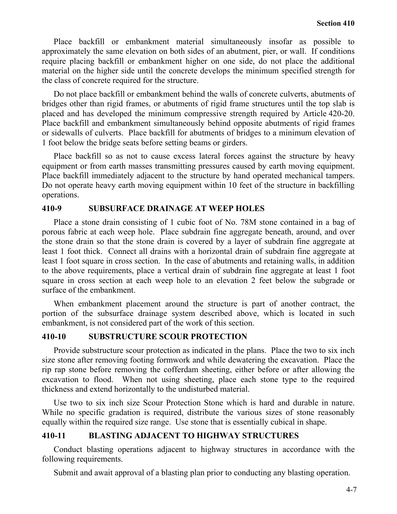Place backfill or embankment material simultaneously insofar as possible to approximately the same elevation on both sides of an abutment, pier, or wall. If conditions require placing backfill or embankment higher on one side, do not place the additional material on the higher side until the concrete develops the minimum specified strength for the class of concrete required for the structure.

Do not place backfill or embankment behind the walls of concrete culverts, abutments of bridges other than rigid frames, or abutments of rigid frame structures until the top slab is placed and has developed the minimum compressive strength required by Article 420-20. Place backfill and embankment simultaneously behind opposite abutments of rigid frames or sidewalls of culverts. Place backfill for abutments of bridges to a minimum elevation of 1 foot below the bridge seats before setting beams or girders.

Place backfill so as not to cause excess lateral forces against the structure by heavy equipment or from earth masses transmitting pressures caused by earth moving equipment. Place backfill immediately adjacent to the structure by hand operated mechanical tampers. Do not operate heavy earth moving equipment within 10 feet of the structure in backfilling operations.

# **410-9 SUBSURFACE DRAINAGE AT WEEP HOLES**

Place a stone drain consisting of 1 cubic foot of No. 78M stone contained in a bag of porous fabric at each weep hole. Place subdrain fine aggregate beneath, around, and over the stone drain so that the stone drain is covered by a layer of subdrain fine aggregate at least 1 foot thick. Connect all drains with a horizontal drain of subdrain fine aggregate at least 1 foot square in cross section. In the case of abutments and retaining walls, in addition to the above requirements, place a vertical drain of subdrain fine aggregate at least 1 foot square in cross section at each weep hole to an elevation 2 feet below the subgrade or surface of the embankment.

When embankment placement around the structure is part of another contract, the portion of the subsurface drainage system described above, which is located in such embankment, is not considered part of the work of this section.

## **410-10 SUBSTRUCTURE SCOUR PROTECTION**

Provide substructure scour protection as indicated in the plans. Place the two to six inch size stone after removing footing formwork and while dewatering the excavation. Place the rip rap stone before removing the cofferdam sheeting, either before or after allowing the excavation to flood. When not using sheeting, place each stone type to the required thickness and extend horizontally to the undisturbed material.

Use two to six inch size Scour Protection Stone which is hard and durable in nature. While no specific gradation is required, distribute the various sizes of stone reasonably equally within the required size range. Use stone that is essentially cubical in shape.

# **410-11 BLASTING ADJACENT TO HIGHWAY STRUCTURES**

Conduct blasting operations adjacent to highway structures in accordance with the following requirements.

Submit and await approval of a blasting plan prior to conducting any blasting operation.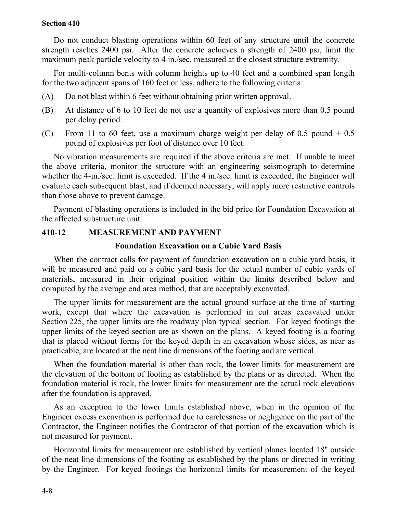#### **Section 410**

Do not conduct blasting operations within 60 feet of any structure until the concrete strength reaches 2400 psi. After the concrete achieves a strength of 2400 psi, limit the maximum peak particle velocity to 4 in./sec. measured at the closest structure extremity.

For multi-column bents with column heights up to 40 feet and a combined span length for the two adjacent spans of 160 feet or less, adhere to the following criteria:

- (A) Do not blast within 6 feet without obtaining prior written approval.
- (B) At distance of 6 to 10 feet do not use a quantity of explosives more than 0.5 pound per delay period.
- (C) From 11 to 60 feet, use a maximum charge weight per delay of 0.5 pound  $+$  0.5 pound of explosives per foot of distance over 10 feet.

No vibration measurements are required if the above criteria are met. If unable to meet the above criteria, monitor the structure with an engineering seismograph to determine whether the 4-in./sec. limit is exceeded. If the 4 in./sec. limit is exceeded, the Engineer will evaluate each subsequent blast, and if deemed necessary, will apply more restrictive controls than those above to prevent damage.

Payment of blasting operations is included in the bid price for Foundation Excavation at the affected substructure unit.

## **410-12 MEASUREMENT AND PAYMENT**

#### **Foundation Excavation on a Cubic Yard Basis**

When the contract calls for payment of foundation excavation on a cubic yard basis, it will be measured and paid on a cubic yard basis for the actual number of cubic yards of materials, measured in their original position within the limits described below and computed by the average end area method, that are acceptably excavated.

The upper limits for measurement are the actual ground surface at the time of starting work, except that where the excavation is performed in cut areas excavated under Section 225, the upper limits are the roadway plan typical section. For keyed footings the upper limits of the keyed section are as shown on the plans. A keyed footing is a footing that is placed without forms for the keyed depth in an excavation whose sides, as near as practicable, are located at the neat line dimensions of the footing and are vertical.

When the foundation material is other than rock, the lower limits for measurement are the elevation of the bottom of footing as established by the plans or as directed. When the foundation material is rock, the lower limits for measurement are the actual rock elevations after the foundation is approved.

As an exception to the lower limits established above, when in the opinion of the Engineer excess excavation is performed due to carelessness or negligence on the part of the Contractor, the Engineer notifies the Contractor of that portion of the excavation which is not measured for payment.

Horizontal limits for measurement are established by vertical planes located 18" outside of the neat line dimensions of the footing as established by the plans or directed in writing by the Engineer. For keyed footings the horizontal limits for measurement of the keyed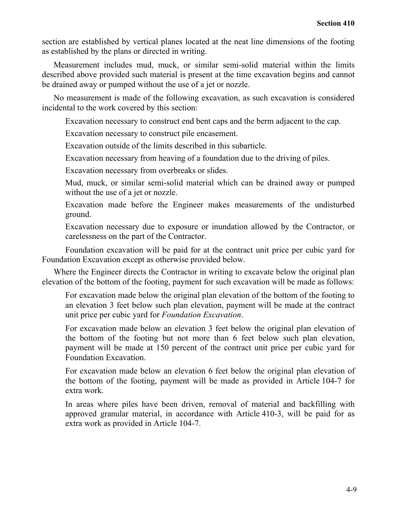section are established by vertical planes located at the neat line dimensions of the footing as established by the plans or directed in writing.

Measurement includes mud, muck, or similar semi-solid material within the limits described above provided such material is present at the time excavation begins and cannot be drained away or pumped without the use of a jet or nozzle.

No measurement is made of the following excavation, as such excavation is considered incidental to the work covered by this section:

Excavation necessary to construct end bent caps and the berm adjacent to the cap.

Excavation necessary to construct pile encasement.

Excavation outside of the limits described in this subarticle.

Excavation necessary from heaving of a foundation due to the driving of piles.

Excavation necessary from overbreaks or slides.

Mud, muck, or similar semi-solid material which can be drained away or pumped without the use of a jet or nozzle.

Excavation made before the Engineer makes measurements of the undisturbed ground.

Excavation necessary due to exposure or inundation allowed by the Contractor, or carelessness on the part of the Contractor.

Foundation excavation will be paid for at the contract unit price per cubic yard for Foundation Excavation except as otherwise provided below.

Where the Engineer directs the Contractor in writing to excavate below the original plan elevation of the bottom of the footing, payment for such excavation will be made as follows:

For excavation made below the original plan elevation of the bottom of the footing to an elevation 3 feet below such plan elevation, payment will be made at the contract unit price per cubic yard for *Foundation Excavation*.

For excavation made below an elevation 3 feet below the original plan elevation of the bottom of the footing but not more than 6 feet below such plan elevation, payment will be made at 150 percent of the contract unit price per cubic yard for Foundation Excavation.

For excavation made below an elevation 6 feet below the original plan elevation of the bottom of the footing, payment will be made as provided in Article 104-7 for extra work.

In areas where piles have been driven, removal of material and backfilling with approved granular material, in accordance with Article 410-3, will be paid for as extra work as provided in Article 104-7.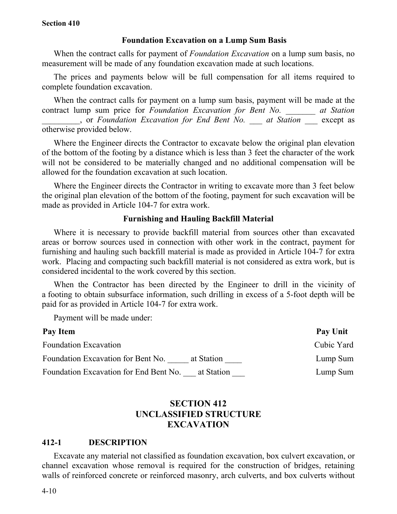#### **Section 410**

### **Foundation Excavation on a Lump Sum Basis**

When the contract calls for payment of *Foundation Excavation* on a lump sum basis, no measurement will be made of any foundation excavation made at such locations.

The prices and payments below will be full compensation for all items required to complete foundation excavation.

When the contract calls for payment on a lump sum basis, payment will be made at the contract lump sum price for *Foundation Excavation for Bent No. at Station \_\_\_\_\_\_\_\_\_*, or *Foundation Excavation for End Bent No. \_\_\_ at Station* \_\_\_ except as otherwise provided below.

Where the Engineer directs the Contractor to excavate below the original plan elevation of the bottom of the footing by a distance which is less than 3 feet the character of the work will not be considered to be materially changed and no additional compensation will be allowed for the foundation excavation at such location.

Where the Engineer directs the Contractor in writing to excavate more than 3 feet below the original plan elevation of the bottom of the footing, payment for such excavation will be made as provided in Article 104-7 for extra work.

#### **Furnishing and Hauling Backfill Material**

Where it is necessary to provide backfill material from sources other than excavated areas or borrow sources used in connection with other work in the contract, payment for furnishing and hauling such backfill material is made as provided in Article 104-7 for extra work. Placing and compacting such backfill material is not considered as extra work, but is considered incidental to the work covered by this section.

When the Contractor has been directed by the Engineer to drill in the vicinity of a footing to obtain subsurface information, such drilling in excess of a 5-foot depth will be paid for as provided in Article 104-7 for extra work.

Payment will be made under:

| Pay Item                                             | Pay Unit   |
|------------------------------------------------------|------------|
| <b>Foundation Excavation</b>                         | Cubic Yard |
| Foundation Excavation for Bent No.<br>at Station     | Lump Sum   |
| Foundation Excavation for End Bent No.<br>at Station | Lump Sum   |

# **SECTION 412 UNCLASSIFIED STRUCTURE EXCAVATION**

#### **412-1 DESCRIPTION**

Excavate any material not classified as foundation excavation, box culvert excavation, or channel excavation whose removal is required for the construction of bridges, retaining walls of reinforced concrete or reinforced masonry, arch culverts, and box culverts without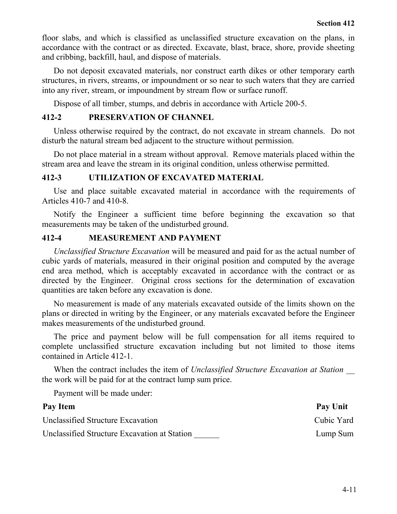floor slabs, and which is classified as unclassified structure excavation on the plans, in accordance with the contract or as directed. Excavate, blast, brace, shore, provide sheeting and cribbing, backfill, haul, and dispose of materials.

Do not deposit excavated materials, nor construct earth dikes or other temporary earth structures, in rivers, streams, or impoundment or so near to such waters that they are carried into any river, stream, or impoundment by stream flow or surface runoff.

Dispose of all timber, stumps, and debris in accordance with Article 200-5.

# **412-2 PRESERVATION OF CHANNEL**

Unless otherwise required by the contract, do not excavate in stream channels. Do not disturb the natural stream bed adjacent to the structure without permission.

Do not place material in a stream without approval. Remove materials placed within the stream area and leave the stream in its original condition, unless otherwise permitted.

# **412-3 UTILIZATION OF EXCAVATED MATERIAL**

Use and place suitable excavated material in accordance with the requirements of Articles 410-7 and 410-8.

Notify the Engineer a sufficient time before beginning the excavation so that measurements may be taken of the undisturbed ground.

# **412-4 MEASUREMENT AND PAYMENT**

*Unclassified Structure Excavation* will be measured and paid for as the actual number of cubic yards of materials, measured in their original position and computed by the average end area method, which is acceptably excavated in accordance with the contract or as directed by the Engineer. Original cross sections for the determination of excavation quantities are taken before any excavation is done.

No measurement is made of any materials excavated outside of the limits shown on the plans or directed in writing by the Engineer, or any materials excavated before the Engineer makes measurements of the undisturbed ground.

The price and payment below will be full compensation for all items required to complete unclassified structure excavation including but not limited to those items contained in Article 412-1.

When the contract includes the item of *Unclassified Structure Excavation at Station \_\_* the work will be paid for at the contract lump sum price.

Payment will be made under:

| Pay Item                                     | Pay Unit   |
|----------------------------------------------|------------|
| Unclassified Structure Excavation            | Cubic Yard |
| Unclassified Structure Excavation at Station | Lump Sum   |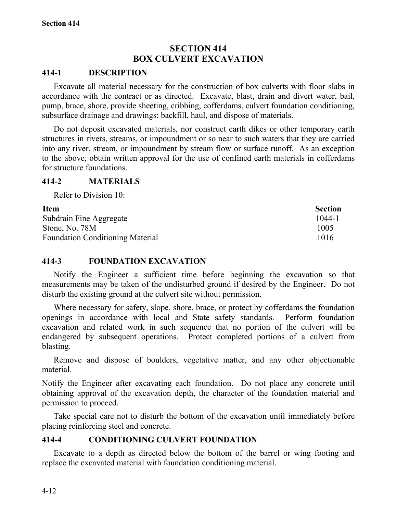# **SECTION 414 BOX CULVERT EXCAVATION**

## **414-1 DESCRIPTION**

Excavate all material necessary for the construction of box culverts with floor slabs in accordance with the contract or as directed. Excavate, blast, drain and divert water, bail, pump, brace, shore, provide sheeting, cribbing, cofferdams, culvert foundation conditioning, subsurface drainage and drawings; backfill, haul, and dispose of materials.

Do not deposit excavated materials, nor construct earth dikes or other temporary earth structures in rivers, streams, or impoundment or so near to such waters that they are carried into any river, stream, or impoundment by stream flow or surface runoff. As an exception to the above, obtain written approval for the use of confined earth materials in cofferdams for structure foundations.

## **414-2 MATERIALS**

Refer to Division 10:

| <b>Item</b>                             | <b>Section</b> |
|-----------------------------------------|----------------|
| Subdrain Fine Aggregate                 | 1044-1         |
| Stone, No. 78M                          | 1005           |
| <b>Foundation Conditioning Material</b> | 1016           |

## **414-3 FOUNDATION EXCAVATION**

Notify the Engineer a sufficient time before beginning the excavation so that measurements may be taken of the undisturbed ground if desired by the Engineer. Do not disturb the existing ground at the culvert site without permission.

Where necessary for safety, slope, shore, brace, or protect by cofferdams the foundation openings in accordance with local and State safety standards. Perform foundation excavation and related work in such sequence that no portion of the culvert will be endangered by subsequent operations. Protect completed portions of a culvert from blasting.

Remove and dispose of boulders, vegetative matter, and any other objectionable material.

Notify the Engineer after excavating each foundation. Do not place any concrete until obtaining approval of the excavation depth, the character of the foundation material and permission to proceed.

Take special care not to disturb the bottom of the excavation until immediately before placing reinforcing steel and concrete.

# **414-4 CONDITIONING CULVERT FOUNDATION**

Excavate to a depth as directed below the bottom of the barrel or wing footing and replace the excavated material with foundation conditioning material.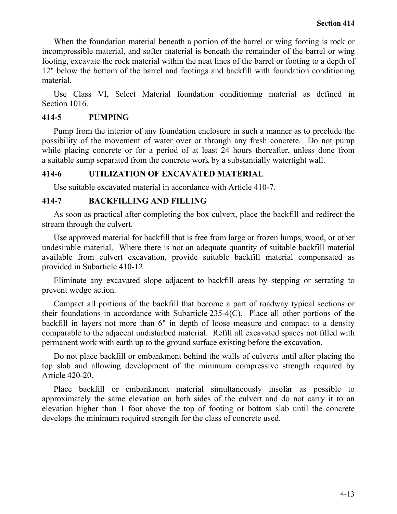When the foundation material beneath a portion of the barrel or wing footing is rock or incompressible material, and softer material is beneath the remainder of the barrel or wing footing, excavate the rock material within the neat lines of the barrel or footing to a depth of 12" below the bottom of the barrel and footings and backfill with foundation conditioning material.

Use Class VI, Select Material foundation conditioning material as defined in Section 1016.

## **414-5 PUMPING**

Pump from the interior of any foundation enclosure in such a manner as to preclude the possibility of the movement of water over or through any fresh concrete. Do not pump while placing concrete or for a period of at least 24 hours thereafter, unless done from a suitable sump separated from the concrete work by a substantially watertight wall.

## **414-6 UTILIZATION OF EXCAVATED MATERIAL**

Use suitable excavated material in accordance with Article 410-7.

## **414-7 BACKFILLING AND FILLING**

As soon as practical after completing the box culvert, place the backfill and redirect the stream through the culvert.

Use approved material for backfill that is free from large or frozen lumps, wood, or other undesirable material. Where there is not an adequate quantity of suitable backfill material available from culvert excavation, provide suitable backfill material compensated as provided in Subarticle 410-12.

Eliminate any excavated slope adjacent to backfill areas by stepping or serrating to prevent wedge action.

Compact all portions of the backfill that become a part of roadway typical sections or their foundations in accordance with Subarticle 235-4(C). Place all other portions of the backfill in layers not more than 6" in depth of loose measure and compact to a density comparable to the adjacent undisturbed material. Refill all excavated spaces not filled with permanent work with earth up to the ground surface existing before the excavation.

Do not place backfill or embankment behind the walls of culverts until after placing the top slab and allowing development of the minimum compressive strength required by Article 420-20.

Place backfill or embankment material simultaneously insofar as possible to approximately the same elevation on both sides of the culvert and do not carry it to an elevation higher than 1 foot above the top of footing or bottom slab until the concrete develops the minimum required strength for the class of concrete used.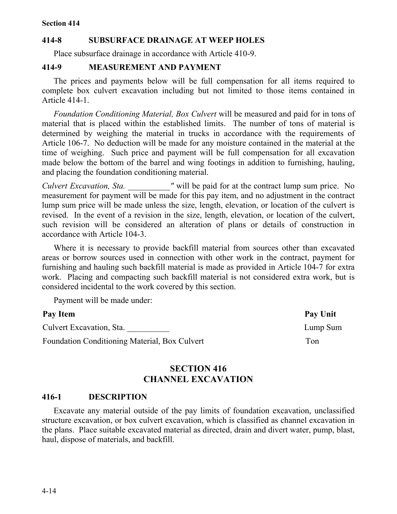# **414-8 SUBSURFACE DRAINAGE AT WEEP HOLES**

Place subsurface drainage in accordance with Article 410-9.

## **414-9 MEASUREMENT AND PAYMENT**

The prices and payments below will be full compensation for all items required to complete box culvert excavation including but not limited to those items contained in Article 414-1.

*Foundation Conditioning Material, Box Culvert* will be measured and paid for in tons of material that is placed within the established limits. The number of tons of material is determined by weighing the material in trucks in accordance with the requirements of Article 106-7. No deduction will be made for any moisture contained in the material at the time of weighing. Such price and payment will be full compensation for all excavation made below the bottom of the barrel and wing footings in addition to furnishing, hauling, and placing the foundation conditioning material.

*Culvert Excavation, Sta.* The *u* will be paid for at the contract lump sum price. No measurement for payment will be made for this pay item, and no adjustment in the contract lump sum price will be made unless the size, length, elevation, or location of the culvert is revised. In the event of a revision in the size, length, elevation, or location of the culvert, such revision will be considered an alteration of plans or details of construction in accordance with Article 104-3.

Where it is necessary to provide backfill material from sources other than excavated areas or borrow sources used in connection with other work in the contract, payment for furnishing and hauling such backfill material is made as provided in Article 104-7 for extra work. Placing and compacting such backfill material is not considered extra work, but is considered incidental to the work covered by this section.

Payment will be made under:

Culvert Excavation, Sta. **Lump Sum** 

Foundation Conditioning Material, Box Culvert Ton

Pay Item **Pay Unit** 

# **SECTION 416 CHANNEL EXCAVATION**

## **416-1 DESCRIPTION**

Excavate any material outside of the pay limits of foundation excavation, unclassified structure excavation, or box culvert excavation, which is classified as channel excavation in the plans. Place suitable excavated material as directed, drain and divert water, pump, blast, haul, dispose of materials, and backfill.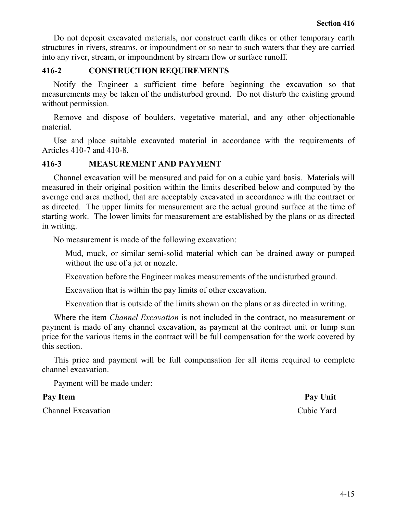Do not deposit excavated materials, nor construct earth dikes or other temporary earth structures in rivers, streams, or impoundment or so near to such waters that they are carried into any river, stream, or impoundment by stream flow or surface runoff.

## **416-2 CONSTRUCTION REQUIREMENTS**

Notify the Engineer a sufficient time before beginning the excavation so that measurements may be taken of the undisturbed ground. Do not disturb the existing ground without permission.

Remove and dispose of boulders, vegetative material, and any other objectionable material.

Use and place suitable excavated material in accordance with the requirements of Articles 410-7 and 410-8.

## **416-3 MEASUREMENT AND PAYMENT**

Channel excavation will be measured and paid for on a cubic yard basis. Materials will measured in their original position within the limits described below and computed by the average end area method, that are acceptably excavated in accordance with the contract or as directed. The upper limits for measurement are the actual ground surface at the time of starting work. The lower limits for measurement are established by the plans or as directed in writing.

No measurement is made of the following excavation:

Mud, muck, or similar semi-solid material which can be drained away or pumped without the use of a jet or nozzle.

Excavation before the Engineer makes measurements of the undisturbed ground.

Excavation that is within the pay limits of other excavation.

Excavation that is outside of the limits shown on the plans or as directed in writing.

Where the item *Channel Excavation* is not included in the contract, no measurement or payment is made of any channel excavation, as payment at the contract unit or lump sum price for the various items in the contract will be full compensation for the work covered by this section.

This price and payment will be full compensation for all items required to complete channel excavation.

Payment will be made under:

Channel Excavation Cubic Yard

Pay Item **Pay Unit**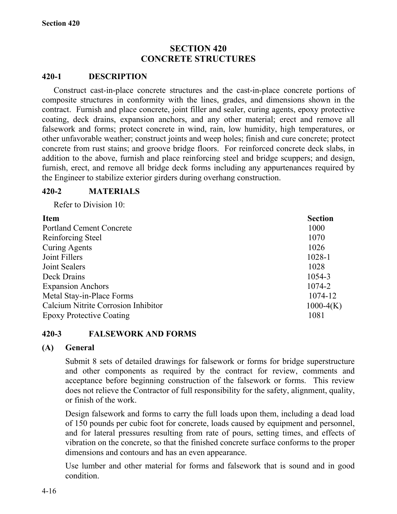# **SECTION 420 CONCRETE STRUCTURES**

## **420-1 DESCRIPTION**

Construct cast-in-place concrete structures and the cast-in-place concrete portions of composite structures in conformity with the lines, grades, and dimensions shown in the contract. Furnish and place concrete, joint filler and sealer, curing agents, epoxy protective coating, deck drains, expansion anchors, and any other material; erect and remove all falsework and forms; protect concrete in wind, rain, low humidity, high temperatures, or other unfavorable weather; construct joints and weep holes; finish and cure concrete; protect concrete from rust stains; and groove bridge floors. For reinforced concrete deck slabs, in addition to the above, furnish and place reinforcing steel and bridge scuppers; and design, furnish, erect, and remove all bridge deck forms including any appurtenances required by the Engineer to stabilize exterior girders during overhang construction.

## **420-2 MATERIALS**

Refer to Division 10:

| <b>Item</b>                         | <b>Section</b> |
|-------------------------------------|----------------|
| <b>Portland Cement Concrete</b>     | 1000           |
| Reinforcing Steel                   | 1070           |
| <b>Curing Agents</b>                | 1026           |
| Joint Fillers                       | 1028-1         |
| Joint Sealers                       | 1028           |
| Deck Drains                         | 1054-3         |
| <b>Expansion Anchors</b>            | 1074-2         |
| Metal Stay-in-Place Forms           | 1074-12        |
| Calcium Nitrite Corrosion Inhibitor | $1000-4(K)$    |
| <b>Epoxy Protective Coating</b>     | 1081           |

## **420-3 FALSEWORK AND FORMS**

## **(A) General**

Submit 8 sets of detailed drawings for falsework or forms for bridge superstructure and other components as required by the contract for review, comments and acceptance before beginning construction of the falsework or forms. This review does not relieve the Contractor of full responsibility for the safety, alignment, quality, or finish of the work.

Design falsework and forms to carry the full loads upon them, including a dead load of 150 pounds per cubic foot for concrete, loads caused by equipment and personnel, and for lateral pressures resulting from rate of pours, setting times, and effects of vibration on the concrete, so that the finished concrete surface conforms to the proper dimensions and contours and has an even appearance.

Use lumber and other material for forms and falsework that is sound and in good condition.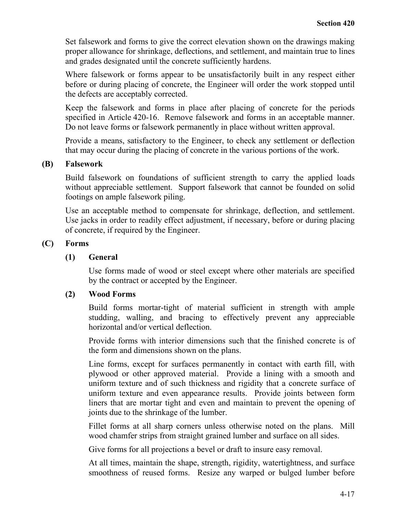Set falsework and forms to give the correct elevation shown on the drawings making proper allowance for shrinkage, deflections, and settlement, and maintain true to lines and grades designated until the concrete sufficiently hardens.

Where falsework or forms appear to be unsatisfactorily built in any respect either before or during placing of concrete, the Engineer will order the work stopped until the defects are acceptably corrected.

Keep the falsework and forms in place after placing of concrete for the periods specified in Article 420-16. Remove falsework and forms in an acceptable manner. Do not leave forms or falsework permanently in place without written approval.

Provide a means, satisfactory to the Engineer, to check any settlement or deflection that may occur during the placing of concrete in the various portions of the work.

## **(B) Falsework**

Build falsework on foundations of sufficient strength to carry the applied loads without appreciable settlement. Support falsework that cannot be founded on solid footings on ample falsework piling.

Use an acceptable method to compensate for shrinkage, deflection, and settlement. Use jacks in order to readily effect adjustment, if necessary, before or during placing of concrete, if required by the Engineer.

## **(C) Forms**

## **(1) General**

Use forms made of wood or steel except where other materials are specified by the contract or accepted by the Engineer.

## **(2) Wood Forms**

Build forms mortar-tight of material sufficient in strength with ample studding, walling, and bracing to effectively prevent any appreciable horizontal and/or vertical deflection.

Provide forms with interior dimensions such that the finished concrete is of the form and dimensions shown on the plans.

Line forms, except for surfaces permanently in contact with earth fill, with plywood or other approved material. Provide a lining with a smooth and uniform texture and of such thickness and rigidity that a concrete surface of uniform texture and even appearance results. Provide joints between form liners that are mortar tight and even and maintain to prevent the opening of joints due to the shrinkage of the lumber.

Fillet forms at all sharp corners unless otherwise noted on the plans. Mill wood chamfer strips from straight grained lumber and surface on all sides.

Give forms for all projections a bevel or draft to insure easy removal.

At all times, maintain the shape, strength, rigidity, watertightness, and surface smoothness of reused forms. Resize any warped or bulged lumber before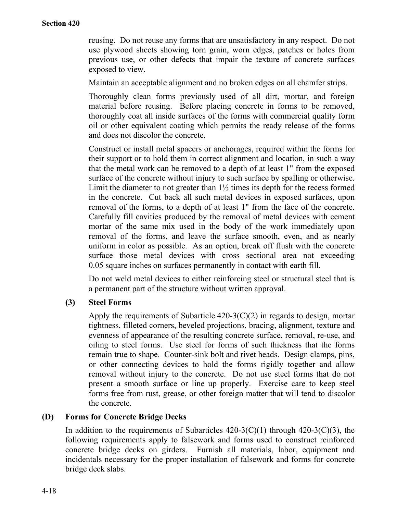reusing. Do not reuse any forms that are unsatisfactory in any respect. Do not use plywood sheets showing torn grain, worn edges, patches or holes from previous use, or other defects that impair the texture of concrete surfaces exposed to view.

Maintain an acceptable alignment and no broken edges on all chamfer strips.

Thoroughly clean forms previously used of all dirt, mortar, and foreign material before reusing. Before placing concrete in forms to be removed, thoroughly coat all inside surfaces of the forms with commercial quality form oil or other equivalent coating which permits the ready release of the forms and does not discolor the concrete.

Construct or install metal spacers or anchorages, required within the forms for their support or to hold them in correct alignment and location, in such a way that the metal work can be removed to a depth of at least 1" from the exposed surface of the concrete without injury to such surface by spalling or otherwise. Limit the diameter to not greater than 1½ times its depth for the recess formed in the concrete. Cut back all such metal devices in exposed surfaces, upon removal of the forms, to a depth of at least 1" from the face of the concrete. Carefully fill cavities produced by the removal of metal devices with cement mortar of the same mix used in the body of the work immediately upon removal of the forms, and leave the surface smooth, even, and as nearly uniform in color as possible. As an option, break off flush with the concrete surface those metal devices with cross sectional area not exceeding 0.05 square inches on surfaces permanently in contact with earth fill.

Do not weld metal devices to either reinforcing steel or structural steel that is a permanent part of the structure without written approval.

## **(3) Steel Forms**

Apply the requirements of Subarticle  $420-3(C)(2)$  in regards to design, mortar tightness, filleted corners, beveled projections, bracing, alignment, texture and evenness of appearance of the resulting concrete surface, removal, re-use, and oiling to steel forms. Use steel for forms of such thickness that the forms remain true to shape. Counter-sink bolt and rivet heads. Design clamps, pins, or other connecting devices to hold the forms rigidly together and allow removal without injury to the concrete. Do not use steel forms that do not present a smooth surface or line up properly. Exercise care to keep steel forms free from rust, grease, or other foreign matter that will tend to discolor the concrete.

## **(D) Forms for Concrete Bridge Decks**

In addition to the requirements of Subarticles  $420-3(C)(1)$  through  $420-3(C)(3)$ , the following requirements apply to falsework and forms used to construct reinforced concrete bridge decks on girders. Furnish all materials, labor, equipment and incidentals necessary for the proper installation of falsework and forms for concrete bridge deck slabs.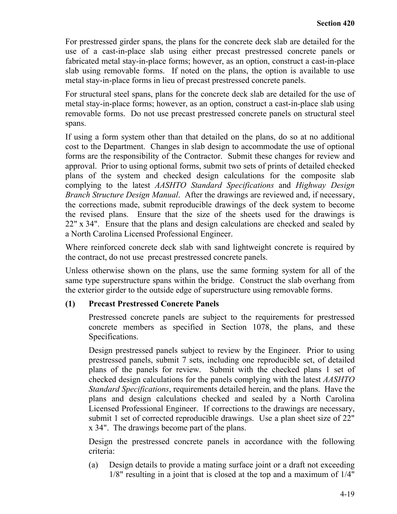For prestressed girder spans, the plans for the concrete deck slab are detailed for the use of a cast-in-place slab using either precast prestressed concrete panels or fabricated metal stay-in-place forms; however, as an option, construct a cast-in-place slab using removable forms. If noted on the plans, the option is available to use metal stay-in-place forms in lieu of precast prestressed concrete panels.

For structural steel spans, plans for the concrete deck slab are detailed for the use of metal stay-in-place forms; however, as an option, construct a cast-in-place slab using removable forms. Do not use precast prestressed concrete panels on structural steel spans.

If using a form system other than that detailed on the plans, do so at no additional cost to the Department. Changes in slab design to accommodate the use of optional forms are the responsibility of the Contractor. Submit these changes for review and approval. Prior to using optional forms, submit two sets of prints of detailed checked plans of the system and checked design calculations for the composite slab complying to the latest *AASHTO Standard Specifications* and *Highway Design Branch Structure Design Manual*. After the drawings are reviewed and, if necessary, the corrections made, submit reproducible drawings of the deck system to become the revised plans. Ensure that the size of the sheets used for the drawings is 22" x 34". Ensure that the plans and design calculations are checked and sealed by a North Carolina Licensed Professional Engineer.

Where reinforced concrete deck slab with sand lightweight concrete is required by the contract, do not use precast prestressed concrete panels.

Unless otherwise shown on the plans, use the same forming system for all of the same type superstructure spans within the bridge. Construct the slab overhang from the exterior girder to the outside edge of superstructure using removable forms.

# **(1) Precast Prestressed Concrete Panels**

Prestressed concrete panels are subject to the requirements for prestressed concrete members as specified in Section 1078, the plans, and these Specifications.

Design prestressed panels subject to review by the Engineer. Prior to using prestressed panels, submit 7 sets, including one reproducible set, of detailed plans of the panels for review. Submit with the checked plans 1 set of checked design calculations for the panels complying with the latest *AASHTO Standard Specifications*, requirements detailed herein, and the plans. Have the plans and design calculations checked and sealed by a North Carolina Licensed Professional Engineer. If corrections to the drawings are necessary, submit 1 set of corrected reproducible drawings. Use a plan sheet size of 22" x 34". The drawings become part of the plans.

Design the prestressed concrete panels in accordance with the following criteria:

(a) Design details to provide a mating surface joint or a draft not exceeding 1/8" resulting in a joint that is closed at the top and a maximum of 1/4"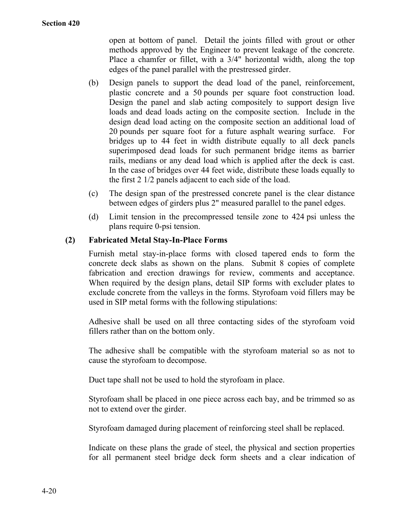open at bottom of panel. Detail the joints filled with grout or other methods approved by the Engineer to prevent leakage of the concrete. Place a chamfer or fillet, with a 3/4" horizontal width, along the top edges of the panel parallel with the prestressed girder.

- (b) Design panels to support the dead load of the panel, reinforcement, plastic concrete and a 50 pounds per square foot construction load. Design the panel and slab acting compositely to support design live loads and dead loads acting on the composite section. Include in the design dead load acting on the composite section an additional load of 20 pounds per square foot for a future asphalt wearing surface. For bridges up to 44 feet in width distribute equally to all deck panels superimposed dead loads for such permanent bridge items as barrier rails, medians or any dead load which is applied after the deck is cast. In the case of bridges over 44 feet wide, distribute these loads equally to the first 2 1/2 panels adjacent to each side of the load.
- (c) The design span of the prestressed concrete panel is the clear distance between edges of girders plus 2" measured parallel to the panel edges.
- (d) Limit tension in the precompressed tensile zone to 424 psi unless the plans require 0-psi tension.

# **(2) Fabricated Metal Stay-In-Place Forms**

Furnish metal stay-in-place forms with closed tapered ends to form the concrete deck slabs as shown on the plans. Submit 8 copies of complete fabrication and erection drawings for review, comments and acceptance. When required by the design plans, detail SIP forms with excluder plates to exclude concrete from the valleys in the forms. Styrofoam void fillers may be used in SIP metal forms with the following stipulations:

Adhesive shall be used on all three contacting sides of the styrofoam void fillers rather than on the bottom only.

The adhesive shall be compatible with the styrofoam material so as not to cause the styrofoam to decompose.

Duct tape shall not be used to hold the styrofoam in place.

Styrofoam shall be placed in one piece across each bay, and be trimmed so as not to extend over the girder.

Styrofoam damaged during placement of reinforcing steel shall be replaced.

Indicate on these plans the grade of steel, the physical and section properties for all permanent steel bridge deck form sheets and a clear indication of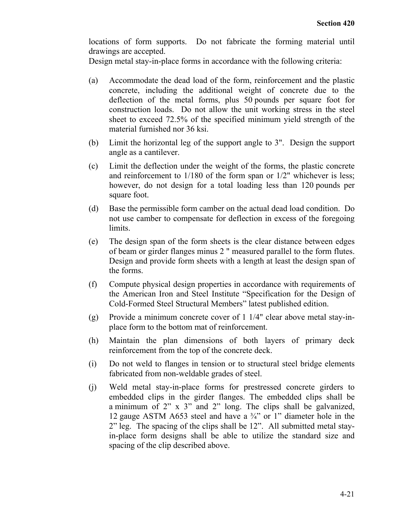locations of form supports. Do not fabricate the forming material until drawings are accepted.

Design metal stay-in-place forms in accordance with the following criteria:

- (a) Accommodate the dead load of the form, reinforcement and the plastic concrete, including the additional weight of concrete due to the deflection of the metal forms, plus 50 pounds per square foot for construction loads. Do not allow the unit working stress in the steel sheet to exceed 72.5% of the specified minimum yield strength of the material furnished nor 36 ksi.
- (b) Limit the horizontal leg of the support angle to 3". Design the support angle as a cantilever.
- (c) Limit the deflection under the weight of the forms, the plastic concrete and reinforcement to 1/180 of the form span or 1/2" whichever is less; however, do not design for a total loading less than 120 pounds per square foot.
- (d) Base the permissible form camber on the actual dead load condition. Do not use camber to compensate for deflection in excess of the foregoing limits.
- (e) The design span of the form sheets is the clear distance between edges of beam or girder flanges minus 2 " measured parallel to the form flutes. Design and provide form sheets with a length at least the design span of the forms.
- (f) Compute physical design properties in accordance with requirements of the American Iron and Steel Institute "Specification for the Design of Cold-Formed Steel Structural Members" latest published edition.
- (g) Provide a minimum concrete cover of 1 1/4" clear above metal stay-inplace form to the bottom mat of reinforcement.
- (h) Maintain the plan dimensions of both layers of primary deck reinforcement from the top of the concrete deck.
- (i) Do not weld to flanges in tension or to structural steel bridge elements fabricated from non-weldable grades of steel.
- (j) Weld metal stay-in-place forms for prestressed concrete girders to embedded clips in the girder flanges. The embedded clips shall be a minimum of 2" x 3" and 2" long. The clips shall be galvanized, 12 gauge ASTM A653 steel and have a  $\frac{3}{4}$ " or 1" diameter hole in the 2" leg. The spacing of the clips shall be 12". All submitted metal stayin-place form designs shall be able to utilize the standard size and spacing of the clip described above.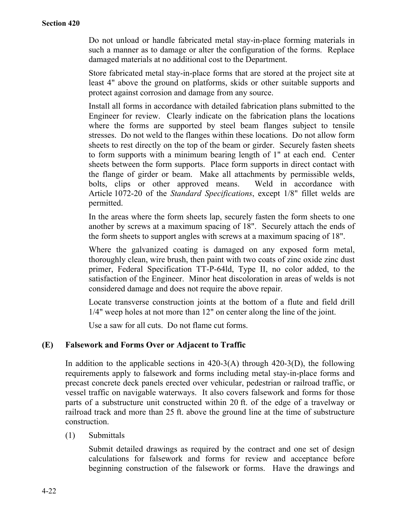Do not unload or handle fabricated metal stay-in-place forming materials in such a manner as to damage or alter the configuration of the forms. Replace damaged materials at no additional cost to the Department.

Store fabricated metal stay-in-place forms that are stored at the project site at least 4" above the ground on platforms, skids or other suitable supports and protect against corrosion and damage from any source.

Install all forms in accordance with detailed fabrication plans submitted to the Engineer for review. Clearly indicate on the fabrication plans the locations where the forms are supported by steel beam flanges subject to tensile stresses. Do not weld to the flanges within these locations. Do not allow form sheets to rest directly on the top of the beam or girder. Securely fasten sheets to form supports with a minimum bearing length of 1" at each end. Center sheets between the form supports. Place form supports in direct contact with the flange of girder or beam. Make all attachments by permissible welds, bolts, clips or other approved means. Weld in accordance with Article 1072-20 of the *Standard Specifications*, except 1/8" fillet welds are permitted.

In the areas where the form sheets lap, securely fasten the form sheets to one another by screws at a maximum spacing of 18". Securely attach the ends of the form sheets to support angles with screws at a maximum spacing of 18".

Where the galvanized coating is damaged on any exposed form metal, thoroughly clean, wire brush, then paint with two coats of zinc oxide zinc dust primer, Federal Specification TT-P-64ld, Type II, no color added, to the satisfaction of the Engineer. Minor heat discoloration in areas of welds is not considered damage and does not require the above repair.

Locate transverse construction joints at the bottom of a flute and field drill 1/4" weep holes at not more than 12" on center along the line of the joint.

Use a saw for all cuts. Do not flame cut forms.

## **(E) Falsework and Forms Over or Adjacent to Traffic**

In addition to the applicable sections in  $420-3(A)$  through  $420-3(D)$ , the following requirements apply to falsework and forms including metal stay-in-place forms and precast concrete deck panels erected over vehicular, pedestrian or railroad traffic, or vessel traffic on navigable waterways. It also covers falsework and forms for those parts of a substructure unit constructed within 20 ft. of the edge of a travelway or railroad track and more than 25 ft. above the ground line at the time of substructure construction.

(1) Submittals

Submit detailed drawings as required by the contract and one set of design calculations for falsework and forms for review and acceptance before beginning construction of the falsework or forms. Have the drawings and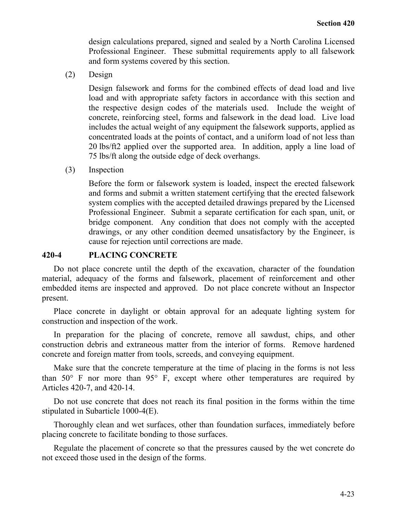design calculations prepared, signed and sealed by a North Carolina Licensed Professional Engineer. These submittal requirements apply to all falsework and form systems covered by this section.

(2) Design

Design falsework and forms for the combined effects of dead load and live load and with appropriate safety factors in accordance with this section and the respective design codes of the materials used. Include the weight of concrete, reinforcing steel, forms and falsework in the dead load. Live load includes the actual weight of any equipment the falsework supports, applied as concentrated loads at the points of contact, and a uniform load of not less than 20 lbs/ft2 applied over the supported area. In addition, apply a line load of 75 lbs/ft along the outside edge of deck overhangs.

(3) Inspection

Before the form or falsework system is loaded, inspect the erected falsework and forms and submit a written statement certifying that the erected falsework system complies with the accepted detailed drawings prepared by the Licensed Professional Engineer. Submit a separate certification for each span, unit, or bridge component. Any condition that does not comply with the accepted drawings, or any other condition deemed unsatisfactory by the Engineer, is cause for rejection until corrections are made.

## **420-4 PLACING CONCRETE**

Do not place concrete until the depth of the excavation, character of the foundation material, adequacy of the forms and falsework, placement of reinforcement and other embedded items are inspected and approved. Do not place concrete without an Inspector present.

Place concrete in daylight or obtain approval for an adequate lighting system for construction and inspection of the work.

In preparation for the placing of concrete, remove all sawdust, chips, and other construction debris and extraneous matter from the interior of forms. Remove hardened concrete and foreign matter from tools, screeds, and conveying equipment.

Make sure that the concrete temperature at the time of placing in the forms is not less than  $50^{\circ}$  F nor more than  $95^{\circ}$  F, except where other temperatures are required by Articles 420-7, and 420-14.

Do not use concrete that does not reach its final position in the forms within the time stipulated in Subarticle 1000-4(E).

Thoroughly clean and wet surfaces, other than foundation surfaces, immediately before placing concrete to facilitate bonding to those surfaces.

Regulate the placement of concrete so that the pressures caused by the wet concrete do not exceed those used in the design of the forms.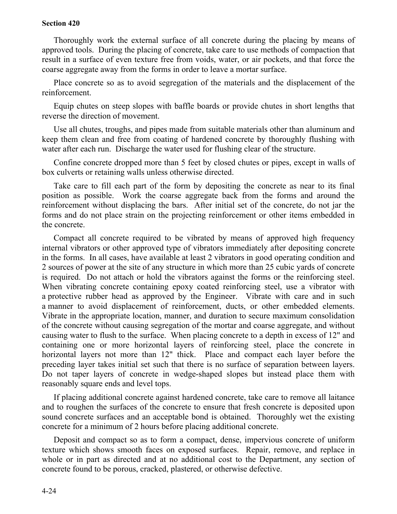#### **Section 420**

Thoroughly work the external surface of all concrete during the placing by means of approved tools. During the placing of concrete, take care to use methods of compaction that result in a surface of even texture free from voids, water, or air pockets, and that force the coarse aggregate away from the forms in order to leave a mortar surface.

Place concrete so as to avoid segregation of the materials and the displacement of the reinforcement.

Equip chutes on steep slopes with baffle boards or provide chutes in short lengths that reverse the direction of movement.

Use all chutes, troughs, and pipes made from suitable materials other than aluminum and keep them clean and free from coating of hardened concrete by thoroughly flushing with water after each run. Discharge the water used for flushing clear of the structure.

Confine concrete dropped more than 5 feet by closed chutes or pipes, except in walls of box culverts or retaining walls unless otherwise directed.

Take care to fill each part of the form by depositing the concrete as near to its final position as possible. Work the coarse aggregate back from the forms and around the reinforcement without displacing the bars. After initial set of the concrete, do not jar the forms and do not place strain on the projecting reinforcement or other items embedded in the concrete.

Compact all concrete required to be vibrated by means of approved high frequency internal vibrators or other approved type of vibrators immediately after depositing concrete in the forms. In all cases, have available at least 2 vibrators in good operating condition and 2 sources of power at the site of any structure in which more than 25 cubic yards of concrete is required. Do not attach or hold the vibrators against the forms or the reinforcing steel. When vibrating concrete containing epoxy coated reinforcing steel, use a vibrator with a protective rubber head as approved by the Engineer. Vibrate with care and in such a manner to avoid displacement of reinforcement, ducts, or other embedded elements. Vibrate in the appropriate location, manner, and duration to secure maximum consolidation of the concrete without causing segregation of the mortar and coarse aggregate, and without causing water to flush to the surface. When placing concrete to a depth in excess of 12" and containing one or more horizontal layers of reinforcing steel, place the concrete in horizontal layers not more than 12" thick. Place and compact each layer before the preceding layer takes initial set such that there is no surface of separation between layers. Do not taper layers of concrete in wedge-shaped slopes but instead place them with reasonably square ends and level tops.

If placing additional concrete against hardened concrete, take care to remove all laitance and to roughen the surfaces of the concrete to ensure that fresh concrete is deposited upon sound concrete surfaces and an acceptable bond is obtained. Thoroughly wet the existing concrete for a minimum of 2 hours before placing additional concrete.

Deposit and compact so as to form a compact, dense, impervious concrete of uniform texture which shows smooth faces on exposed surfaces. Repair, remove, and replace in whole or in part as directed and at no additional cost to the Department, any section of concrete found to be porous, cracked, plastered, or otherwise defective.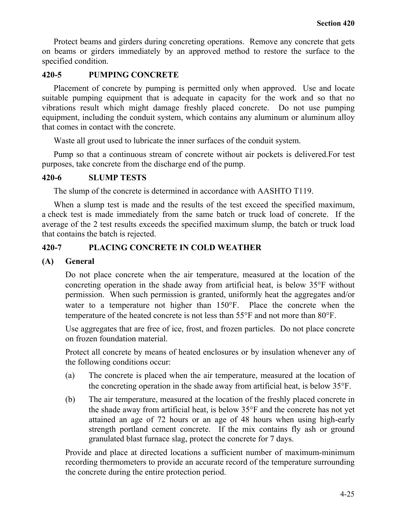Protect beams and girders during concreting operations. Remove any concrete that gets on beams or girders immediately by an approved method to restore the surface to the specified condition.

# **420-5 PUMPING CONCRETE**

Placement of concrete by pumping is permitted only when approved. Use and locate suitable pumping equipment that is adequate in capacity for the work and so that no vibrations result which might damage freshly placed concrete. Do not use pumping equipment, including the conduit system, which contains any aluminum or aluminum alloy that comes in contact with the concrete.

Waste all grout used to lubricate the inner surfaces of the conduit system.

Pump so that a continuous stream of concrete without air pockets is delivered.For test purposes, take concrete from the discharge end of the pump.

# **420-6 SLUMP TESTS**

The slump of the concrete is determined in accordance with AASHTO T119.

When a slump test is made and the results of the test exceed the specified maximum, a check test is made immediately from the same batch or truck load of concrete. If the average of the 2 test results exceeds the specified maximum slump, the batch or truck load that contains the batch is rejected.

# **420-7 PLACING CONCRETE IN COLD WEATHER**

# **(A) General**

Do not place concrete when the air temperature, measured at the location of the concreting operation in the shade away from artificial heat, is below 35°F without permission. When such permission is granted, uniformly heat the aggregates and/or water to a temperature not higher than 150°F. Place the concrete when the temperature of the heated concrete is not less than 55°F and not more than 80°F.

Use aggregates that are free of ice, frost, and frozen particles. Do not place concrete on frozen foundation material.

Protect all concrete by means of heated enclosures or by insulation whenever any of the following conditions occur:

- (a) The concrete is placed when the air temperature, measured at the location of the concreting operation in the shade away from artificial heat, is below 35°F.
- (b) The air temperature, measured at the location of the freshly placed concrete in the shade away from artificial heat, is below 35°F and the concrete has not yet attained an age of 72 hours or an age of 48 hours when using high-early strength portland cement concrete. If the mix contains fly ash or ground granulated blast furnace slag, protect the concrete for 7 days.

Provide and place at directed locations a sufficient number of maximum-minimum recording thermometers to provide an accurate record of the temperature surrounding the concrete during the entire protection period.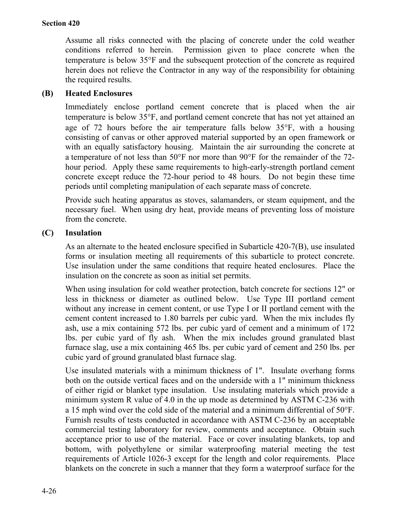Assume all risks connected with the placing of concrete under the cold weather conditions referred to herein. Permission given to place concrete when the temperature is below 35°F and the subsequent protection of the concrete as required herein does not relieve the Contractor in any way of the responsibility for obtaining the required results.

# **(B) Heated Enclosures**

Immediately enclose portland cement concrete that is placed when the air temperature is below 35°F, and portland cement concrete that has not yet attained an age of 72 hours before the air temperature falls below 35°F, with a housing consisting of canvas or other approved material supported by an open framework or with an equally satisfactory housing. Maintain the air surrounding the concrete at a temperature of not less than 50°F nor more than 90°F for the remainder of the 72 hour period. Apply these same requirements to high-early-strength portland cement concrete except reduce the 72-hour period to 48 hours. Do not begin these time periods until completing manipulation of each separate mass of concrete.

Provide such heating apparatus as stoves, salamanders, or steam equipment, and the necessary fuel. When using dry heat, provide means of preventing loss of moisture from the concrete.

# **(C) Insulation**

As an alternate to the heated enclosure specified in Subarticle 420-7(B), use insulated forms or insulation meeting all requirements of this subarticle to protect concrete. Use insulation under the same conditions that require heated enclosures. Place the insulation on the concrete as soon as initial set permits.

When using insulation for cold weather protection, batch concrete for sections 12" or less in thickness or diameter as outlined below. Use Type III portland cement without any increase in cement content, or use Type I or II portland cement with the cement content increased to 1.80 barrels per cubic yard. When the mix includes fly ash, use a mix containing 572 lbs. per cubic yard of cement and a minimum of 172 lbs. per cubic yard of fly ash. When the mix includes ground granulated blast furnace slag, use a mix containing 465 lbs. per cubic yard of cement and 250 lbs. per cubic yard of ground granulated blast furnace slag.

Use insulated materials with a minimum thickness of 1". Insulate overhang forms both on the outside vertical faces and on the underside with a 1" minimum thickness of either rigid or blanket type insulation. Use insulating materials which provide a minimum system R value of 4.0 in the up mode as determined by ASTM C-236 with a 15 mph wind over the cold side of the material and a minimum differential of 50°F. Furnish results of tests conducted in accordance with ASTM C-236 by an acceptable commercial testing laboratory for review, comments and acceptance. Obtain such acceptance prior to use of the material. Face or cover insulating blankets, top and bottom, with polyethylene or similar waterproofing material meeting the test requirements of Article 1026-3 except for the length and color requirements. Place blankets on the concrete in such a manner that they form a waterproof surface for the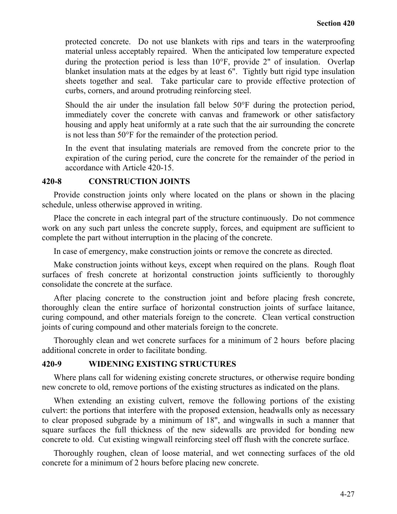protected concrete. Do not use blankets with rips and tears in the waterproofing material unless acceptably repaired. When the anticipated low temperature expected during the protection period is less than 10°F, provide 2" of insulation. Overlap blanket insulation mats at the edges by at least 6". Tightly butt rigid type insulation sheets together and seal. Take particular care to provide effective protection of curbs, corners, and around protruding reinforcing steel.

Should the air under the insulation fall below 50°F during the protection period, immediately cover the concrete with canvas and framework or other satisfactory housing and apply heat uniformly at a rate such that the air surrounding the concrete is not less than 50°F for the remainder of the protection period.

In the event that insulating materials are removed from the concrete prior to the expiration of the curing period, cure the concrete for the remainder of the period in accordance with Article 420-15.

#### **420-8 CONSTRUCTION JOINTS**

Provide construction joints only where located on the plans or shown in the placing schedule, unless otherwise approved in writing.

Place the concrete in each integral part of the structure continuously. Do not commence work on any such part unless the concrete supply, forces, and equipment are sufficient to complete the part without interruption in the placing of the concrete.

In case of emergency, make construction joints or remove the concrete as directed.

Make construction joints without keys, except when required on the plans. Rough float surfaces of fresh concrete at horizontal construction joints sufficiently to thoroughly consolidate the concrete at the surface.

After placing concrete to the construction joint and before placing fresh concrete, thoroughly clean the entire surface of horizontal construction joints of surface laitance, curing compound, and other materials foreign to the concrete. Clean vertical construction joints of curing compound and other materials foreign to the concrete.

Thoroughly clean and wet concrete surfaces for a minimum of 2 hours before placing additional concrete in order to facilitate bonding.

## **420-9 WIDENING EXISTING STRUCTURES**

Where plans call for widening existing concrete structures, or otherwise require bonding new concrete to old, remove portions of the existing structures as indicated on the plans.

When extending an existing culvert, remove the following portions of the existing culvert: the portions that interfere with the proposed extension, headwalls only as necessary to clear proposed subgrade by a minimum of 18", and wingwalls in such a manner that square surfaces the full thickness of the new sidewalls are provided for bonding new concrete to old. Cut existing wingwall reinforcing steel off flush with the concrete surface.

Thoroughly roughen, clean of loose material, and wet connecting surfaces of the old concrete for a minimum of 2 hours before placing new concrete.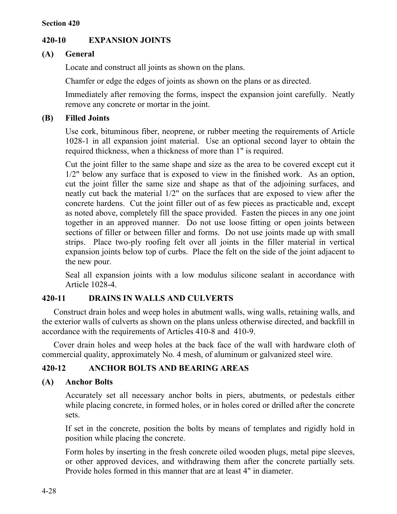# **420-10 EXPANSION JOINTS**

# **(A) General**

Locate and construct all joints as shown on the plans.

Chamfer or edge the edges of joints as shown on the plans or as directed.

Immediately after removing the forms, inspect the expansion joint carefully. Neatly remove any concrete or mortar in the joint.

# **(B) Filled Joints**

Use cork, bituminous fiber, neoprene, or rubber meeting the requirements of Article 1028-1 in all expansion joint material. Use an optional second layer to obtain the required thickness, when a thickness of more than 1" is required.

Cut the joint filler to the same shape and size as the area to be covered except cut it 1/2" below any surface that is exposed to view in the finished work. As an option, cut the joint filler the same size and shape as that of the adjoining surfaces, and neatly cut back the material 1/2" on the surfaces that are exposed to view after the concrete hardens. Cut the joint filler out of as few pieces as practicable and, except as noted above, completely fill the space provided. Fasten the pieces in any one joint together in an approved manner. Do not use loose fitting or open joints between sections of filler or between filler and forms. Do not use joints made up with small strips. Place two-ply roofing felt over all joints in the filler material in vertical expansion joints below top of curbs. Place the felt on the side of the joint adjacent to the new pour.

Seal all expansion joints with a low modulus silicone sealant in accordance with Article 1028-4.

# **420-11 DRAINS IN WALLS AND CULVERTS**

Construct drain holes and weep holes in abutment walls, wing walls, retaining walls, and the exterior walls of culverts as shown on the plans unless otherwise directed, and backfill in accordance with the requirements of Articles 410-8 and 410-9.

Cover drain holes and weep holes at the back face of the wall with hardware cloth of commercial quality, approximately No. 4 mesh, of aluminum or galvanized steel wire.

# **420-12 ANCHOR BOLTS AND BEARING AREAS**

# **(A) Anchor Bolts**

Accurately set all necessary anchor bolts in piers, abutments, or pedestals either while placing concrete, in formed holes, or in holes cored or drilled after the concrete sets.

If set in the concrete, position the bolts by means of templates and rigidly hold in position while placing the concrete.

Form holes by inserting in the fresh concrete oiled wooden plugs, metal pipe sleeves, or other approved devices, and withdrawing them after the concrete partially sets. Provide holes formed in this manner that are at least 4" in diameter.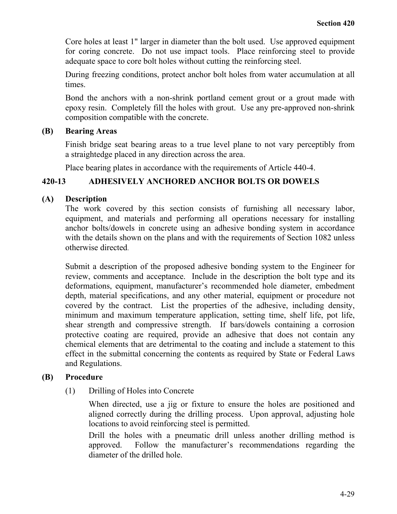Core holes at least 1" larger in diameter than the bolt used. Use approved equipment for coring concrete. Do not use impact tools. Place reinforcing steel to provide adequate space to core bolt holes without cutting the reinforcing steel.

During freezing conditions, protect anchor bolt holes from water accumulation at all times.

Bond the anchors with a non-shrink portland cement grout or a grout made with epoxy resin. Completely fill the holes with grout. Use any pre-approved non-shrink composition compatible with the concrete.

# **(B) Bearing Areas**

Finish bridge seat bearing areas to a true level plane to not vary perceptibly from a straightedge placed in any direction across the area.

Place bearing plates in accordance with the requirements of Article 440-4.

# **420-13 ADHESIVELY ANCHORED ANCHOR BOLTS OR DOWELS**

# **(A) Description**

The work covered by this section consists of furnishing all necessary labor, equipment, and materials and performing all operations necessary for installing anchor bolts/dowels in concrete using an adhesive bonding system in accordance with the details shown on the plans and with the requirements of Section 1082 unless otherwise directed.

Submit a description of the proposed adhesive bonding system to the Engineer for review, comments and acceptance. Include in the description the bolt type and its deformations, equipment, manufacturer's recommended hole diameter, embedment depth, material specifications, and any other material, equipment or procedure not covered by the contract. List the properties of the adhesive, including density, minimum and maximum temperature application, setting time, shelf life, pot life, shear strength and compressive strength. If bars/dowels containing a corrosion protective coating are required, provide an adhesive that does not contain any chemical elements that are detrimental to the coating and include a statement to this effect in the submittal concerning the contents as required by State or Federal Laws and Regulations.

# **(B) Procedure**

(1) Drilling of Holes into Concrete

When directed, use a jig or fixture to ensure the holes are positioned and aligned correctly during the drilling process. Upon approval, adjusting hole locations to avoid reinforcing steel is permitted.

Drill the holes with a pneumatic drill unless another drilling method is approved. Follow the manufacturer's recommendations regarding the diameter of the drilled hole.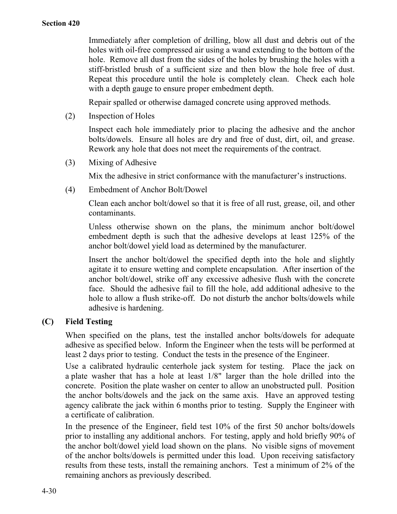Immediately after completion of drilling, blow all dust and debris out of the holes with oil-free compressed air using a wand extending to the bottom of the hole. Remove all dust from the sides of the holes by brushing the holes with a stiff-bristled brush of a sufficient size and then blow the hole free of dust. Repeat this procedure until the hole is completely clean. Check each hole with a depth gauge to ensure proper embedment depth.

Repair spalled or otherwise damaged concrete using approved methods.

(2) Inspection of Holes

Inspect each hole immediately prior to placing the adhesive and the anchor bolts/dowels. Ensure all holes are dry and free of dust, dirt, oil, and grease. Rework any hole that does not meet the requirements of the contract.

(3) Mixing of Adhesive

Mix the adhesive in strict conformance with the manufacturer's instructions.

(4) Embedment of Anchor Bolt/Dowel

Clean each anchor bolt/dowel so that it is free of all rust, grease, oil, and other contaminants.

Unless otherwise shown on the plans, the minimum anchor bolt/dowel embedment depth is such that the adhesive develops at least 125% of the anchor bolt/dowel yield load as determined by the manufacturer.

Insert the anchor bolt/dowel the specified depth into the hole and slightly agitate it to ensure wetting and complete encapsulation. After insertion of the anchor bolt/dowel, strike off any excessive adhesive flush with the concrete face. Should the adhesive fail to fill the hole, add additional adhesive to the hole to allow a flush strike-off. Do not disturb the anchor bolts/dowels while adhesive is hardening.

# **(C) Field Testing**

When specified on the plans, test the installed anchor bolts/dowels for adequate adhesive as specified below. Inform the Engineer when the tests will be performed at least 2 days prior to testing. Conduct the tests in the presence of the Engineer.

Use a calibrated hydraulic centerhole jack system for testing. Place the jack on a plate washer that has a hole at least 1/8" larger than the hole drilled into the concrete. Position the plate washer on center to allow an unobstructed pull. Position the anchor bolts/dowels and the jack on the same axis. Have an approved testing agency calibrate the jack within 6 months prior to testing. Supply the Engineer with a certificate of calibration.

In the presence of the Engineer, field test 10% of the first 50 anchor bolts/dowels prior to installing any additional anchors. For testing, apply and hold briefly 90% of the anchor bolt/dowel yield load shown on the plans. No visible signs of movement of the anchor bolts/dowels is permitted under this load. Upon receiving satisfactory results from these tests, install the remaining anchors. Test a minimum of 2% of the remaining anchors as previously described.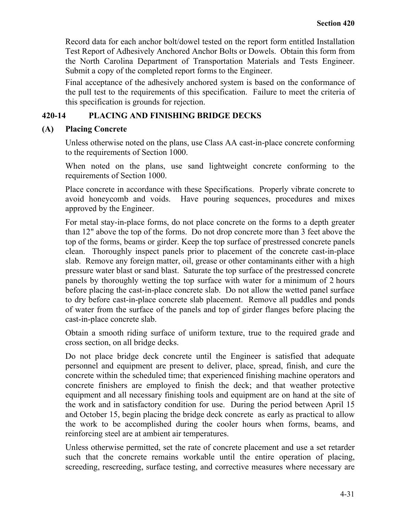Record data for each anchor bolt/dowel tested on the report form entitled Installation Test Report of Adhesively Anchored Anchor Bolts or Dowels. Obtain this form from the North Carolina Department of Transportation Materials and Tests Engineer. Submit a copy of the completed report forms to the Engineer.

Final acceptance of the adhesively anchored system is based on the conformance of the pull test to the requirements of this specification. Failure to meet the criteria of this specification is grounds for rejection.

## **420-14 PLACING AND FINISHING BRIDGE DECKS**

## **(A) Placing Concrete**

Unless otherwise noted on the plans, use Class AA cast-in-place concrete conforming to the requirements of Section 1000.

When noted on the plans, use sand lightweight concrete conforming to the requirements of Section 1000.

Place concrete in accordance with these Specifications. Properly vibrate concrete to avoid honeycomb and voids. Have pouring sequences, procedures and mixes approved by the Engineer.

For metal stay-in-place forms, do not place concrete on the forms to a depth greater than 12" above the top of the forms. Do not drop concrete more than 3 feet above the top of the forms, beams or girder. Keep the top surface of prestressed concrete panels clean. Thoroughly inspect panels prior to placement of the concrete cast-in-place slab. Remove any foreign matter, oil, grease or other contaminants either with a high pressure water blast or sand blast. Saturate the top surface of the prestressed concrete panels by thoroughly wetting the top surface with water for a minimum of 2 hours before placing the cast-in-place concrete slab. Do not allow the wetted panel surface to dry before cast-in-place concrete slab placement. Remove all puddles and ponds of water from the surface of the panels and top of girder flanges before placing the cast-in-place concrete slab.

Obtain a smooth riding surface of uniform texture, true to the required grade and cross section, on all bridge decks.

Do not place bridge deck concrete until the Engineer is satisfied that adequate personnel and equipment are present to deliver, place, spread, finish, and cure the concrete within the scheduled time; that experienced finishing machine operators and concrete finishers are employed to finish the deck; and that weather protective equipment and all necessary finishing tools and equipment are on hand at the site of the work and in satisfactory condition for use. During the period between April 15 and October 15, begin placing the bridge deck concrete as early as practical to allow the work to be accomplished during the cooler hours when forms, beams, and reinforcing steel are at ambient air temperatures.

Unless otherwise permitted, set the rate of concrete placement and use a set retarder such that the concrete remains workable until the entire operation of placing, screeding, rescreeding, surface testing, and corrective measures where necessary are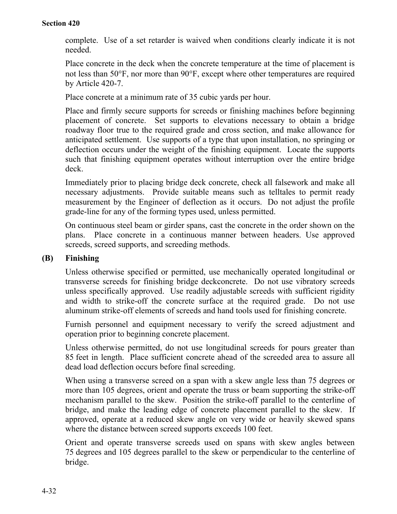complete. Use of a set retarder is waived when conditions clearly indicate it is not needed.

Place concrete in the deck when the concrete temperature at the time of placement is not less than 50°F, nor more than 90°F, except where other temperatures are required by Article 420-7.

Place concrete at a minimum rate of 35 cubic yards per hour.

Place and firmly secure supports for screeds or finishing machines before beginning placement of concrete. Set supports to elevations necessary to obtain a bridge roadway floor true to the required grade and cross section, and make allowance for anticipated settlement. Use supports of a type that upon installation, no springing or deflection occurs under the weight of the finishing equipment. Locate the supports such that finishing equipment operates without interruption over the entire bridge deck.

Immediately prior to placing bridge deck concrete, check all falsework and make all necessary adjustments. Provide suitable means such as telltales to permit ready measurement by the Engineer of deflection as it occurs. Do not adjust the profile grade-line for any of the forming types used, unless permitted.

On continuous steel beam or girder spans, cast the concrete in the order shown on the plans. Place concrete in a continuous manner between headers. Use approved screeds, screed supports, and screeding methods.

# **(B) Finishing**

Unless otherwise specified or permitted, use mechanically operated longitudinal or transverse screeds for finishing bridge deckconcrete. Do not use vibratory screeds unless specifically approved. Use readily adjustable screeds with sufficient rigidity and width to strike-off the concrete surface at the required grade. Do not use aluminum strike-off elements of screeds and hand tools used for finishing concrete.

Furnish personnel and equipment necessary to verify the screed adjustment and operation prior to beginning concrete placement.

Unless otherwise permitted, do not use longitudinal screeds for pours greater than 85 feet in length. Place sufficient concrete ahead of the screeded area to assure all dead load deflection occurs before final screeding.

When using a transverse screed on a span with a skew angle less than 75 degrees or more than 105 degrees, orient and operate the truss or beam supporting the strike-off mechanism parallel to the skew. Position the strike-off parallel to the centerline of bridge, and make the leading edge of concrete placement parallel to the skew. If approved, operate at a reduced skew angle on very wide or heavily skewed spans where the distance between screed supports exceeds 100 feet.

Orient and operate transverse screeds used on spans with skew angles between 75 degrees and 105 degrees parallel to the skew or perpendicular to the centerline of bridge.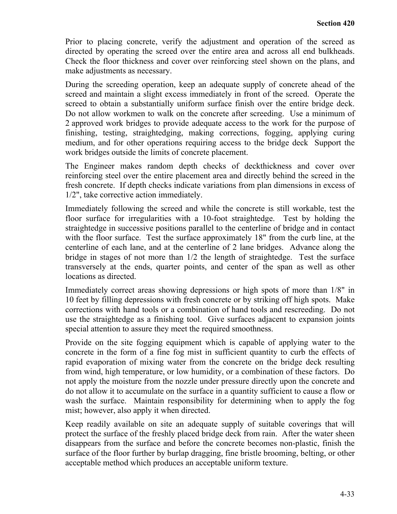Prior to placing concrete, verify the adjustment and operation of the screed as directed by operating the screed over the entire area and across all end bulkheads. Check the floor thickness and cover over reinforcing steel shown on the plans, and make adjustments as necessary.

During the screeding operation, keep an adequate supply of concrete ahead of the screed and maintain a slight excess immediately in front of the screed. Operate the screed to obtain a substantially uniform surface finish over the entire bridge deck. Do not allow workmen to walk on the concrete after screeding. Use a minimum of 2 approved work bridges to provide adequate access to the work for the purpose of finishing, testing, straightedging, making corrections, fogging, applying curing medium, and for other operations requiring access to the bridge deck Support the work bridges outside the limits of concrete placement.

The Engineer makes random depth checks of deckthickness and cover over reinforcing steel over the entire placement area and directly behind the screed in the fresh concrete. If depth checks indicate variations from plan dimensions in excess of 1/2", take corrective action immediately.

Immediately following the screed and while the concrete is still workable, test the floor surface for irregularities with a 10-foot straightedge. Test by holding the straightedge in successive positions parallel to the centerline of bridge and in contact with the floor surface. Test the surface approximately 18" from the curb line, at the centerline of each lane, and at the centerline of 2 lane bridges. Advance along the bridge in stages of not more than 1/2 the length of straightedge. Test the surface transversely at the ends, quarter points, and center of the span as well as other locations as directed.

Immediately correct areas showing depressions or high spots of more than 1/8" in 10 feet by filling depressions with fresh concrete or by striking off high spots. Make corrections with hand tools or a combination of hand tools and rescreeding. Do not use the straightedge as a finishing tool. Give surfaces adjacent to expansion joints special attention to assure they meet the required smoothness.

Provide on the site fogging equipment which is capable of applying water to the concrete in the form of a fine fog mist in sufficient quantity to curb the effects of rapid evaporation of mixing water from the concrete on the bridge deck resulting from wind, high temperature, or low humidity, or a combination of these factors. Do not apply the moisture from the nozzle under pressure directly upon the concrete and do not allow it to accumulate on the surface in a quantity sufficient to cause a flow or wash the surface. Maintain responsibility for determining when to apply the fog mist; however, also apply it when directed.

Keep readily available on site an adequate supply of suitable coverings that will protect the surface of the freshly placed bridge deck from rain. After the water sheen disappears from the surface and before the concrete becomes non-plastic, finish the surface of the floor further by burlap dragging, fine bristle brooming, belting, or other acceptable method which produces an acceptable uniform texture.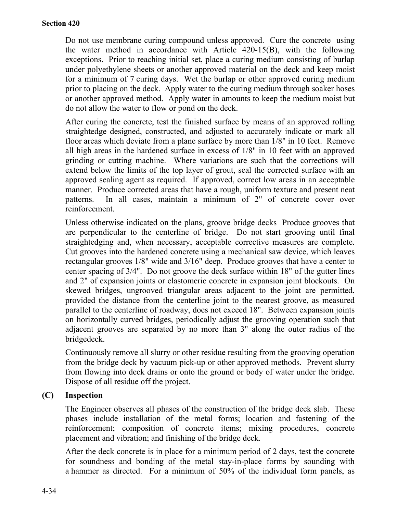Do not use membrane curing compound unless approved. Cure the concrete using the water method in accordance with Article 420-15(B), with the following exceptions. Prior to reaching initial set, place a curing medium consisting of burlap under polyethylene sheets or another approved material on the deck and keep moist for a minimum of 7 curing days. Wet the burlap or other approved curing medium prior to placing on the deck. Apply water to the curing medium through soaker hoses or another approved method. Apply water in amounts to keep the medium moist but do not allow the water to flow or pond on the deck.

After curing the concrete, test the finished surface by means of an approved rolling straightedge designed, constructed, and adjusted to accurately indicate or mark all floor areas which deviate from a plane surface by more than 1/8" in 10 feet. Remove all high areas in the hardened surface in excess of 1/8" in 10 feet with an approved grinding or cutting machine. Where variations are such that the corrections will extend below the limits of the top layer of grout, seal the corrected surface with an approved sealing agent as required. If approved, correct low areas in an acceptable manner. Produce corrected areas that have a rough, uniform texture and present neat patterns. In all cases, maintain a minimum of 2" of concrete cover over reinforcement.

Unless otherwise indicated on the plans, groove bridge decks Produce grooves that are perpendicular to the centerline of bridge. Do not start grooving until final straightedging and, when necessary, acceptable corrective measures are complete. Cut grooves into the hardened concrete using a mechanical saw device, which leaves rectangular grooves 1/8" wide and 3/16" deep. Produce grooves that have a center to center spacing of 3/4". Do not groove the deck surface within 18" of the gutter lines and 2" of expansion joints or elastomeric concrete in expansion joint blockouts. On skewed bridges, ungrooved triangular areas adjacent to the joint are permitted, provided the distance from the centerline joint to the nearest groove, as measured parallel to the centerline of roadway, does not exceed 18". Between expansion joints on horizontally curved bridges, periodically adjust the grooving operation such that adjacent grooves are separated by no more than 3" along the outer radius of the bridgedeck.

Continuously remove all slurry or other residue resulting from the grooving operation from the bridge deck by vacuum pick-up or other approved methods. Prevent slurry from flowing into deck drains or onto the ground or body of water under the bridge. Dispose of all residue off the project.

# **(C) Inspection**

The Engineer observes all phases of the construction of the bridge deck slab. These phases include installation of the metal forms; location and fastening of the reinforcement; composition of concrete items; mixing procedures, concrete placement and vibration; and finishing of the bridge deck.

After the deck concrete is in place for a minimum period of 2 days, test the concrete for soundness and bonding of the metal stay-in-place forms by sounding with a hammer as directed. For a minimum of 50% of the individual form panels, as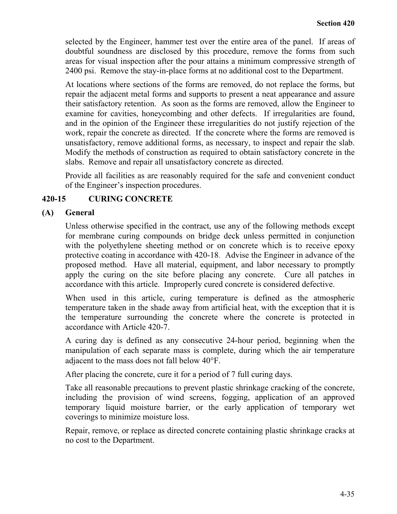selected by the Engineer, hammer test over the entire area of the panel. If areas of doubtful soundness are disclosed by this procedure, remove the forms from such areas for visual inspection after the pour attains a minimum compressive strength of 2400 psi. Remove the stay-in-place forms at no additional cost to the Department.

At locations where sections of the forms are removed, do not replace the forms, but repair the adjacent metal forms and supports to present a neat appearance and assure their satisfactory retention. As soon as the forms are removed, allow the Engineer to examine for cavities, honeycombing and other defects. If irregularities are found, and in the opinion of the Engineer these irregularities do not justify rejection of the work, repair the concrete as directed. If the concrete where the forms are removed is unsatisfactory, remove additional forms, as necessary, to inspect and repair the slab. Modify the methods of construction as required to obtain satisfactory concrete in the slabs. Remove and repair all unsatisfactory concrete as directed.

Provide all facilities as are reasonably required for the safe and convenient conduct of the Engineer's inspection procedures.

# **420-15 CURING CONCRETE**

## **(A) General**

Unless otherwise specified in the contract, use any of the following methods except for membrane curing compounds on bridge deck unless permitted in conjunction with the polyethylene sheeting method or on concrete which is to receive epoxy protective coating in accordance with 420-18. Advise the Engineer in advance of the proposed method. Have all material, equipment, and labor necessary to promptly apply the curing on the site before placing any concrete. Cure all patches in accordance with this article. Improperly cured concrete is considered defective.

When used in this article, curing temperature is defined as the atmospheric temperature taken in the shade away from artificial heat, with the exception that it is the temperature surrounding the concrete where the concrete is protected in accordance with Article 420-7.

A curing day is defined as any consecutive 24-hour period, beginning when the manipulation of each separate mass is complete, during which the air temperature adjacent to the mass does not fall below 40°F.

After placing the concrete, cure it for a period of 7 full curing days.

Take all reasonable precautions to prevent plastic shrinkage cracking of the concrete, including the provision of wind screens, fogging, application of an approved temporary liquid moisture barrier, or the early application of temporary wet coverings to minimize moisture loss.

Repair, remove, or replace as directed concrete containing plastic shrinkage cracks at no cost to the Department.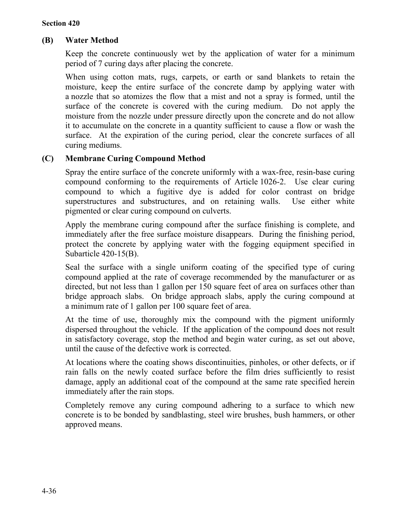# **(B) Water Method**

Keep the concrete continuously wet by the application of water for a minimum period of 7 curing days after placing the concrete.

When using cotton mats, rugs, carpets, or earth or sand blankets to retain the moisture, keep the entire surface of the concrete damp by applying water with a nozzle that so atomizes the flow that a mist and not a spray is formed, until the surface of the concrete is covered with the curing medium. Do not apply the moisture from the nozzle under pressure directly upon the concrete and do not allow it to accumulate on the concrete in a quantity sufficient to cause a flow or wash the surface. At the expiration of the curing period, clear the concrete surfaces of all curing mediums.

# **(C) Membrane Curing Compound Method**

Spray the entire surface of the concrete uniformly with a wax-free, resin-base curing compound conforming to the requirements of Article 1026-2. Use clear curing compound to which a fugitive dye is added for color contrast on bridge superstructures and substructures, and on retaining walls. Use either white pigmented or clear curing compound on culverts.

Apply the membrane curing compound after the surface finishing is complete, and immediately after the free surface moisture disappears. During the finishing period, protect the concrete by applying water with the fogging equipment specified in Subarticle 420-15(B).

Seal the surface with a single uniform coating of the specified type of curing compound applied at the rate of coverage recommended by the manufacturer or as directed, but not less than 1 gallon per 150 square feet of area on surfaces other than bridge approach slabs. On bridge approach slabs, apply the curing compound at a minimum rate of 1 gallon per 100 square feet of area.

At the time of use, thoroughly mix the compound with the pigment uniformly dispersed throughout the vehicle. If the application of the compound does not result in satisfactory coverage, stop the method and begin water curing, as set out above, until the cause of the defective work is corrected.

At locations where the coating shows discontinuities, pinholes, or other defects, or if rain falls on the newly coated surface before the film dries sufficiently to resist damage, apply an additional coat of the compound at the same rate specified herein immediately after the rain stops.

Completely remove any curing compound adhering to a surface to which new concrete is to be bonded by sandblasting, steel wire brushes, bush hammers, or other approved means.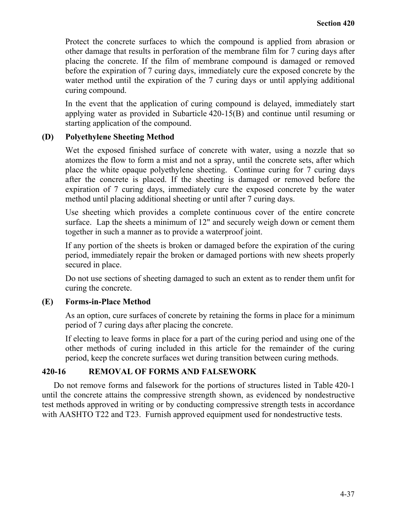Protect the concrete surfaces to which the compound is applied from abrasion or other damage that results in perforation of the membrane film for 7 curing days after placing the concrete. If the film of membrane compound is damaged or removed before the expiration of 7 curing days, immediately cure the exposed concrete by the water method until the expiration of the 7 curing days or until applying additional curing compound.

In the event that the application of curing compound is delayed, immediately start applying water as provided in Subarticle 420-15(B) and continue until resuming or starting application of the compound.

# **(D) Polyethylene Sheeting Method**

Wet the exposed finished surface of concrete with water, using a nozzle that so atomizes the flow to form a mist and not a spray, until the concrete sets, after which place the white opaque polyethylene sheeting. Continue curing for 7 curing days after the concrete is placed. If the sheeting is damaged or removed before the expiration of 7 curing days, immediately cure the exposed concrete by the water method until placing additional sheeting or until after 7 curing days.

Use sheeting which provides a complete continuous cover of the entire concrete surface. Lap the sheets a minimum of 12" and securely weigh down or cement them together in such a manner as to provide a waterproof joint.

If any portion of the sheets is broken or damaged before the expiration of the curing period, immediately repair the broken or damaged portions with new sheets properly secured in place.

Do not use sections of sheeting damaged to such an extent as to render them unfit for curing the concrete.

# **(E) Forms-in-Place Method**

As an option, cure surfaces of concrete by retaining the forms in place for a minimum period of 7 curing days after placing the concrete.

If electing to leave forms in place for a part of the curing period and using one of the other methods of curing included in this article for the remainder of the curing period, keep the concrete surfaces wet during transition between curing methods.

#### **420-16 REMOVAL OF FORMS AND FALSEWORK**

Do not remove forms and falsework for the portions of structures listed in Table 420-1 until the concrete attains the compressive strength shown, as evidenced by nondestructive test methods approved in writing or by conducting compressive strength tests in accordance with AASHTO T22 and T23. Furnish approved equipment used for nondestructive tests.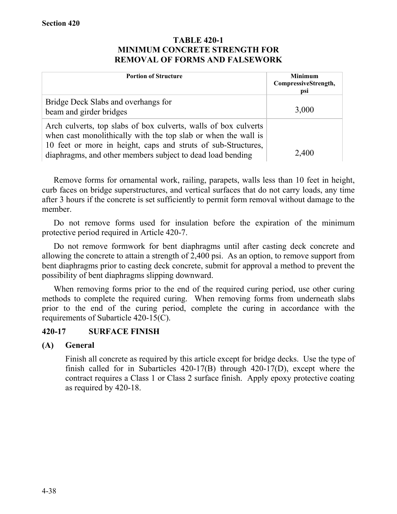## **TABLE 420-1 MINIMUM CONCRETE STRENGTH FOR REMOVAL OF FORMS AND FALSEWORK**

| <b>Portion of Structure</b>                                                                                                                                                                                                                                      | <b>Minimum</b><br>CompressiveStrength,<br>psi |
|------------------------------------------------------------------------------------------------------------------------------------------------------------------------------------------------------------------------------------------------------------------|-----------------------------------------------|
| Bridge Deck Slabs and overhangs for<br>beam and girder bridges                                                                                                                                                                                                   | 3,000                                         |
| Arch culverts, top slabs of box culverts, walls of box culverts<br>when cast monolithically with the top slab or when the wall is<br>10 feet or more in height, caps and struts of sub-Structures,<br>diaphragms, and other members subject to dead load bending | 2,400                                         |

Remove forms for ornamental work, railing, parapets, walls less than 10 feet in height, curb faces on bridge superstructures, and vertical surfaces that do not carry loads, any time after 3 hours if the concrete is set sufficiently to permit form removal without damage to the member.

Do not remove forms used for insulation before the expiration of the minimum protective period required in Article 420-7.

Do not remove formwork for bent diaphragms until after casting deck concrete and allowing the concrete to attain a strength of 2,400 psi. As an option, to remove support from bent diaphragms prior to casting deck concrete, submit for approval a method to prevent the possibility of bent diaphragms slipping downward.

When removing forms prior to the end of the required curing period, use other curing methods to complete the required curing. When removing forms from underneath slabs prior to the end of the curing period, complete the curing in accordance with the requirements of Subarticle 420-15(C).

# **420-17 SURFACE FINISH**

# **(A) General**

Finish all concrete as required by this article except for bridge decks. Use the type of finish called for in Subarticles 420-17(B) through 420-17(D), except where the contract requires a Class 1 or Class 2 surface finish. Apply epoxy protective coating as required by 420-18.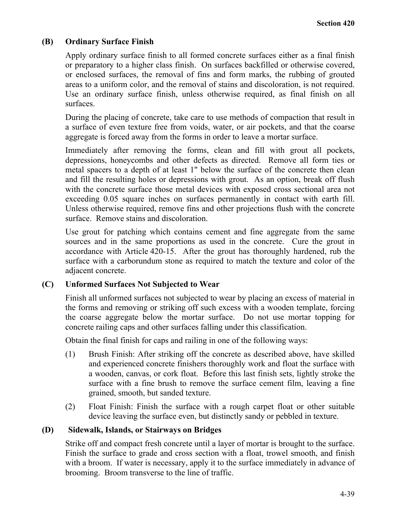# **(B) Ordinary Surface Finish**

Apply ordinary surface finish to all formed concrete surfaces either as a final finish or preparatory to a higher class finish. On surfaces backfilled or otherwise covered, or enclosed surfaces, the removal of fins and form marks, the rubbing of grouted areas to a uniform color, and the removal of stains and discoloration, is not required. Use an ordinary surface finish, unless otherwise required, as final finish on all surfaces.

During the placing of concrete, take care to use methods of compaction that result in a surface of even texture free from voids, water, or air pockets, and that the coarse aggregate is forced away from the forms in order to leave a mortar surface.

Immediately after removing the forms, clean and fill with grout all pockets, depressions, honeycombs and other defects as directed. Remove all form ties or metal spacers to a depth of at least 1" below the surface of the concrete then clean and fill the resulting holes or depressions with grout. As an option, break off flush with the concrete surface those metal devices with exposed cross sectional area not exceeding 0.05 square inches on surfaces permanently in contact with earth fill. Unless otherwise required, remove fins and other projections flush with the concrete surface. Remove stains and discoloration.

Use grout for patching which contains cement and fine aggregate from the same sources and in the same proportions as used in the concrete. Cure the grout in accordance with Article 420-15. After the grout has thoroughly hardened, rub the surface with a carborundum stone as required to match the texture and color of the adjacent concrete.

# **(C) Unformed Surfaces Not Subjected to Wear**

Finish all unformed surfaces not subjected to wear by placing an excess of material in the forms and removing or striking off such excess with a wooden template, forcing the coarse aggregate below the mortar surface. Do not use mortar topping for concrete railing caps and other surfaces falling under this classification.

Obtain the final finish for caps and railing in one of the following ways:

- (1) Brush Finish: After striking off the concrete as described above, have skilled and experienced concrete finishers thoroughly work and float the surface with a wooden, canvas, or cork float. Before this last finish sets, lightly stroke the surface with a fine brush to remove the surface cement film, leaving a fine grained, smooth, but sanded texture.
- (2) Float Finish: Finish the surface with a rough carpet float or other suitable device leaving the surface even, but distinctly sandy or pebbled in texture.

#### **(D) Sidewalk, Islands, or Stairways on Bridges**

Strike off and compact fresh concrete until a layer of mortar is brought to the surface. Finish the surface to grade and cross section with a float, trowel smooth, and finish with a broom. If water is necessary, apply it to the surface immediately in advance of brooming. Broom transverse to the line of traffic.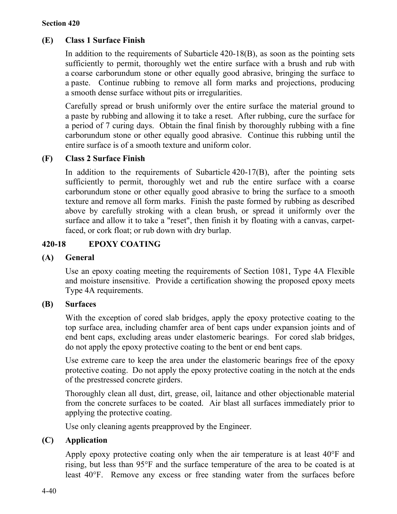#### **Section 420**

# **(E) Class 1 Surface Finish**

In addition to the requirements of Subarticle 420-18(B), as soon as the pointing sets sufficiently to permit, thoroughly wet the entire surface with a brush and rub with a coarse carborundum stone or other equally good abrasive, bringing the surface to a paste. Continue rubbing to remove all form marks and projections, producing a smooth dense surface without pits or irregularities.

Carefully spread or brush uniformly over the entire surface the material ground to a paste by rubbing and allowing it to take a reset. After rubbing, cure the surface for a period of 7 curing days. Obtain the final finish by thoroughly rubbing with a fine carborundum stone or other equally good abrasive. Continue this rubbing until the entire surface is of a smooth texture and uniform color.

## **(F) Class 2 Surface Finish**

In addition to the requirements of Subarticle 420-17(B), after the pointing sets sufficiently to permit, thoroughly wet and rub the entire surface with a coarse carborundum stone or other equally good abrasive to bring the surface to a smooth texture and remove all form marks. Finish the paste formed by rubbing as described above by carefully stroking with a clean brush, or spread it uniformly over the surface and allow it to take a "reset", then finish it by floating with a canvas, carpetfaced, or cork float; or rub down with dry burlap.

# **420-18 EPOXY COATING**

#### **(A) General**

Use an epoxy coating meeting the requirements of Section 1081, Type 4A Flexible and moisture insensitive. Provide a certification showing the proposed epoxy meets Type 4A requirements.

#### **(B) Surfaces**

With the exception of cored slab bridges, apply the epoxy protective coating to the top surface area, including chamfer area of bent caps under expansion joints and of end bent caps, excluding areas under elastomeric bearings. For cored slab bridges, do not apply the epoxy protective coating to the bent or end bent caps.

Use extreme care to keep the area under the elastomeric bearings free of the epoxy protective coating. Do not apply the epoxy protective coating in the notch at the ends of the prestressed concrete girders.

Thoroughly clean all dust, dirt, grease, oil, laitance and other objectionable material from the concrete surfaces to be coated. Air blast all surfaces immediately prior to applying the protective coating.

Use only cleaning agents preapproved by the Engineer.

# **(C) Application**

Apply epoxy protective coating only when the air temperature is at least 40°F and rising, but less than 95°F and the surface temperature of the area to be coated is at least 40°F. Remove any excess or free standing water from the surfaces before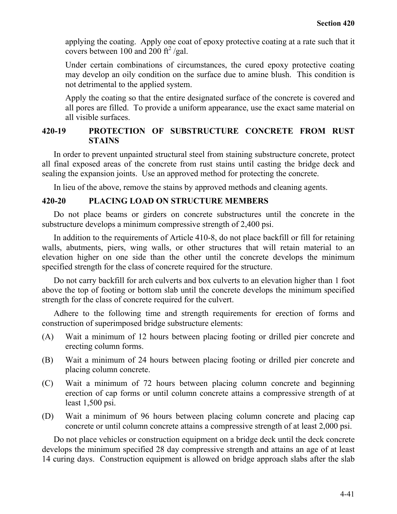applying the coating. Apply one coat of epoxy protective coating at a rate such that it covers between  $100$  and  $200$  ft<sup>2</sup>/gal.

Under certain combinations of circumstances, the cured epoxy protective coating may develop an oily condition on the surface due to amine blush. This condition is not detrimental to the applied system.

Apply the coating so that the entire designated surface of the concrete is covered and all pores are filled. To provide a uniform appearance, use the exact same material on all visible surfaces.

## **420-19 PROTECTION OF SUBSTRUCTURE CONCRETE FROM RUST STAINS**

In order to prevent unpainted structural steel from staining substructure concrete, protect all final exposed areas of the concrete from rust stains until casting the bridge deck and sealing the expansion joints. Use an approved method for protecting the concrete.

In lieu of the above, remove the stains by approved methods and cleaning agents.

#### **420-20 PLACING LOAD ON STRUCTURE MEMBERS**

Do not place beams or girders on concrete substructures until the concrete in the substructure develops a minimum compressive strength of 2,400 psi.

In addition to the requirements of Article 410-8, do not place backfill or fill for retaining walls, abutments, piers, wing walls, or other structures that will retain material to an elevation higher on one side than the other until the concrete develops the minimum specified strength for the class of concrete required for the structure.

Do not carry backfill for arch culverts and box culverts to an elevation higher than 1 foot above the top of footing or bottom slab until the concrete develops the minimum specified strength for the class of concrete required for the culvert.

Adhere to the following time and strength requirements for erection of forms and construction of superimposed bridge substructure elements:

- (A) Wait a minimum of 12 hours between placing footing or drilled pier concrete and erecting column forms.
- (B) Wait a minimum of 24 hours between placing footing or drilled pier concrete and placing column concrete.
- (C) Wait a minimum of 72 hours between placing column concrete and beginning erection of cap forms or until column concrete attains a compressive strength of at least 1,500 psi.
- (D) Wait a minimum of 96 hours between placing column concrete and placing cap concrete or until column concrete attains a compressive strength of at least 2,000 psi.

Do not place vehicles or construction equipment on a bridge deck until the deck concrete develops the minimum specified 28 day compressive strength and attains an age of at least 14 curing days. Construction equipment is allowed on bridge approach slabs after the slab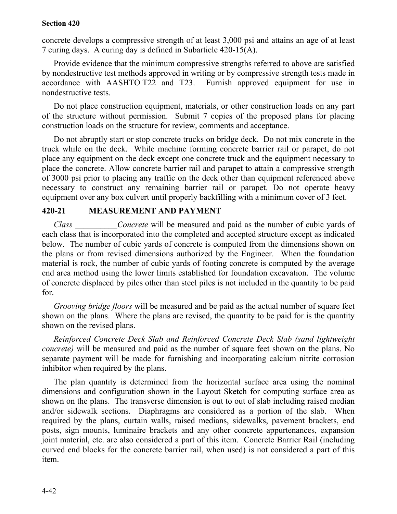#### **Section 420**

concrete develops a compressive strength of at least 3,000 psi and attains an age of at least 7 curing days. A curing day is defined in Subarticle 420-15(A).

Provide evidence that the minimum compressive strengths referred to above are satisfied by nondestructive test methods approved in writing or by compressive strength tests made in accordance with AASHTO T22 and T23. Furnish approved equipment for use in nondestructive tests.

Do not place construction equipment, materials, or other construction loads on any part of the structure without permission. Submit 7 copies of the proposed plans for placing construction loads on the structure for review, comments and acceptance.

Do not abruptly start or stop concrete trucks on bridge deck. Do not mix concrete in the truck while on the deck. While machine forming concrete barrier rail or parapet, do not place any equipment on the deck except one concrete truck and the equipment necessary to place the concrete. Allow concrete barrier rail and parapet to attain a compressive strength of 3000 psi prior to placing any traffic on the deck other than equipment referenced above necessary to construct any remaining barrier rail or parapet. Do not operate heavy equipment over any box culvert until properly backfilling with a minimum cover of 3 feet.

# **420-21 MEASUREMENT AND PAYMENT**

*Class Concrete* will be measured and paid as the number of cubic yards of each class that is incorporated into the completed and accepted structure except as indicated below. The number of cubic yards of concrete is computed from the dimensions shown on the plans or from revised dimensions authorized by the Engineer. When the foundation material is rock, the number of cubic yards of footing concrete is computed by the average end area method using the lower limits established for foundation excavation. The volume of concrete displaced by piles other than steel piles is not included in the quantity to be paid for.

*Grooving bridge floors* will be measured and be paid as the actual number of square feet shown on the plans. Where the plans are revised, the quantity to be paid for is the quantity shown on the revised plans.

*Reinforced Concrete Deck Slab and Reinforced Concrete Deck Slab (sand lightweight concrete)* will be measured and paid as the number of square feet shown on the plans. No separate payment will be made for furnishing and incorporating calcium nitrite corrosion inhibitor when required by the plans.

The plan quantity is determined from the horizontal surface area using the nominal dimensions and configuration shown in the Layout Sketch for computing surface area as shown on the plans. The transverse dimension is out to out of slab including raised median and/or sidewalk sections. Diaphragms are considered as a portion of the slab. When required by the plans, curtain walls, raised medians, sidewalks, pavement brackets, end posts, sign mounts, luminaire brackets and any other concrete appurtenances, expansion joint material, etc. are also considered a part of this item. Concrete Barrier Rail (including curved end blocks for the concrete barrier rail, when used) is not considered a part of this item.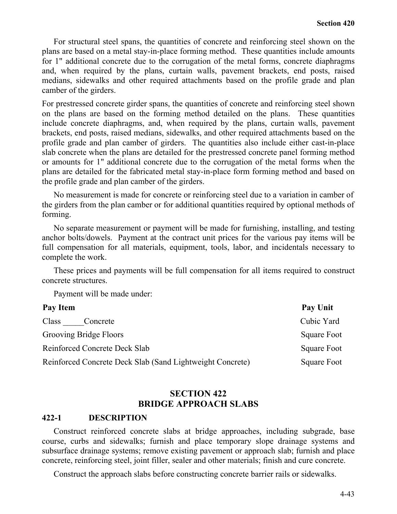For structural steel spans, the quantities of concrete and reinforcing steel shown on the plans are based on a metal stay-in-place forming method. These quantities include amounts for 1" additional concrete due to the corrugation of the metal forms, concrete diaphragms and, when required by the plans, curtain walls, pavement brackets, end posts, raised medians, sidewalks and other required attachments based on the profile grade and plan camber of the girders.

For prestressed concrete girder spans, the quantities of concrete and reinforcing steel shown on the plans are based on the forming method detailed on the plans. These quantities include concrete diaphragms, and, when required by the plans, curtain walls, pavement brackets, end posts, raised medians, sidewalks, and other required attachments based on the profile grade and plan camber of girders. The quantities also include either cast-in-place slab concrete when the plans are detailed for the prestressed concrete panel forming method or amounts for 1" additional concrete due to the corrugation of the metal forms when the plans are detailed for the fabricated metal stay-in-place form forming method and based on the profile grade and plan camber of the girders.

No measurement is made for concrete or reinforcing steel due to a variation in camber of the girders from the plan camber or for additional quantities required by optional methods of forming.

No separate measurement or payment will be made for furnishing, installing, and testing anchor bolts/dowels. Payment at the contract unit prices for the various pay items will be full compensation for all materials, equipment, tools, labor, and incidentals necessary to complete the work.

These prices and payments will be full compensation for all items required to construct concrete structures.

Payment will be made under:

| Pay Item                                                  | Pay Unit    |
|-----------------------------------------------------------|-------------|
| Class<br>Concrete                                         | Cubic Yard  |
| Grooving Bridge Floors                                    | Square Foot |
| <b>Reinforced Concrete Deck Slab</b>                      | Square Foot |
| Reinforced Concrete Deck Slab (Sand Lightweight Concrete) | Square Foot |

# **SECTION 422 BRIDGE APPROACH SLABS**

## **422-1 DESCRIPTION**

Construct reinforced concrete slabs at bridge approaches, including subgrade, base course, curbs and sidewalks; furnish and place temporary slope drainage systems and subsurface drainage systems; remove existing pavement or approach slab; furnish and place concrete, reinforcing steel, joint filler, sealer and other materials; finish and cure concrete.

Construct the approach slabs before constructing concrete barrier rails or sidewalks.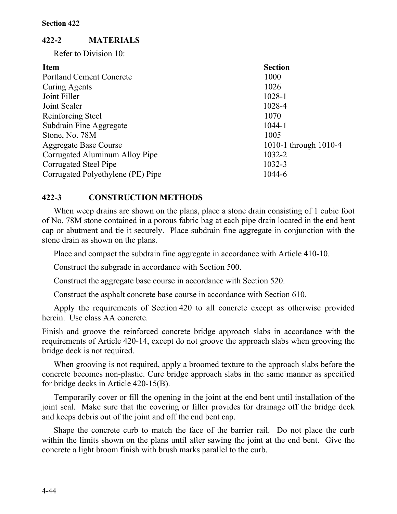# **422-2 MATERIALS**

Refer to Division 10:

| <b>Section</b>        |
|-----------------------|
| 1000                  |
| 1026                  |
| 1028-1                |
| 1028-4                |
| 1070                  |
| 1044-1                |
| 1005                  |
| 1010-1 through 1010-4 |
| 1032-2                |
| 1032-3                |
| 1044-6                |
|                       |

# **422-3 CONSTRUCTION METHODS**

When weep drains are shown on the plans, place a stone drain consisting of 1 cubic foot of No. 78M stone contained in a porous fabric bag at each pipe drain located in the end bent cap or abutment and tie it securely. Place subdrain fine aggregate in conjunction with the stone drain as shown on the plans.

Place and compact the subdrain fine aggregate in accordance with Article 410-10.

Construct the subgrade in accordance with Section 500.

Construct the aggregate base course in accordance with Section 520.

Construct the asphalt concrete base course in accordance with Section 610.

Apply the requirements of Section 420 to all concrete except as otherwise provided herein. Use class AA concrete.

Finish and groove the reinforced concrete bridge approach slabs in accordance with the requirements of Article 420-14, except do not groove the approach slabs when grooving the bridge deck is not required.

When grooving is not required, apply a broomed texture to the approach slabs before the concrete becomes non-plastic. Cure bridge approach slabs in the same manner as specified for bridge decks in Article 420-15(B).

Temporarily cover or fill the opening in the joint at the end bent until installation of the joint seal. Make sure that the covering or filler provides for drainage off the bridge deck and keeps debris out of the joint and off the end bent cap.

Shape the concrete curb to match the face of the barrier rail. Do not place the curb within the limits shown on the plans until after sawing the joint at the end bent. Give the concrete a light broom finish with brush marks parallel to the curb.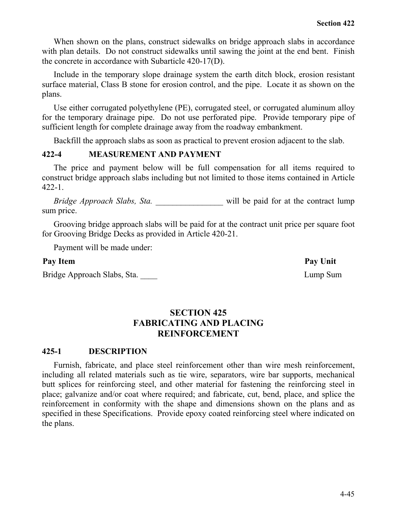When shown on the plans, construct sidewalks on bridge approach slabs in accordance with plan details. Do not construct sidewalks until sawing the joint at the end bent. Finish the concrete in accordance with Subarticle 420-17(D).

Include in the temporary slope drainage system the earth ditch block, erosion resistant surface material, Class B stone for erosion control, and the pipe. Locate it as shown on the plans.

Use either corrugated polyethylene (PE), corrugated steel, or corrugated aluminum alloy for the temporary drainage pipe. Do not use perforated pipe. Provide temporary pipe of sufficient length for complete drainage away from the roadway embankment.

Backfill the approach slabs as soon as practical to prevent erosion adjacent to the slab.

# **422-4 MEASUREMENT AND PAYMENT**

The price and payment below will be full compensation for all items required to construct bridge approach slabs including but not limited to those items contained in Article 422-1.

*Bridge Approach Slabs, Sta.* **a** will be paid for at the contract lump sum price.

Grooving bridge approach slabs will be paid for at the contract unit price per square foot for Grooving Bridge Decks as provided in Article 420-21.

Payment will be made under:

Bridge Approach Slabs, Sta. **Lump Sum** 

# **SECTION 425 FABRICATING AND PLACING REINFORCEMENT**

# **425-1 DESCRIPTION**

Furnish, fabricate, and place steel reinforcement other than wire mesh reinforcement, including all related materials such as tie wire, separators, wire bar supports, mechanical butt splices for reinforcing steel, and other material for fastening the reinforcing steel in place; galvanize and/or coat where required; and fabricate, cut, bend, place, and splice the reinforcement in conformity with the shape and dimensions shown on the plans and as specified in these Specifications. Provide epoxy coated reinforcing steel where indicated on the plans.

Pay Item Pay Unit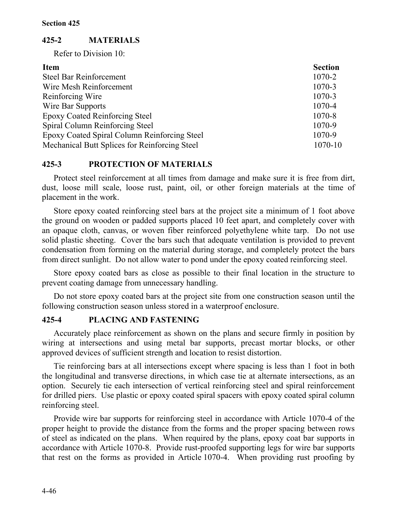# **425-2 MATERIALS**

Refer to Division 10:

| <b>Item</b>                                   | <b>Section</b> |
|-----------------------------------------------|----------------|
| <b>Steel Bar Reinforcement</b>                | 1070-2         |
| Wire Mesh Reinforcement                       | 1070-3         |
| Reinforcing Wire                              | 1070-3         |
| Wire Bar Supports                             | 1070-4         |
| <b>Epoxy Coated Reinforcing Steel</b>         | 1070-8         |
| Spiral Column Reinforcing Steel               | 1070-9         |
| Epoxy Coated Spiral Column Reinforcing Steel  | 1070-9         |
| Mechanical Butt Splices for Reinforcing Steel | $1070 - 10$    |

# **425-3 PROTECTION OF MATERIALS**

Protect steel reinforcement at all times from damage and make sure it is free from dirt, dust, loose mill scale, loose rust, paint, oil, or other foreign materials at the time of placement in the work.

Store epoxy coated reinforcing steel bars at the project site a minimum of 1 foot above the ground on wooden or padded supports placed 10 feet apart, and completely cover with an opaque cloth, canvas, or woven fiber reinforced polyethylene white tarp. Do not use solid plastic sheeting. Cover the bars such that adequate ventilation is provided to prevent condensation from forming on the material during storage, and completely protect the bars from direct sunlight. Do not allow water to pond under the epoxy coated reinforcing steel.

Store epoxy coated bars as close as possible to their final location in the structure to prevent coating damage from unnecessary handling.

Do not store epoxy coated bars at the project site from one construction season until the following construction season unless stored in a waterproof enclosure.

# **425-4 PLACING AND FASTENING**

Accurately place reinforcement as shown on the plans and secure firmly in position by wiring at intersections and using metal bar supports, precast mortar blocks, or other approved devices of sufficient strength and location to resist distortion.

Tie reinforcing bars at all intersections except where spacing is less than 1 foot in both the longitudinal and transverse directions, in which case tie at alternate intersections, as an option. Securely tie each intersection of vertical reinforcing steel and spiral reinforcement for drilled piers. Use plastic or epoxy coated spiral spacers with epoxy coated spiral column reinforcing steel.

Provide wire bar supports for reinforcing steel in accordance with Article 1070-4 of the proper height to provide the distance from the forms and the proper spacing between rows of steel as indicated on the plans. When required by the plans, epoxy coat bar supports in accordance with Article 1070-8. Provide rust-proofed supporting legs for wire bar supports that rest on the forms as provided in Article 1070-4. When providing rust proofing by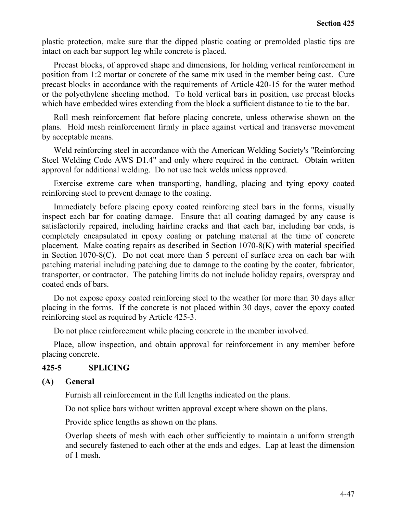plastic protection, make sure that the dipped plastic coating or premolded plastic tips are intact on each bar support leg while concrete is placed.

Precast blocks, of approved shape and dimensions, for holding vertical reinforcement in position from 1:2 mortar or concrete of the same mix used in the member being cast. Cure precast blocks in accordance with the requirements of Article 420-15 for the water method or the polyethylene sheeting method. To hold vertical bars in position, use precast blocks which have embedded wires extending from the block a sufficient distance to tie to the bar.

Roll mesh reinforcement flat before placing concrete, unless otherwise shown on the plans. Hold mesh reinforcement firmly in place against vertical and transverse movement by acceptable means.

Weld reinforcing steel in accordance with the American Welding Society's "Reinforcing Steel Welding Code AWS D1.4" and only where required in the contract. Obtain written approval for additional welding. Do not use tack welds unless approved.

Exercise extreme care when transporting, handling, placing and tying epoxy coated reinforcing steel to prevent damage to the coating.

Immediately before placing epoxy coated reinforcing steel bars in the forms, visually inspect each bar for coating damage. Ensure that all coating damaged by any cause is satisfactorily repaired, including hairline cracks and that each bar, including bar ends, is completely encapsulated in epoxy coating or patching material at the time of concrete placement. Make coating repairs as described in Section 1070-8(K) with material specified in Section 1070-8(C). Do not coat more than 5 percent of surface area on each bar with patching material including patching due to damage to the coating by the coater, fabricator, transporter, or contractor. The patching limits do not include holiday repairs, overspray and coated ends of bars.

Do not expose epoxy coated reinforcing steel to the weather for more than 30 days after placing in the forms. If the concrete is not placed within 30 days, cover the epoxy coated reinforcing steel as required by Article 425-3.

Do not place reinforcement while placing concrete in the member involved.

Place, allow inspection, and obtain approval for reinforcement in any member before placing concrete.

# **425-5 SPLICING**

#### **(A) General**

Furnish all reinforcement in the full lengths indicated on the plans.

Do not splice bars without written approval except where shown on the plans.

Provide splice lengths as shown on the plans.

Overlap sheets of mesh with each other sufficiently to maintain a uniform strength and securely fastened to each other at the ends and edges. Lap at least the dimension of 1 mesh.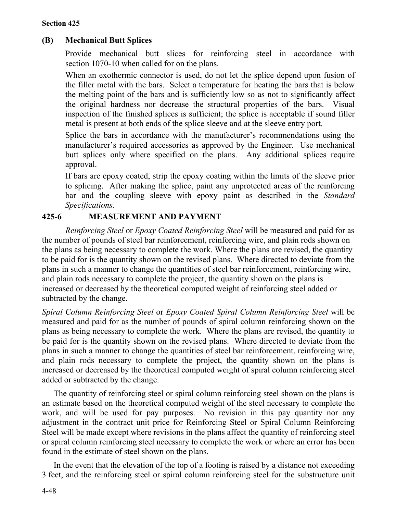## **Section 425**

# **(B) Mechanical Butt Splices**

Provide mechanical butt slices for reinforcing steel in accordance with section 1070-10 when called for on the plans.

When an exothermic connector is used, do not let the splice depend upon fusion of the filler metal with the bars. Select a temperature for heating the bars that is below the melting point of the bars and is sufficiently low so as not to significantly affect the original hardness nor decrease the structural properties of the bars. Visual inspection of the finished splices is sufficient; the splice is acceptable if sound filler metal is present at both ends of the splice sleeve and at the sleeve entry port.

Splice the bars in accordance with the manufacturer's recommendations using the manufacturer's required accessories as approved by the Engineer. Use mechanical butt splices only where specified on the plans. Any additional splices require approval.

If bars are epoxy coated, strip the epoxy coating within the limits of the sleeve prior to splicing. After making the splice, paint any unprotected areas of the reinforcing bar and the coupling sleeve with epoxy paint as described in the *Standard Specifications.*

# **425-6 MEASUREMENT AND PAYMENT**

*Reinforcing Steel* or *Epoxy Coated Reinforcing Steel* will be measured and paid for as the number of pounds of steel bar reinforcement, reinforcing wire, and plain rods shown on the plans as being necessary to complete the work. Where the plans are revised, the quantity to be paid for is the quantity shown on the revised plans. Where directed to deviate from the plans in such a manner to change the quantities of steel bar reinforcement, reinforcing wire, and plain rods necessary to complete the project, the quantity shown on the plans is increased or decreased by the theoretical computed weight of reinforcing steel added or subtracted by the change.

*Spiral Column Reinforcing Steel* or *Epoxy Coated Spiral Column Reinforcing Steel* will be measured and paid for as the number of pounds of spiral column reinforcing shown on the plans as being necessary to complete the work. Where the plans are revised, the quantity to be paid for is the quantity shown on the revised plans. Where directed to deviate from the plans in such a manner to change the quantities of steel bar reinforcement, reinforcing wire, and plain rods necessary to complete the project, the quantity shown on the plans is increased or decreased by the theoretical computed weight of spiral column reinforcing steel added or subtracted by the change.

The quantity of reinforcing steel or spiral column reinforcing steel shown on the plans is an estimate based on the theoretical computed weight of the steel necessary to complete the work, and will be used for pay purposes. No revision in this pay quantity nor any adjustment in the contract unit price for Reinforcing Steel or Spiral Column Reinforcing Steel will be made except where revisions in the plans affect the quantity of reinforcing steel or spiral column reinforcing steel necessary to complete the work or where an error has been found in the estimate of steel shown on the plans.

In the event that the elevation of the top of a footing is raised by a distance not exceeding 3 feet, and the reinforcing steel or spiral column reinforcing steel for the substructure unit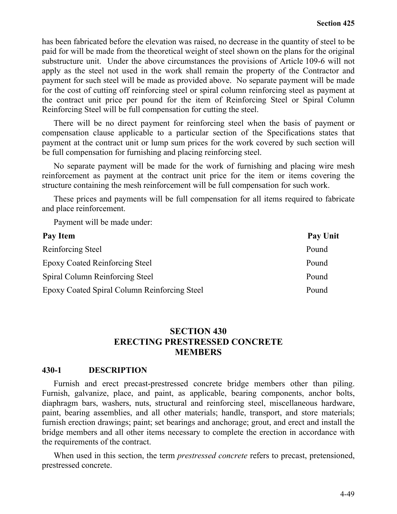has been fabricated before the elevation was raised, no decrease in the quantity of steel to be paid for will be made from the theoretical weight of steel shown on the plans for the original substructure unit.Under the above circumstances the provisions of Article 109-6 will not apply as the steel not used in the work shall remain the property of the Contractor and payment for such steel will be made as provided above. No separate payment will be made for the cost of cutting off reinforcing steel or spiral column reinforcing steel as payment at the contract unit price per pound for the item of Reinforcing Steel or Spiral Column Reinforcing Steel will be full compensation for cutting the steel.

There will be no direct payment for reinforcing steel when the basis of payment or compensation clause applicable to a particular section of the Specifications states that payment at the contract unit or lump sum prices for the work covered by such section will be full compensation for furnishing and placing reinforcing steel.

No separate payment will be made for the work of furnishing and placing wire mesh reinforcement as payment at the contract unit price for the item or items covering the structure containing the mesh reinforcement will be full compensation for such work.

These prices and payments will be full compensation for all items required to fabricate and place reinforcement.

Payment will be made under:

| Pay Item                                     | Pay Unit |
|----------------------------------------------|----------|
| Reinforcing Steel                            | Pound    |
| <b>Epoxy Coated Reinforcing Steel</b>        | Pound    |
| Spiral Column Reinforcing Steel              | Pound    |
| Epoxy Coated Spiral Column Reinforcing Steel | Pound    |

# **SECTION 430 ERECTING PRESTRESSED CONCRETE MEMBERS**

#### **430-1 DESCRIPTION**

Furnish and erect precast-prestressed concrete bridge members other than piling. Furnish, galvanize, place, and paint, as applicable, bearing components, anchor bolts, diaphragm bars, washers, nuts, structural and reinforcing steel, miscellaneous hardware, paint, bearing assemblies, and all other materials; handle, transport, and store materials; furnish erection drawings; paint; set bearings and anchorage; grout, and erect and install the bridge members and all other items necessary to complete the erection in accordance with the requirements of the contract.

When used in this section, the term *prestressed concrete* refers to precast, pretensioned, prestressed concrete.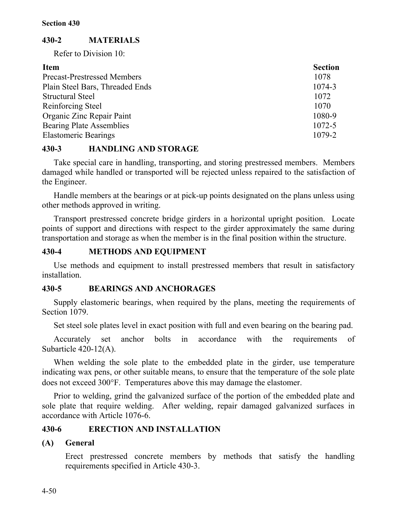# **430-2 MATERIALS**

Refer to Division 10:

| <b>Item</b>                        | <b>Section</b> |
|------------------------------------|----------------|
| <b>Precast-Prestressed Members</b> | 1078           |
| Plain Steel Bars, Threaded Ends    | 1074-3         |
| <b>Structural Steel</b>            | 1072           |
| Reinforcing Steel                  | 1070           |
| Organic Zinc Repair Paint          | 1080-9         |
| <b>Bearing Plate Assemblies</b>    | 1072-5         |
| <b>Elastomeric Bearings</b>        | 1079-2         |

# **430-3 HANDLING AND STORAGE**

Take special care in handling, transporting, and storing prestressed members. Members damaged while handled or transported will be rejected unless repaired to the satisfaction of the Engineer.

Handle members at the bearings or at pick-up points designated on the plans unless using other methods approved in writing.

Transport prestressed concrete bridge girders in a horizontal upright position. Locate points of support and directions with respect to the girder approximately the same during transportation and storage as when the member is in the final position within the structure.

# **430-4 METHODS AND EQUIPMENT**

Use methods and equipment to install prestressed members that result in satisfactory installation.

# **430-5 BEARINGS AND ANCHORAGES**

Supply elastomeric bearings, when required by the plans, meeting the requirements of Section 1079.

Set steel sole plates level in exact position with full and even bearing on the bearing pad.

Accurately set anchor bolts in accordance with the requirements of Subarticle 420-12(A).

When welding the sole plate to the embedded plate in the girder, use temperature indicating wax pens, or other suitable means, to ensure that the temperature of the sole plate does not exceed 300°F. Temperatures above this may damage the elastomer.

Prior to welding, grind the galvanized surface of the portion of the embedded plate and sole plate that require welding. After welding, repair damaged galvanized surfaces in accordance with Article 1076-6.

# **430-6 ERECTION AND INSTALLATION**

# **(A) General**

Erect prestressed concrete members by methods that satisfy the handling requirements specified in Article 430-3.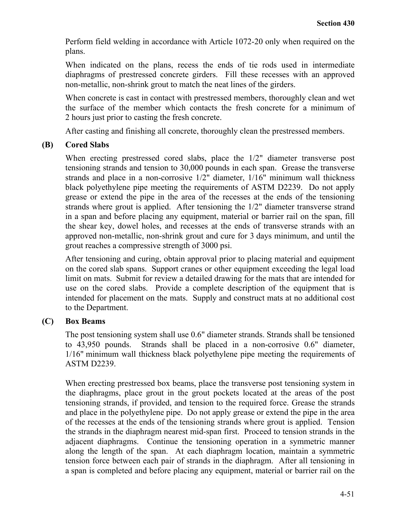Perform field welding in accordance with Article 1072-20 only when required on the plans.

When indicated on the plans, recess the ends of tie rods used in intermediate diaphragms of prestressed concrete girders. Fill these recesses with an approved non-metallic, non-shrink grout to match the neat lines of the girders.

When concrete is cast in contact with prestressed members, thoroughly clean and wet the surface of the member which contacts the fresh concrete for a minimum of 2 hours just prior to casting the fresh concrete.

After casting and finishing all concrete, thoroughly clean the prestressed members.

## **(B) Cored Slabs**

When erecting prestressed cored slabs, place the 1/2" diameter transverse post tensioning strands and tension to 30,000 pounds in each span. Grease the transverse strands and place in a non-corrosive 1/2" diameter, 1/16" minimum wall thickness black polyethylene pipe meeting the requirements of ASTM D2239. Do not apply grease or extend the pipe in the area of the recesses at the ends of the tensioning strands where grout is applied. After tensioning the 1/2" diameter transverse strand in a span and before placing any equipment, material or barrier rail on the span, fill the shear key, dowel holes, and recesses at the ends of transverse strands with an approved non-metallic, non-shrink grout and cure for 3 days minimum, and until the grout reaches a compressive strength of 3000 psi.

After tensioning and curing, obtain approval prior to placing material and equipment on the cored slab spans. Support cranes or other equipment exceeding the legal load limit on mats. Submit for review a detailed drawing for the mats that are intended for use on the cored slabs. Provide a complete description of the equipment that is intended for placement on the mats. Supply and construct mats at no additional cost to the Department.

# **(C) Box Beams**

The post tensioning system shall use 0.6" diameter strands. Strands shall be tensioned to 43,950 pounds. Strands shall be placed in a non-corrosive 0.6" diameter, 1/16" minimum wall thickness black polyethylene pipe meeting the requirements of ASTM D2239.

When erecting prestressed box beams, place the transverse post tensioning system in the diaphragms, place grout in the grout pockets located at the areas of the post tensioning strands, if provided, and tension to the required force. Grease the strands and place in the polyethylene pipe. Do not apply grease or extend the pipe in the area of the recesses at the ends of the tensioning strands where grout is applied. Tension the strands in the diaphragm nearest mid-span first. Proceed to tension strands in the adjacent diaphragms. Continue the tensioning operation in a symmetric manner along the length of the span. At each diaphragm location, maintain a symmetric tension force between each pair of strands in the diaphragm. After all tensioning in a span is completed and before placing any equipment, material or barrier rail on the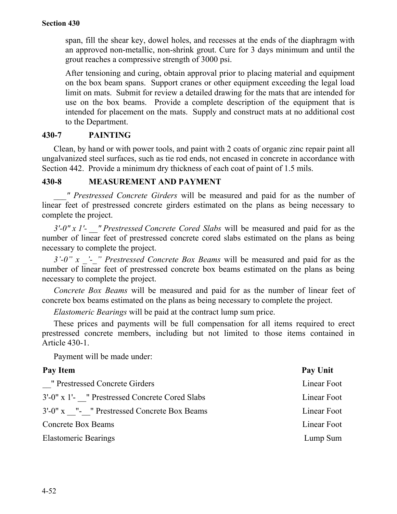span, fill the shear key, dowel holes, and recesses at the ends of the diaphragm with an approved non-metallic, non-shrink grout. Cure for 3 days minimum and until the grout reaches a compressive strength of 3000 psi.

After tensioning and curing, obtain approval prior to placing material and equipment on the box beam spans. Support cranes or other equipment exceeding the legal load limit on mats. Submit for review a detailed drawing for the mats that are intended for use on the box beams. Provide a complete description of the equipment that is intended for placement on the mats. Supply and construct mats at no additional cost to the Department.

## **430-7 PAINTING**

Clean, by hand or with power tools, and paint with 2 coats of organic zinc repair paint all ungalvanized steel surfaces, such as tie rod ends, not encased in concrete in accordance with Section 442. Provide a minimum dry thickness of each coat of paint of 1.5 mils.

## **430-8 MEASUREMENT AND PAYMENT**

*\_\_\_" Prestressed Concrete Girders* will be measured and paid for as the number of linear feet of prestressed concrete girders estimated on the plans as being necessary to complete the project.

*3'-0" x 1'- \_\_" Prestressed Concrete Cored Slabs* will be measured and paid for as the number of linear feet of prestressed concrete cored slabs estimated on the plans as being necessary to complete the project.

*3'-0" x \_'-\_" Prestressed Concrete Box Beams* will be measured and paid for as the number of linear feet of prestressed concrete box beams estimated on the plans as being necessary to complete the project.

*Concrete Box Beams* will be measured and paid for as the number of linear feet of concrete box beams estimated on the plans as being necessary to complete the project.

*Elastomeric Bearings* will be paid at the contract lump sum price.

These prices and payments will be full compensation for all items required to erect prestressed concrete members, including but not limited to those items contained in Article 430-1.

Payment will be made under:

| Pay Item                                       | Pay Unit    |
|------------------------------------------------|-------------|
| " Prestressed Concrete Girders                 | Linear Foot |
| 3'-0" x 1'- " Prestressed Concrete Cored Slabs | Linear Foot |
| 3'-0" x "- " Prestressed Concrete Box Beams    | Linear Foot |
| <b>Concrete Box Beams</b>                      | Linear Foot |
| <b>Elastomeric Bearings</b>                    | Lump Sum    |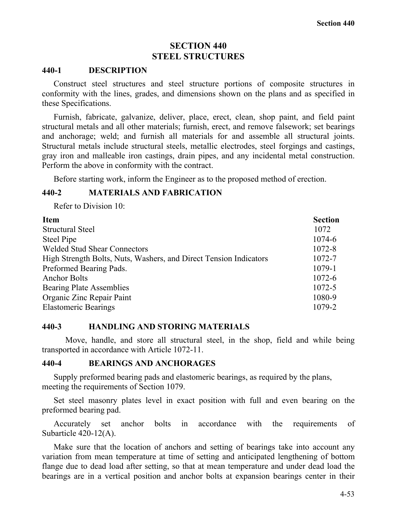## **SECTION 440 STEEL STRUCTURES**

#### **440-1 DESCRIPTION**

Construct steel structures and steel structure portions of composite structures in conformity with the lines, grades, and dimensions shown on the plans and as specified in these Specifications.

Furnish, fabricate, galvanize, deliver, place, erect, clean, shop paint, and field paint structural metals and all other materials; furnish, erect, and remove falsework; set bearings and anchorage; weld; and furnish all materials for and assemble all structural joints. Structural metals include structural steels, metallic electrodes, steel forgings and castings, gray iron and malleable iron castings, drain pipes, and any incidental metal construction. Perform the above in conformity with the contract.

Before starting work, inform the Engineer as to the proposed method of erection.

#### **440-2 MATERIALS AND FABRICATION**

Refer to Division 10:

| <b>Item</b>                                                       | <b>Section</b> |
|-------------------------------------------------------------------|----------------|
| <b>Structural Steel</b>                                           | 1072           |
| Steel Pipe                                                        | 1074-6         |
| <b>Welded Stud Shear Connectors</b>                               | 1072-8         |
| High Strength Bolts, Nuts, Washers, and Direct Tension Indicators | 1072-7         |
| Preformed Bearing Pads.                                           | 1079-1         |
| <b>Anchor Bolts</b>                                               | $1072 - 6$     |
| <b>Bearing Plate Assemblies</b>                                   | 1072-5         |
| Organic Zinc Repair Paint                                         | 1080-9         |
| <b>Elastomeric Bearings</b>                                       | 1079-2         |

#### **440-3 HANDLING AND STORING MATERIALS**

Move, handle, and store all structural steel, in the shop, field and while being transported in accordance with Article 1072-11.

#### **440-4 BEARINGS AND ANCHORAGES**

Supply preformed bearing pads and elastomeric bearings, as required by the plans, meeting the requirements of Section 1079.

Set steel masonry plates level in exact position with full and even bearing on the preformed bearing pad.

Accurately set anchor bolts in accordance with the requirements of Subarticle 420-12(A).

Make sure that the location of anchors and setting of bearings take into account any variation from mean temperature at time of setting and anticipated lengthening of bottom flange due to dead load after setting, so that at mean temperature and under dead load the bearings are in a vertical position and anchor bolts at expansion bearings center in their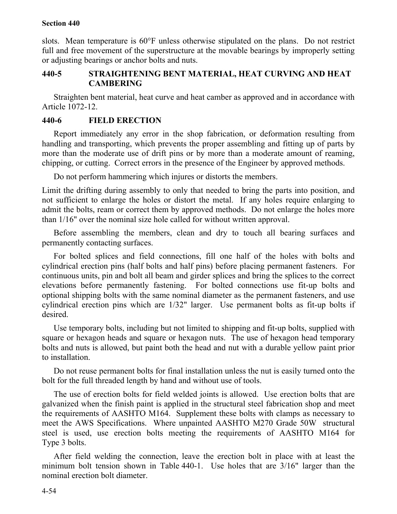#### **Section 440**

slots. Mean temperature is 60°F unless otherwise stipulated on the plans. Do not restrict full and free movement of the superstructure at the movable bearings by improperly setting or adjusting bearings or anchor bolts and nuts.

# **440-5 STRAIGHTENING BENT MATERIAL, HEAT CURVING AND HEAT CAMBERING**

Straighten bent material, heat curve and heat camber as approved and in accordance with Article 1072-12.

# **440-6 FIELD ERECTION**

Report immediately any error in the shop fabrication, or deformation resulting from handling and transporting, which prevents the proper assembling and fitting up of parts by more than the moderate use of drift pins or by more than a moderate amount of reaming, chipping, or cutting. Correct errors in the presence of the Engineer by approved methods.

Do not perform hammering which injures or distorts the members.

Limit the drifting during assembly to only that needed to bring the parts into position, and not sufficient to enlarge the holes or distort the metal. If any holes require enlarging to admit the bolts, ream or correct them by approved methods. Do not enlarge the holes more than 1/16" over the nominal size hole called for without written approval.

Before assembling the members, clean and dry to touch all bearing surfaces and permanently contacting surfaces.

For bolted splices and field connections, fill one half of the holes with bolts and cylindrical erection pins (half bolts and half pins) before placing permanent fasteners. For continuous units, pin and bolt all beam and girder splices and bring the splices to the correct elevations before permanently fastening. For bolted connections use fit-up bolts and optional shipping bolts with the same nominal diameter as the permanent fasteners, and use cylindrical erection pins which are 1/32" larger. Use permanent bolts as fit-up bolts if desired.

Use temporary bolts, including but not limited to shipping and fit-up bolts, supplied with square or hexagon heads and square or hexagon nuts. The use of hexagon head temporary bolts and nuts is allowed, but paint both the head and nut with a durable yellow paint prior to installation.

Do not reuse permanent bolts for final installation unless the nut is easily turned onto the bolt for the full threaded length by hand and without use of tools.

The use of erection bolts for field welded joints is allowed. Use erection bolts that are galvanized when the finish paint is applied in the structural steel fabrication shop and meet the requirements of AASHTO M164. Supplement these bolts with clamps as necessary to meet the AWS Specifications. Where unpainted AASHTO M270 Grade 50W structural steel is used, use erection bolts meeting the requirements of AASHTO M164 for Type 3 bolts.

After field welding the connection, leave the erection bolt in place with at least the minimum bolt tension shown in Table 440-1. Use holes that are 3/16" larger than the nominal erection bolt diameter.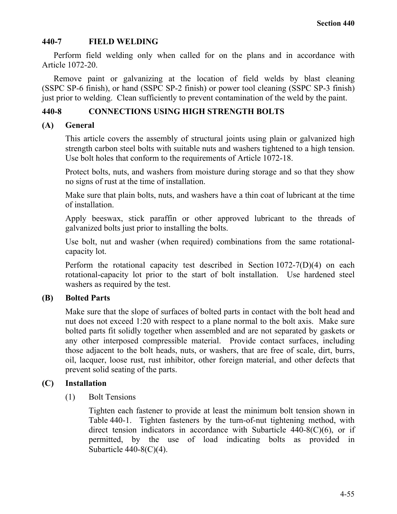# **440-7 FIELD WELDING**

Perform field welding only when called for on the plans and in accordance with Article 1072-20.

Remove paint or galvanizing at the location of field welds by blast cleaning (SSPC SP-6 finish), or hand (SSPC SP-2 finish) or power tool cleaning (SSPC SP-3 finish) just prior to welding. Clean sufficiently to prevent contamination of the weld by the paint.

# **440-8 CONNECTIONS USING HIGH STRENGTH BOLTS**

# **(A) General**

This article covers the assembly of structural joints using plain or galvanized high strength carbon steel bolts with suitable nuts and washers tightened to a high tension. Use bolt holes that conform to the requirements of Article 1072-18.

Protect bolts, nuts, and washers from moisture during storage and so that they show no signs of rust at the time of installation.

Make sure that plain bolts, nuts, and washers have a thin coat of lubricant at the time of installation.

Apply beeswax, stick paraffin or other approved lubricant to the threads of galvanized bolts just prior to installing the bolts.

Use bolt, nut and washer (when required) combinations from the same rotationalcapacity lot.

Perform the rotational capacity test described in Section 1072-7(D)(4) on each rotational-capacity lot prior to the start of bolt installation. Use hardened steel washers as required by the test.

# **(B) Bolted Parts**

Make sure that the slope of surfaces of bolted parts in contact with the bolt head and nut does not exceed 1:20 with respect to a plane normal to the bolt axis. Make sure bolted parts fit solidly together when assembled and are not separated by gaskets or any other interposed compressible material. Provide contact surfaces, including those adjacent to the bolt heads, nuts, or washers, that are free of scale, dirt, burrs, oil, lacquer, loose rust, rust inhibitor, other foreign material, and other defects that prevent solid seating of the parts.

# **(C) Installation**

(1) Bolt Tensions

Tighten each fastener to provide at least the minimum bolt tension shown in Table 440-1. Tighten fasteners by the turn-of-nut tightening method, with direct tension indicators in accordance with Subarticle  $440-8(C)(6)$ , or if permitted, by the use of load indicating bolts as provided in Subarticle  $440-8(C)(4)$ .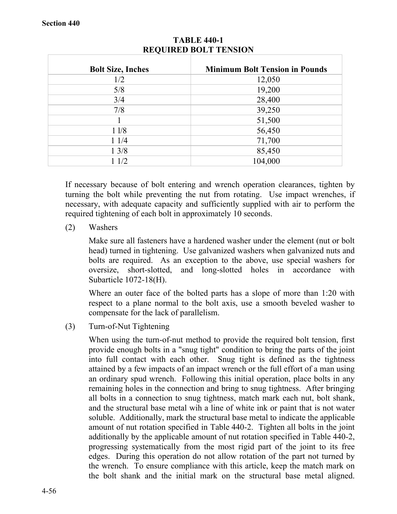| <b>Bolt Size, Inches</b> | <b>Minimum Bolt Tension in Pounds</b> |
|--------------------------|---------------------------------------|
| 1/2                      | 12,050                                |
| 5/8                      | 19,200                                |
| 3/4                      | 28,400                                |
| 7/8                      | 39,250                                |
|                          | 51,500                                |
| 11/8                     | 56,450                                |
| 11/4                     | 71,700                                |
| $1 \frac{3}{8}$          | 85,450                                |
| 11/2                     | 104,000                               |

# **TABLE 440-1 REQUIRED BOLT TENSION**

If necessary because of bolt entering and wrench operation clearances, tighten by turning the bolt while preventing the nut from rotating. Use impact wrenches, if necessary, with adequate capacity and sufficiently supplied with air to perform the required tightening of each bolt in approximately 10 seconds.

(2) Washers

Make sure all fasteners have a hardened washer under the element (nut or bolt head) turned in tightening. Use galvanized washers when galvanized nuts and bolts are required. As an exception to the above, use special washers for oversize, short-slotted, and long-slotted holes in accordance with Subarticle 1072-18(H).

Where an outer face of the bolted parts has a slope of more than 1:20 with respect to a plane normal to the bolt axis, use a smooth beveled washer to compensate for the lack of parallelism.

(3) Turn-of-Nut Tightening

When using the turn-of-nut method to provide the required bolt tension, first provide enough bolts in a "snug tight" condition to bring the parts of the joint into full contact with each other. Snug tight is defined as the tightness attained by a few impacts of an impact wrench or the full effort of a man using an ordinary spud wrench. Following this initial operation, place bolts in any remaining holes in the connection and bring to snug tightness. After bringing all bolts in a connection to snug tightness, match mark each nut, bolt shank, and the structural base metal wih a line of white ink or paint that is not water soluble. Additionally, mark the structural base metal to indicate the applicable amount of nut rotation specified in Table 440-2. Tighten all bolts in the joint additionally by the applicable amount of nut rotation specified in Table 440-2, progressing systematically from the most rigid part of the joint to its free edges. During this operation do not allow rotation of the part not turned by the wrench. To ensure compliance with this article, keep the match mark on the bolt shank and the initial mark on the structural base metal aligned.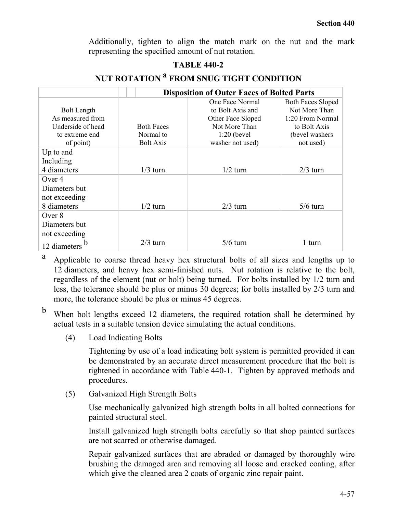Additionally, tighten to align the match mark on the nut and the mark representing the specified amount of nut rotation.

# **TABLE 440-2**

|                    |                   | <b>Disposition of Outer Faces of Bolted Parts</b> |                          |
|--------------------|-------------------|---------------------------------------------------|--------------------------|
|                    |                   | One Face Normal                                   | <b>Both Faces Sloped</b> |
| <b>Bolt Length</b> |                   | to Bolt Axis and                                  | Not More Than            |
| As measured from   |                   | Other Face Sloped                                 | 1:20 From Normal         |
| Underside of head  | <b>Both Faces</b> | Not More Than                                     | to Bolt Axis             |
| to extreme end     | Normal to         | $1:20$ (bevel                                     | (bevel washers)          |
| of point)          | <b>Bolt Axis</b>  | washer not used)                                  | not used)                |
| Up to and          |                   |                                                   |                          |
| Including          |                   |                                                   |                          |
| 4 diameters        | $1/3$ turn        | $1/2$ turn                                        | $2/3$ turn               |
| Over 4             |                   |                                                   |                          |
| Diameters but      |                   |                                                   |                          |
| not exceeding      |                   |                                                   |                          |
| 8 diameters        | $1/2$ turn        | $2/3$ turn                                        | $5/6$ turn               |
| Over 8             |                   |                                                   |                          |
| Diameters but      |                   |                                                   |                          |
| not exceeding      |                   |                                                   |                          |
| 12 diameters       | $2/3$ turn        | $5/6$ turn                                        | 1 turn                   |

# **NUT ROTATION <sup>a</sup> FROM SNUG TIGHT CONDITION**

<sup>a</sup> Applicable to coarse thread heavy hex structural bolts of all sizes and lengths up to 12 diameters, and heavy hex semi-finished nuts. Nut rotation is relative to the bolt, regardless of the element (nut or bolt) being turned. For bolts installed by 1/2 turn and less, the tolerance should be plus or minus 30 degrees; for bolts installed by 2/3 turn and more, the tolerance should be plus or minus 45 degrees.

<sup>b</sup> When bolt lengths exceed 12 diameters, the required rotation shall be determined by actual tests in a suitable tension device simulating the actual conditions.

(4) Load Indicating Bolts

Tightening by use of a load indicating bolt system is permitted provided it can be demonstrated by an accurate direct measurement procedure that the bolt is tightened in accordance with Table 440-1. Tighten by approved methods and procedures.

(5) Galvanized High Strength Bolts

Use mechanically galvanized high strength bolts in all bolted connections for painted structural steel.

Install galvanized high strength bolts carefully so that shop painted surfaces are not scarred or otherwise damaged.

Repair galvanized surfaces that are abraded or damaged by thoroughly wire brushing the damaged area and removing all loose and cracked coating, after which give the cleaned area 2 coats of organic zinc repair paint.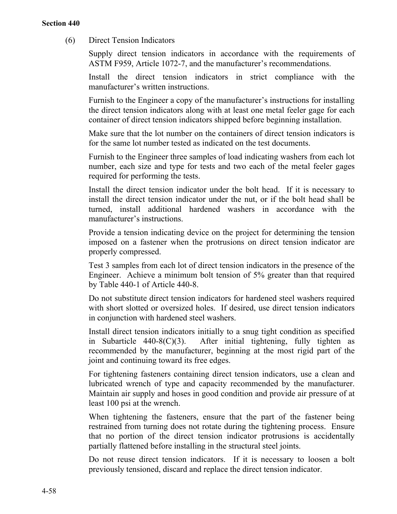(6) Direct Tension Indicators

Supply direct tension indicators in accordance with the requirements of ASTM F959, Article 1072-7, and the manufacturer's recommendations.

Install the direct tension indicators in strict compliance with the manufacturer's written instructions.

Furnish to the Engineer a copy of the manufacturer's instructions for installing the direct tension indicators along with at least one metal feeler gage for each container of direct tension indicators shipped before beginning installation.

Make sure that the lot number on the containers of direct tension indicators is for the same lot number tested as indicated on the test documents.

Furnish to the Engineer three samples of load indicating washers from each lot number, each size and type for tests and two each of the metal feeler gages required for performing the tests.

Install the direct tension indicator under the bolt head. If it is necessary to install the direct tension indicator under the nut, or if the bolt head shall be turned, install additional hardened washers in accordance with the manufacturer's instructions.

Provide a tension indicating device on the project for determining the tension imposed on a fastener when the protrusions on direct tension indicator are properly compressed.

Test 3 samples from each lot of direct tension indicators in the presence of the Engineer. Achieve a minimum bolt tension of 5% greater than that required by Table 440-1 of Article 440-8.

Do not substitute direct tension indicators for hardened steel washers required with short slotted or oversized holes. If desired, use direct tension indicators in conjunction with hardened steel washers.

Install direct tension indicators initially to a snug tight condition as specified in Subarticle  $440-8(C)(3)$ . After initial tightening, fully tighten as recommended by the manufacturer, beginning at the most rigid part of the joint and continuing toward its free edges.

For tightening fasteners containing direct tension indicators, use a clean and lubricated wrench of type and capacity recommended by the manufacturer. Maintain air supply and hoses in good condition and provide air pressure of at least 100 psi at the wrench.

When tightening the fasteners, ensure that the part of the fastener being restrained from turning does not rotate during the tightening process. Ensure that no portion of the direct tension indicator protrusions is accidentally partially flattened before installing in the structural steel joints.

Do not reuse direct tension indicators. If it is necessary to loosen a bolt previously tensioned, discard and replace the direct tension indicator.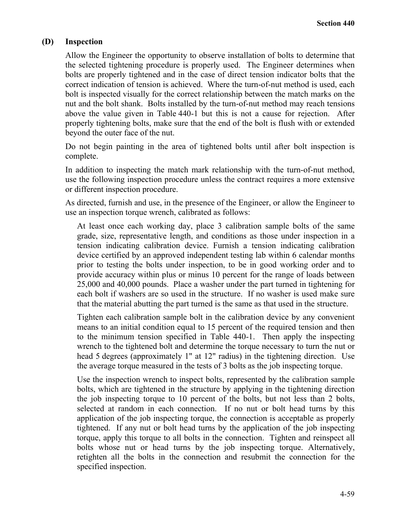## **(D) Inspection**

Allow the Engineer the opportunity to observe installation of bolts to determine that the selected tightening procedure is properly used. The Engineer determines when bolts are properly tightened and in the case of direct tension indicator bolts that the correct indication of tension is achieved. Where the turn-of-nut method is used, each bolt is inspected visually for the correct relationship between the match marks on the nut and the bolt shank. Bolts installed by the turn-of-nut method may reach tensions above the value given in Table 440-1 but this is not a cause for rejection. After properly tightening bolts, make sure that the end of the bolt is flush with or extended beyond the outer face of the nut.

Do not begin painting in the area of tightened bolts until after bolt inspection is complete.

In addition to inspecting the match mark relationship with the turn-of-nut method, use the following inspection procedure unless the contract requires a more extensive or different inspection procedure.

As directed, furnish and use, in the presence of the Engineer, or allow the Engineer to use an inspection torque wrench, calibrated as follows:

At least once each working day, place 3 calibration sample bolts of the same grade, size, representative length, and conditions as those under inspection in a tension indicating calibration device. Furnish a tension indicating calibration device certified by an approved independent testing lab within 6 calendar months prior to testing the bolts under inspection, to be in good working order and to provide accuracy within plus or minus 10 percent for the range of loads between 25,000 and 40,000 pounds. Place a washer under the part turned in tightening for each bolt if washers are so used in the structure. If no washer is used make sure that the material abutting the part turned is the same as that used in the structure.

Tighten each calibration sample bolt in the calibration device by any convenient means to an initial condition equal to 15 percent of the required tension and then to the minimum tension specified in Table 440-1. Then apply the inspecting wrench to the tightened bolt and determine the torque necessary to turn the nut or head 5 degrees (approximately 1" at 12" radius) in the tightening direction. Use the average torque measured in the tests of 3 bolts as the job inspecting torque.

Use the inspection wrench to inspect bolts, represented by the calibration sample bolts, which are tightened in the structure by applying in the tightening direction the job inspecting torque to 10 percent of the bolts, but not less than 2 bolts, selected at random in each connection. If no nut or bolt head turns by this application of the job inspecting torque, the connection is acceptable as properly tightened. If any nut or bolt head turns by the application of the job inspecting torque, apply this torque to all bolts in the connection. Tighten and reinspect all bolts whose nut or head turns by the job inspecting torque. Alternatively, retighten all the bolts in the connection and resubmit the connection for the specified inspection.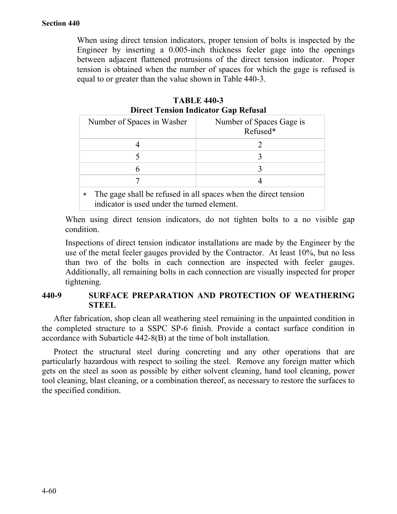When using direct tension indicators, proper tension of bolts is inspected by the Engineer by inserting a 0.005-inch thickness feeler gage into the openings between adjacent flattened protrusions of the direct tension indicator. Proper tension is obtained when the number of spaces for which the gage is refused is equal to or greater than the value shown in Table 440-3.

| <b>TABLE 440-3</b>                          |  |  |
|---------------------------------------------|--|--|
| <b>Direct Tension Indicator Gap Refusal</b> |  |  |

|        | Number of Spaces in Washer                                                                                     | Number of Spaces Gage is<br>Refused* |
|--------|----------------------------------------------------------------------------------------------------------------|--------------------------------------|
|        |                                                                                                                |                                      |
|        |                                                                                                                |                                      |
|        |                                                                                                                |                                      |
|        |                                                                                                                |                                      |
| $\ast$ | The gage shall be refused in all spaces when the direct tension<br>indicator is used under the turned element. |                                      |

When using direct tension indicators, do not tighten bolts to a no visible gap condition.

Inspections of direct tension indicator installations are made by the Engineer by the use of the metal feeler gauges provided by the Contractor. At least 10%, but no less than two of the bolts in each connection are inspected with feeler gauges. Additionally, all remaining bolts in each connection are visually inspected for proper tightening.

# **440-9 SURFACE PREPARATION AND PROTECTION OF WEATHERING STEEL**

After fabrication, shop clean all weathering steel remaining in the unpainted condition in the completed structure to a SSPC SP-6 finish. Provide a contact surface condition in accordance with Subarticle 442-8(B) at the time of bolt installation.

Protect the structural steel during concreting and any other operations that are particularly hazardous with respect to soiling the steel. Remove any foreign matter which gets on the steel as soon as possible by either solvent cleaning, hand tool cleaning, power tool cleaning, blast cleaning, or a combination thereof, as necessary to restore the surfaces to the specified condition.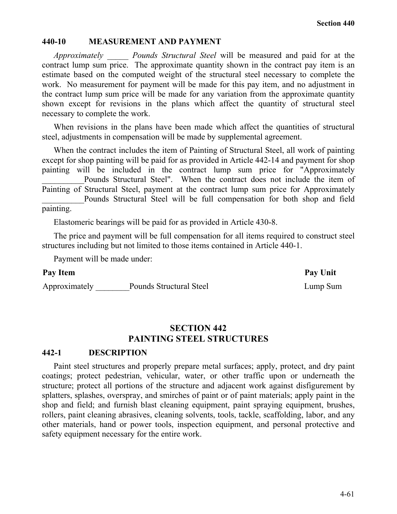#### **440-10 MEASUREMENT AND PAYMENT**

*Approximately \_\_\_\_\_ Pounds Structural Steel* will be measured and paid for at the contract lump sum price. The approximate quantity shown in the contract pay item is an estimate based on the computed weight of the structural steel necessary to complete the work. No measurement for payment will be made for this pay item, and no adjustment in the contract lump sum price will be made for any variation from the approximate quantity shown except for revisions in the plans which affect the quantity of structural steel necessary to complete the work.

When revisions in the plans have been made which affect the quantities of structural steel, adjustments in compensation will be made by supplemental agreement.

When the contract includes the item of Painting of Structural Steel, all work of painting except for shop painting will be paid for as provided in Article 442-14 and payment for shop painting will be included in the contract lump sum price for "Approximately Pounds Structural Steel". When the contract does not include the item of Painting of Structural Steel, payment at the contract lump sum price for Approximately Pounds Structural Steel will be full compensation for both shop and field painting.

Elastomeric bearings will be paid for as provided in Article 430-8.

The price and payment will be full compensation for all items required to construct steel structures including but not limited to those items contained in Article 440-1.

Payment will be made under:

#### Pay Item **Pay Unit**

Approximately \_\_\_\_\_\_\_\_Pounds Structural Steel Lump Sum

# **SECTION 442 PAINTING STEEL STRUCTURES**

#### **442-1 DESCRIPTION**

Paint steel structures and properly prepare metal surfaces; apply, protect, and dry paint coatings; protect pedestrian, vehicular, water, or other traffic upon or underneath the structure; protect all portions of the structure and adjacent work against disfigurement by splatters, splashes, overspray, and smirches of paint or of paint materials; apply paint in the shop and field; and furnish blast cleaning equipment, paint spraying equipment, brushes, rollers, paint cleaning abrasives, cleaning solvents, tools, tackle, scaffolding, labor, and any other materials, hand or power tools, inspection equipment, and personal protective and safety equipment necessary for the entire work.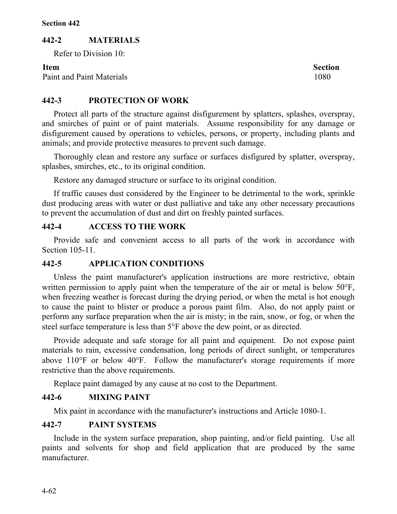# **442-2 MATERIALS**

Refer to Division 10:

Paint and Paint Materials 1080

**Item** Section

# **442-3 PROTECTION OF WORK**

Protect all parts of the structure against disfigurement by splatters, splashes, overspray, and smirches of paint or of paint materials. Assume responsibility for any damage or disfigurement caused by operations to vehicles, persons, or property, including plants and animals; and provide protective measures to prevent such damage.

Thoroughly clean and restore any surface or surfaces disfigured by splatter, overspray, splashes, smirches, etc., to its original condition.

Restore any damaged structure or surface to its original condition.

If traffic causes dust considered by the Engineer to be detrimental to the work, sprinkle dust producing areas with water or dust palliative and take any other necessary precautions to prevent the accumulation of dust and dirt on freshly painted surfaces.

# **442-4 ACCESS TO THE WORK**

Provide safe and convenient access to all parts of the work in accordance with Section 105-11.

# **442-5 APPLICATION CONDITIONS**

Unless the paint manufacturer's application instructions are more restrictive, obtain written permission to apply paint when the temperature of the air or metal is below 50°F, when freezing weather is forecast during the drying period, or when the metal is hot enough to cause the paint to blister or produce a porous paint film. Also, do not apply paint or perform any surface preparation when the air is misty; in the rain, snow, or fog, or when the steel surface temperature is less than 5°F above the dew point, or as directed.

Provide adequate and safe storage for all paint and equipment. Do not expose paint materials to rain, excessive condensation, long periods of direct sunlight, or temperatures above 110°F or below 40°F. Follow the manufacturer's storage requirements if more restrictive than the above requirements.

Replace paint damaged by any cause at no cost to the Department.

# **442-6 MIXING PAINT**

Mix paint in accordance with the manufacturer's instructions and Article 1080-1.

# **442-7 PAINT SYSTEMS**

Include in the system surface preparation, shop painting, and/or field painting. Use all paints and solvents for shop and field application that are produced by the same manufacturer.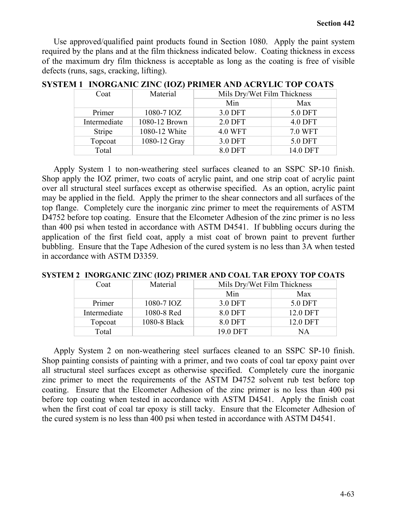Use approved/qualified paint products found in Section 1080. Apply the paint system required by the plans and at the film thickness indicated below. Coating thickness in excess of the maximum dry film thickness is acceptable as long as the coating is free of visible defects (runs, sags, cracking, lifting).

| Coat         | Material      | Mils Dry/Wet Film Thickness |                |
|--------------|---------------|-----------------------------|----------------|
|              |               | Min                         | Max            |
| Primer       | 1080-7 IOZ    | 3.0 DFT                     | 5.0 DFT        |
| Intermediate | 1080-12 Brown | 2.0 DFT                     | <b>4.0 DFT</b> |
| Stripe       | 1080-12 White | <b>4.0 WFT</b>              | <b>7.0 WFT</b> |
| Topcoat      | 1080-12 Gray  | 3.0 DFT                     | 5.0 DFT        |
| Total        |               | 8.0 DFT                     | 14.0 DFT       |

**SYSTEM 1 INORGANIC ZINC (IOZ) PRIMER AND ACRYLIC TOP COATS** 

Apply System 1 to non-weathering steel surfaces cleaned to an SSPC SP-10 finish. Shop apply the IOZ primer, two coats of acrylic paint, and one strip coat of acrylic paint over all structural steel surfaces except as otherwise specified. As an option, acrylic paint may be applied in the field. Apply the primer to the shear connectors and all surfaces of the top flange. Completely cure the inorganic zinc primer to meet the requirements of ASTM D4752 before top coating. Ensure that the Elcometer Adhesion of the zinc primer is no less than 400 psi when tested in accordance with ASTM D4541. If bubbling occurs during the application of the first field coat, apply a mist coat of brown paint to prevent further bubbling. Ensure that the Tape Adhesion of the cured system is no less than 3A when tested in accordance with ASTM D3359.

| Coat         | Material     | Mils Dry/Wet Film Thickness |          |
|--------------|--------------|-----------------------------|----------|
|              |              | Min                         | Max      |
| Primer       | 1080-7 IOZ   | 3.0 DFT                     | 5.0 DFT  |
| Intermediate | 1080-8 Red   | 8.0 DFT                     | 12.0 DFT |
| Topcoat      | 1080-8 Black | 8.0 DFT                     | 12.0 DFT |
| Total        |              | 19.0 DFT                    | ΝA       |

**SYSTEM 2 INORGANIC ZINC (IOZ) PRIMER AND COAL TAR EPOXY TOP COATS**

Apply System 2 on non-weathering steel surfaces cleaned to an SSPC SP-10 finish. Shop painting consists of painting with a primer, and two coats of coal tar epoxy paint over all structural steel surfaces except as otherwise specified. Completely cure the inorganic zinc primer to meet the requirements of the ASTM D4752 solvent rub test before top coating. Ensure that the Elcometer Adhesion of the zinc primer is no less than 400 psi before top coating when tested in accordance with ASTM D4541. Apply the finish coat when the first coat of coal tar epoxy is still tacky. Ensure that the Elcometer Adhesion of the cured system is no less than 400 psi when tested in accordance with ASTM D4541.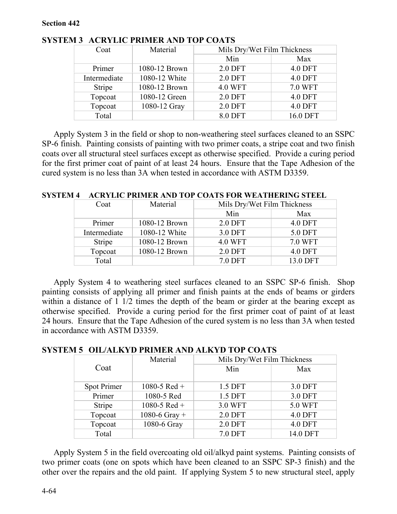| Coat         | Material      | Mils Dry/Wet Film Thickness |                |
|--------------|---------------|-----------------------------|----------------|
|              |               | Min                         | Max            |
| Primer       | 1080-12 Brown | 2.0 DFT                     | <b>4.0 DFT</b> |
| Intermediate | 1080-12 White | 2.0 DFT                     | <b>4.0 DFT</b> |
| Stripe       | 1080-12 Brown | <b>4.0 WFT</b>              | 7.0 WFT        |
| Topcoat      | 1080-12 Green | 2.0 DFT                     | <b>4.0 DFT</b> |
| Topcoat      | 1080-12 Gray  | 2.0 DFT                     | <b>4.0 DFT</b> |
| Total        |               | 8.0 DFT                     | 16.0 DFT       |

# **SYSTEM 3 ACRYLIC PRIMER AND TOP COATS**

Apply System 3 in the field or shop to non-weathering steel surfaces cleaned to an SSPC SP-6 finish. Painting consists of painting with two primer coats, a stripe coat and two finish coats over all structural steel surfaces except as otherwise specified. Provide a curing period for the first primer coat of paint of at least 24 hours. Ensure that the Tape Adhesion of the cured system is no less than 3A when tested in accordance with ASTM D3359.

| Coat          | Material      | Mils Dry/Wet Film Thickness |          |
|---------------|---------------|-----------------------------|----------|
|               |               | Min                         | Max      |
| Primer        | 1080-12 Brown | 2.0 DFT                     | 4.0 DFT  |
| Intermediate  | 1080-12 White | 3.0 DFT                     | 5.0 DFT  |
| <b>Stripe</b> | 1080-12 Brown | <b>4.0 WFT</b>              | 7.0 WFT  |
| Topcoat       | 1080-12 Brown | 2.0 DFT                     | 4.0 DFT  |
| Total         |               | 7.0 DFT                     | 13.0 DFT |

**SYSTEM 4 ACRYLIC PRIMER AND TOP COATS FOR WEATHERING STEEL**

Apply System 4 to weathering steel surfaces cleaned to an SSPC SP-6 finish. Shop painting consists of applying all primer and finish paints at the ends of beams or girders within a distance of 1  $1/2$  times the depth of the beam or girder at the bearing except as otherwise specified. Provide a curing period for the first primer coat of paint of at least 24 hours. Ensure that the Tape Adhesion of the cured system is no less than 3A when tested in accordance with ASTM D3359.

# **SYSTEM 5 OIL/ALKYD PRIMER AND ALKYD TOP COATS**

|             | Material      | Mils Dry/Wet Film Thickness |          |
|-------------|---------------|-----------------------------|----------|
| Coat        |               | Min                         | Max      |
| Spot Primer | 1080-5 Red +  | 1.5 DFT                     | 3.0 DFT  |
| Primer      | 1080-5 Red    | 1.5 DFT                     | 3.0 DFT  |
| Stripe      | 1080-5 Red +  | 3.0 WFT                     | 5.0 WFT  |
| Topcoat     | 1080-6 Gray + | 2.0 DFT                     | 4.0 DFT  |
| Topcoat     | 1080-6 Gray   | 2.0 DFT                     | 4.0 DFT  |
| Total       |               | 7.0 DFT                     | 14.0 DFT |

Apply System 5 in the field overcoating old oil/alkyd paint systems. Painting consists of two primer coats (one on spots which have been cleaned to an SSPC SP-3 finish) and the other over the repairs and the old paint. If applying System 5 to new structural steel, apply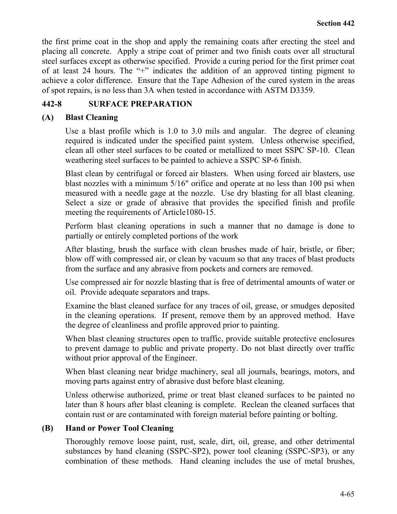the first prime coat in the shop and apply the remaining coats after erecting the steel and placing all concrete. Apply a stripe coat of primer and two finish coats over all structural steel surfaces except as otherwise specified. Provide a curing period for the first primer coat of at least 24 hours. The "+" indicates the addition of an approved tinting pigment to achieve a color difference. Ensure that the Tape Adhesion of the cured system in the areas of spot repairs, is no less than 3A when tested in accordance with ASTM D3359.

# **442-8 SURFACE PREPARATION**

# **(A) Blast Cleaning**

Use a blast profile which is 1.0 to 3.0 mils and angular.The degree of cleaning required is indicated under the specified paint system. Unless otherwise specified, clean all other steel surfaces to be coated or metallized to meet SSPC SP-10. Clean weathering steel surfaces to be painted to achieve a SSPC SP-6 finish.

Blast clean by centrifugal or forced air blasters. When using forced air blasters, use blast nozzles with a minimum 5/16" orifice and operate at no less than 100 psi when measured with a needle gage at the nozzle. Use dry blasting for all blast cleaning. Select a size or grade of abrasive that provides the specified finish and profile meeting the requirements of Article1080-15.

Perform blast cleaning operations in such a manner that no damage is done to partially or entirely completed portions of the work

After blasting, brush the surface with clean brushes made of hair, bristle, or fiber; blow off with compressed air, or clean by vacuum so that any traces of blast products from the surface and any abrasive from pockets and corners are removed.

Use compressed air for nozzle blasting that is free of detrimental amounts of water or oil. Provide adequate separators and traps.

Examine the blast cleaned surface for any traces of oil, grease, or smudges deposited in the cleaning operations. If present, remove them by an approved method. Have the degree of cleanliness and profile approved prior to painting.

When blast cleaning structures open to traffic, provide suitable protective enclosures to prevent damage to public and private property. Do not blast directly over traffic without prior approval of the Engineer.

When blast cleaning near bridge machinery, seal all journals, bearings, motors, and moving parts against entry of abrasive dust before blast cleaning.

Unless otherwise authorized, prime or treat blast cleaned surfaces to be painted no later than 8 hours after blast cleaning is complete. Reclean the cleaned surfaces that contain rust or are contaminated with foreign material before painting or bolting.

# **(B) Hand or Power Tool Cleaning**

Thoroughly remove loose paint, rust, scale, dirt, oil, grease, and other detrimental substances by hand cleaning (SSPC-SP2), power tool cleaning (SSPC-SP3), or any combination of these methods. Hand cleaning includes the use of metal brushes,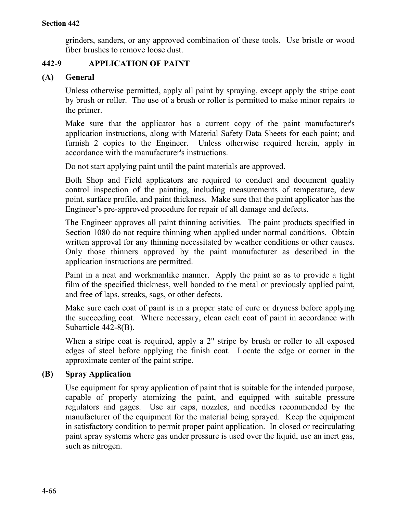grinders, sanders, or any approved combination of these tools. Use bristle or wood fiber brushes to remove loose dust.

# **442-9 APPLICATION OF PAINT**

# **(A) General**

Unless otherwise permitted, apply all paint by spraying, except apply the stripe coat by brush or roller. The use of a brush or roller is permitted to make minor repairs to the primer.

Make sure that the applicator has a current copy of the paint manufacturer's application instructions, along with Material Safety Data Sheets for each paint; and furnish 2 copies to the Engineer. Unless otherwise required herein, apply in accordance with the manufacturer's instructions.

Do not start applying paint until the paint materials are approved.

Both Shop and Field applicators are required to conduct and document quality control inspection of the painting, including measurements of temperature, dew point, surface profile, and paint thickness. Make sure that the paint applicator has the Engineer's pre-approved procedure for repair of all damage and defects.

The Engineer approves all paint thinning activities. The paint products specified in Section 1080 do not require thinning when applied under normal conditions. Obtain written approval for any thinning necessitated by weather conditions or other causes. Only those thinners approved by the paint manufacturer as described in the application instructions are permitted.

Paint in a neat and workmanlike manner. Apply the paint so as to provide a tight film of the specified thickness, well bonded to the metal or previously applied paint, and free of laps, streaks, sags, or other defects.

Make sure each coat of paint is in a proper state of cure or dryness before applying the succeeding coat. Where necessary, clean each coat of paint in accordance with Subarticle 442-8(B).

When a stripe coat is required, apply a 2" stripe by brush or roller to all exposed edges of steel before applying the finish coat. Locate the edge or corner in the approximate center of the paint stripe.

# **(B) Spray Application**

Use equipment for spray application of paint that is suitable for the intended purpose, capable of properly atomizing the paint, and equipped with suitable pressure regulators and gages. Use air caps, nozzles, and needles recommended by the manufacturer of the equipment for the material being sprayed. Keep the equipment in satisfactory condition to permit proper paint application. In closed or recirculating paint spray systems where gas under pressure is used over the liquid, use an inert gas, such as nitrogen.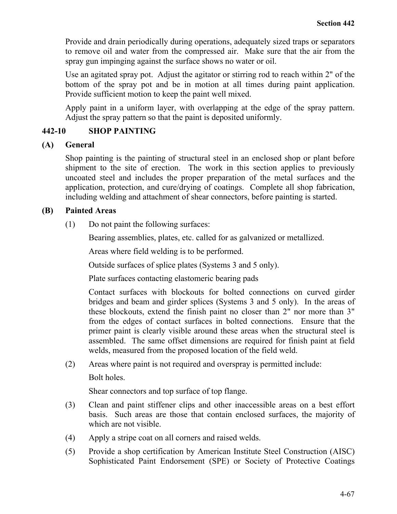Provide and drain periodically during operations, adequately sized traps or separators to remove oil and water from the compressed air. Make sure that the air from the spray gun impinging against the surface shows no water or oil.

Use an agitated spray pot. Adjust the agitator or stirring rod to reach within 2" of the bottom of the spray pot and be in motion at all times during paint application. Provide sufficient motion to keep the paint well mixed.

Apply paint in a uniform layer, with overlapping at the edge of the spray pattern. Adjust the spray pattern so that the paint is deposited uniformly.

# **442-10 SHOP PAINTING**

#### **(A) General**

Shop painting is the painting of structural steel in an enclosed shop or plant before shipment to the site of erection. The work in this section applies to previously uncoated steel and includes the proper preparation of the metal surfaces and the application, protection, and cure/drying of coatings. Complete all shop fabrication, including welding and attachment of shear connectors, before painting is started.

#### **(B) Painted Areas**

(1) Do not paint the following surfaces:

Bearing assemblies, plates, etc. called for as galvanized or metallized.

Areas where field welding is to be performed.

Outside surfaces of splice plates (Systems 3 and 5 only).

Plate surfaces contacting elastomeric bearing pads

Contact surfaces with blockouts for bolted connections on curved girder bridges and beam and girder splices (Systems 3 and 5 only). In the areas of these blockouts, extend the finish paint no closer than 2" nor more than 3" from the edges of contact surfaces in bolted connections. Ensure that the primer paint is clearly visible around these areas when the structural steel is assembled. The same offset dimensions are required for finish paint at field welds, measured from the proposed location of the field weld.

(2) Areas where paint is not required and overspray is permitted include:

Bolt holes.

Shear connectors and top surface of top flange.

- (3) Clean and paint stiffener clips and other inaccessible areas on a best effort basis. Such areas are those that contain enclosed surfaces, the majority of which are not visible.
- (4) Apply a stripe coat on all corners and raised welds.
- (5) Provide a shop certification by American Institute Steel Construction (AISC) Sophisticated Paint Endorsement (SPE) or Society of Protective Coatings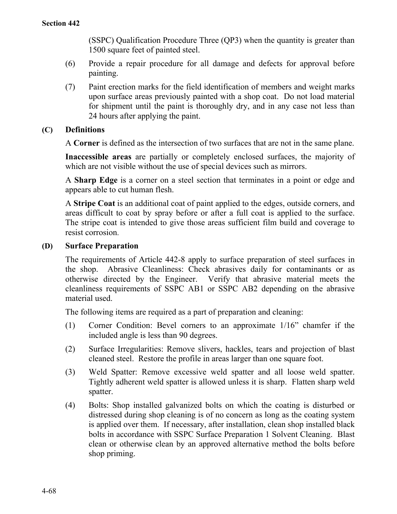(SSPC) Qualification Procedure Three (QP3) when the quantity is greater than 1500 square feet of painted steel.

- (6) Provide a repair procedure for all damage and defects for approval before painting.
- (7) Paint erection marks for the field identification of members and weight marks upon surface areas previously painted with a shop coat. Do not load material for shipment until the paint is thoroughly dry, and in any case not less than 24 hours after applying the paint.

# **(C) Definitions**

A **Corner** is defined as the intersection of two surfaces that are not in the same plane.

**Inaccessible areas** are partially or completely enclosed surfaces, the majority of which are not visible without the use of special devices such as mirrors.

A **Sharp Edge** is a corner on a steel section that terminates in a point or edge and appears able to cut human flesh.

A **Stripe Coat** is an additional coat of paint applied to the edges, outside corners, and areas difficult to coat by spray before or after a full coat is applied to the surface. The stripe coat is intended to give those areas sufficient film build and coverage to resist corrosion.

#### **(D) Surface Preparation**

The requirements of Article 442-8 apply to surface preparation of steel surfaces in the shop. Abrasive Cleanliness: Check abrasives daily for contaminants or as otherwise directed by the Engineer. Verify that abrasive material meets the cleanliness requirements of SSPC AB1 or SSPC AB2 depending on the abrasive material used.

The following items are required as a part of preparation and cleaning:

- (1) Corner Condition: Bevel corners to an approximate 1/16" chamfer if the included angle is less than 90 degrees.
- (2) Surface Irregularities: Remove slivers, hackles, tears and projection of blast cleaned steel. Restore the profile in areas larger than one square foot.
- (3) Weld Spatter: Remove excessive weld spatter and all loose weld spatter. Tightly adherent weld spatter is allowed unless it is sharp. Flatten sharp weld spatter.
- (4) Bolts: Shop installed galvanized bolts on which the coating is disturbed or distressed during shop cleaning is of no concern as long as the coating system is applied over them. If necessary, after installation, clean shop installed black bolts in accordance with SSPC Surface Preparation 1 Solvent Cleaning. Blast clean or otherwise clean by an approved alternative method the bolts before shop priming.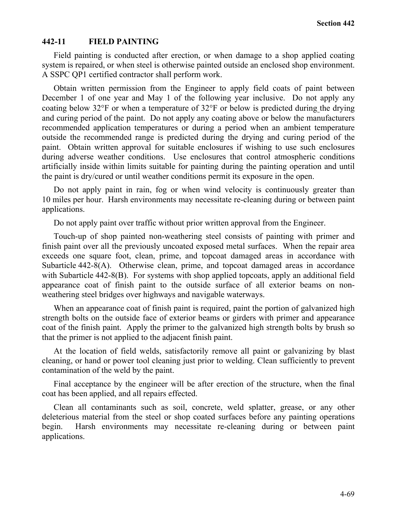## **442-11 FIELD PAINTING**

Field painting is conducted after erection, or when damage to a shop applied coating system is repaired, or when steel is otherwise painted outside an enclosed shop environment. A SSPC QP1 certified contractor shall perform work.

Obtain written permission from the Engineer to apply field coats of paint between December 1 of one year and May 1 of the following year inclusive. Do not apply any coating below 32°F or when a temperature of 32°F or below is predicted during the drying and curing period of the paint. Do not apply any coating above or below the manufacturers recommended application temperatures or during a period when an ambient temperature outside the recommended range is predicted during the drying and curing period of the paint.Obtain written approval for suitable enclosures if wishing to use such enclosures during adverse weather conditions. Use enclosures that control atmospheric conditions artificially inside within limits suitable for painting during the painting operation and until the paint is dry/cured or until weather conditions permit its exposure in the open.

Do not apply paint in rain, fog or when wind velocity is continuously greater than 10 miles per hour. Harsh environments may necessitate re-cleaning during or between paint applications.

Do not apply paint over traffic without prior written approval from the Engineer.

Touch-up of shop painted non-weathering steel consists of painting with primer and finish paint over all the previously uncoated exposed metal surfaces. When the repair area exceeds one square foot, clean, prime, and topcoat damaged areas in accordance with Subarticle 442-8(A). Otherwise clean, prime, and topcoat damaged areas in accordance with Subarticle 442-8(B). For systems with shop applied topcoats, apply an additional field appearance coat of finish paint to the outside surface of all exterior beams on nonweathering steel bridges over highways and navigable waterways.

When an appearance coat of finish paint is required, paint the portion of galvanized high strength bolts on the outside face of exterior beams or girders with primer and appearance coat of the finish paint. Apply the primer to the galvanized high strength bolts by brush so that the primer is not applied to the adjacent finish paint.

At the location of field welds, satisfactorily remove all paint or galvanizing by blast cleaning, or hand or power tool cleaning just prior to welding. Clean sufficiently to prevent contamination of the weld by the paint.

Final acceptance by the engineer will be after erection of the structure, when the final coat has been applied, and all repairs effected.

Clean all contaminants such as soil, concrete, weld splatter, grease, or any other deleterious material from the steel or shop coated surfaces before any painting operations begin. Harsh environments may necessitate re-cleaning during or between paint applications.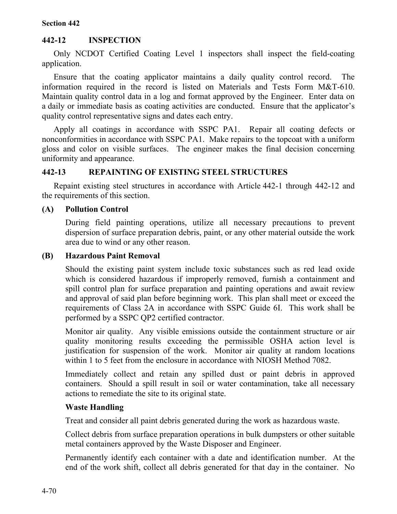### **Section 442**

# **442-12 INSPECTION**

Only NCDOT Certified Coating Level 1 inspectors shall inspect the field-coating application.

Ensure that the coating applicator maintains a daily quality control record. The information required in the record is listed on Materials and Tests Form M&T-610. Maintain quality control data in a log and format approved by the Engineer. Enter data on a daily or immediate basis as coating activities are conducted. Ensure that the applicator's quality control representative signs and dates each entry.

Apply all coatings in accordance with SSPC PA1. Repair all coating defects or nonconformities in accordance with SSPC PA1. Make repairs to the topcoat with a uniform gloss and color on visible surfaces. The engineer makes the final decision concerning uniformity and appearance.

# **442-13 REPAINTING OF EXISTING STEEL STRUCTURES**

Repaint existing steel structures in accordance with Article 442-1 through 442-12 and the requirements of this section.

# **(A) Pollution Control**

During field painting operations, utilize all necessary precautions to prevent dispersion of surface preparation debris, paint, or any other material outside the work area due to wind or any other reason.

# **(B) Hazardous Paint Removal**

Should the existing paint system include toxic substances such as red lead oxide which is considered hazardous if improperly removed, furnish a containment and spill control plan for surface preparation and painting operations and await review and approval of said plan before beginning work. This plan shall meet or exceed the requirements of Class 2A in accordance with SSPC Guide 6I. This work shall be performed by a SSPC QP2 certified contractor.

Monitor air quality. Any visible emissions outside the containment structure or air quality monitoring results exceeding the permissible OSHA action level is justification for suspension of the work. Monitor air quality at random locations within 1 to 5 feet from the enclosure in accordance with NIOSH Method 7082.

Immediately collect and retain any spilled dust or paint debris in approved containers. Should a spill result in soil or water contamination, take all necessary actions to remediate the site to its original state.

# **Waste Handling**

Treat and consider all paint debris generated during the work as hazardous waste.

Collect debris from surface preparation operations in bulk dumpsters or other suitable metal containers approved by the Waste Disposer and Engineer.

Permanently identify each container with a date and identification number. At the end of the work shift, collect all debris generated for that day in the container. No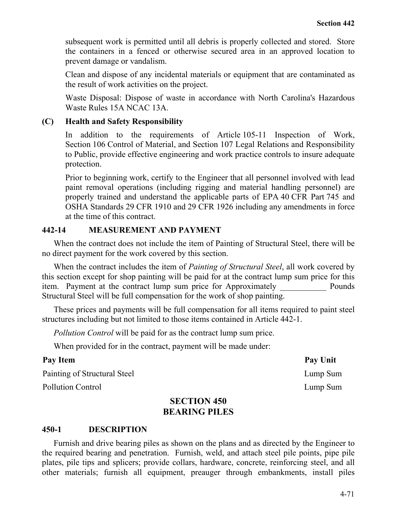subsequent work is permitted until all debris is properly collected and stored. Store the containers in a fenced or otherwise secured area in an approved location to prevent damage or vandalism.

Clean and dispose of any incidental materials or equipment that are contaminated as the result of work activities on the project.

Waste Disposal: Dispose of waste in accordance with North Carolina's Hazardous Waste Rules 15A NCAC 13A.

## **(C) Health and Safety Responsibility**

In addition to the requirements of Article 105-11 Inspection of Work, Section 106 Control of Material, and Section 107 Legal Relations and Responsibility to Public, provide effective engineering and work practice controls to insure adequate protection.

Prior to beginning work, certify to the Engineer that all personnel involved with lead paint removal operations (including rigging and material handling personnel) are properly trained and understand the applicable parts of EPA 40 CFR Part 745 and OSHA Standards 29 CFR 1910 and 29 CFR 1926 including any amendments in force at the time of this contract.

## **442-14 MEASUREMENT AND PAYMENT**

When the contract does not include the item of Painting of Structural Steel, there will be no direct payment for the work covered by this section.

When the contract includes the item of *Painting of Structural Steel*, all work covered by this section except for shop painting will be paid for at the contract lump sum price for this item. Payment at the contract lump sum price for Approximately Pounds Structural Steel will be full compensation for the work of shop painting.

These prices and payments will be full compensation for all items required to paint steel structures including but not limited to those items contained in Article 442-1.

*Pollution Control* will be paid for as the contract lump sum price.

When provided for in the contract, payment will be made under:

| Pay Item                     | Pay Unit |
|------------------------------|----------|
| Painting of Structural Steel | Lump Sum |
| <b>Pollution Control</b>     | Lump Sum |

# **SECTION 450 BEARING PILES**

#### **450-1 DESCRIPTION**

Furnish and drive bearing piles as shown on the plans and as directed by the Engineer to the required bearing and penetration. Furnish, weld, and attach steel pile points, pipe pile plates, pile tips and splicers; provide collars, hardware, concrete, reinforcing steel, and all other materials; furnish all equipment, preauger through embankments, install piles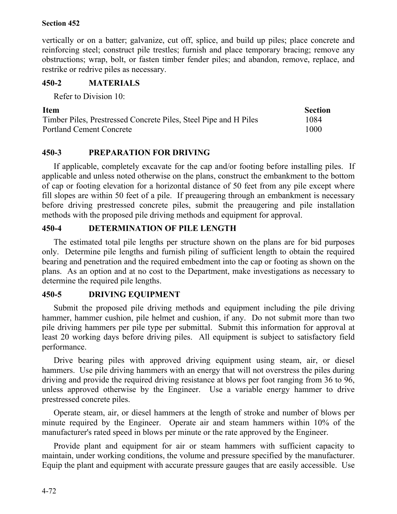## **Section 452**

vertically or on a batter; galvanize, cut off, splice, and build up piles; place concrete and reinforcing steel; construct pile trestles; furnish and place temporary bracing; remove any obstructions; wrap, bolt, or fasten timber fender piles; and abandon, remove, replace, and restrike or redrive piles as necessary.

# **450-2 MATERIALS**

Refer to Division 10:

| <b>Item</b>                                                      | <b>Section</b> |
|------------------------------------------------------------------|----------------|
| Timber Piles, Prestressed Concrete Piles, Steel Pipe and H Piles | 1084           |
| <b>Portland Cement Concrete</b>                                  | 1000           |

# **450-3 PREPARATION FOR DRIVING**

If applicable, completely excavate for the cap and/or footing before installing piles. If applicable and unless noted otherwise on the plans, construct the embankment to the bottom of cap or footing elevation for a horizontal distance of 50 feet from any pile except where fill slopes are within 50 feet of a pile. If preaugering through an embankment is necessary before driving prestressed concrete piles, submit the preaugering and pile installation methods with the proposed pile driving methods and equipment for approval.

# **450-4 DETERMINATION OF PILE LENGTH**

The estimated total pile lengths per structure shown on the plans are for bid purposes only. Determine pile lengths and furnish piling of sufficient length to obtain the required bearing and penetration and the required embedment into the cap or footing as shown on the plans. As an option and at no cost to the Department, make investigations as necessary to determine the required pile lengths.

# **450-5 DRIVING EQUIPMENT**

Submit the proposed pile driving methods and equipment including the pile driving hammer, hammer cushion, pile helmet and cushion, if any. Do not submit more than two pile driving hammers per pile type per submittal. Submit this information for approval at least 20 working days before driving piles. All equipment is subject to satisfactory field performance.

Drive bearing piles with approved driving equipment using steam, air, or diesel hammers. Use pile driving hammers with an energy that will not overstress the piles during driving and provide the required driving resistance at blows per foot ranging from 36 to 96, unless approved otherwise by the Engineer. Use a variable energy hammer to drive prestressed concrete piles.

Operate steam, air, or diesel hammers at the length of stroke and number of blows per minute required by the Engineer. Operate air and steam hammers within 10% of the manufacturer's rated speed in blows per minute or the rate approved by the Engineer.

Provide plant and equipment for air or steam hammers with sufficient capacity to maintain, under working conditions, the volume and pressure specified by the manufacturer. Equip the plant and equipment with accurate pressure gauges that are easily accessible. Use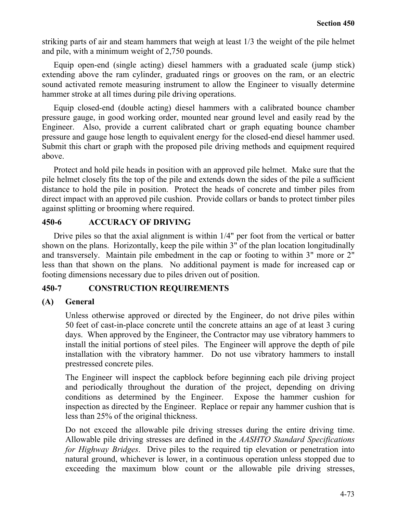striking parts of air and steam hammers that weigh at least 1/3 the weight of the pile helmet and pile, with a minimum weight of 2,750 pounds.

Equip open-end (single acting) diesel hammers with a graduated scale (jump stick) extending above the ram cylinder, graduated rings or grooves on the ram, or an electric sound activated remote measuring instrument to allow the Engineer to visually determine hammer stroke at all times during pile driving operations.

Equip closed-end (double acting) diesel hammers with a calibrated bounce chamber pressure gauge, in good working order, mounted near ground level and easily read by the Engineer. Also, provide a current calibrated chart or graph equating bounce chamber pressure and gauge hose length to equivalent energy for the closed-end diesel hammer used. Submit this chart or graph with the proposed pile driving methods and equipment required above.

Protect and hold pile heads in position with an approved pile helmet. Make sure that the pile helmet closely fits the top of the pile and extends down the sides of the pile a sufficient distance to hold the pile in position. Protect the heads of concrete and timber piles from direct impact with an approved pile cushion. Provide collars or bands to protect timber piles against splitting or brooming where required.

## **450-6 ACCURACY OF DRIVING**

Drive piles so that the axial alignment is within 1/4" per foot from the vertical or batter shown on the plans. Horizontally, keep the pile within 3" of the plan location longitudinally and transversely. Maintain pile embedment in the cap or footing to within 3" more or 2" less than that shown on the plans. No additional payment is made for increased cap or footing dimensions necessary due to piles driven out of position.

## **450-7 CONSTRUCTION REQUIREMENTS**

# **(A) General**

Unless otherwise approved or directed by the Engineer, do not drive piles within 50 feet of cast-in-place concrete until the concrete attains an age of at least 3 curing days. When approved by the Engineer, the Contractor may use vibratory hammers to install the initial portions of steel piles. The Engineer will approve the depth of pile installation with the vibratory hammer. Do not use vibratory hammers to install prestressed concrete piles.

The Engineer will inspect the capblock before beginning each pile driving project and periodically throughout the duration of the project, depending on driving conditions as determined by the Engineer. Expose the hammer cushion for inspection as directed by the Engineer. Replace or repair any hammer cushion that is less than 25% of the original thickness.

Do not exceed the allowable pile driving stresses during the entire driving time. Allowable pile driving stresses are defined in the *AASHTO Standard Specifications for Highway Bridges*. Drive piles to the required tip elevation or penetration into natural ground, whichever is lower, in a continuous operation unless stopped due to exceeding the maximum blow count or the allowable pile driving stresses,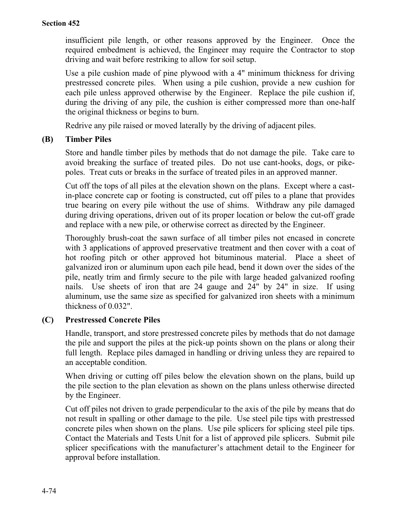insufficient pile length, or other reasons approved by the Engineer. Once the required embedment is achieved, the Engineer may require the Contractor to stop driving and wait before restriking to allow for soil setup.

Use a pile cushion made of pine plywood with a 4" minimum thickness for driving prestressed concrete piles. When using a pile cushion, provide a new cushion for each pile unless approved otherwise by the Engineer. Replace the pile cushion if, during the driving of any pile, the cushion is either compressed more than one-half the original thickness or begins to burn.

Redrive any pile raised or moved laterally by the driving of adjacent piles.

## **(B) Timber Piles**

Store and handle timber piles by methods that do not damage the pile. Take care to avoid breaking the surface of treated piles. Do not use cant-hooks, dogs, or pikepoles. Treat cuts or breaks in the surface of treated piles in an approved manner.

Cut off the tops of all piles at the elevation shown on the plans. Except where a castin-place concrete cap or footing is constructed, cut off piles to a plane that provides true bearing on every pile without the use of shims. Withdraw any pile damaged during driving operations, driven out of its proper location or below the cut-off grade and replace with a new pile, or otherwise correct as directed by the Engineer.

Thoroughly brush-coat the sawn surface of all timber piles not encased in concrete with 3 applications of approved preservative treatment and then cover with a coat of hot roofing pitch or other approved hot bituminous material. Place a sheet of galvanized iron or aluminum upon each pile head, bend it down over the sides of the pile, neatly trim and firmly secure to the pile with large headed galvanized roofing nails. Use sheets of iron that are 24 gauge and 24" by 24" in size. If using aluminum, use the same size as specified for galvanized iron sheets with a minimum thickness of 0.032".

## **(C) Prestressed Concrete Piles**

Handle, transport, and store prestressed concrete piles by methods that do not damage the pile and support the piles at the pick-up points shown on the plans or along their full length. Replace piles damaged in handling or driving unless they are repaired to an acceptable condition.

When driving or cutting off piles below the elevation shown on the plans, build up the pile section to the plan elevation as shown on the plans unless otherwise directed by the Engineer.

Cut off piles not driven to grade perpendicular to the axis of the pile by means that do not result in spalling or other damage to the pile. Use steel pile tips with prestressed concrete piles when shown on the plans. Use pile splicers for splicing steel pile tips. Contact the Materials and Tests Unit for a list of approved pile splicers. Submit pile splicer specifications with the manufacturer's attachment detail to the Engineer for approval before installation.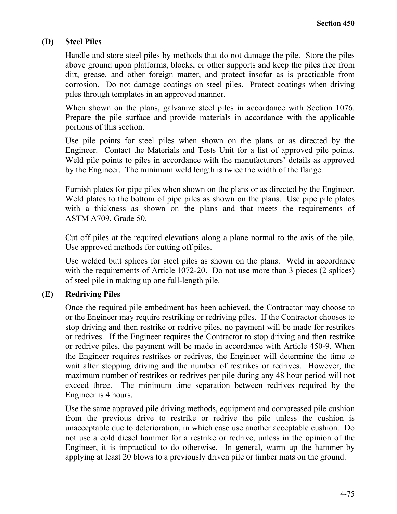#### **(D) Steel Piles**

Handle and store steel piles by methods that do not damage the pile. Store the piles above ground upon platforms, blocks, or other supports and keep the piles free from dirt, grease, and other foreign matter, and protect insofar as is practicable from corrosion. Do not damage coatings on steel piles. Protect coatings when driving piles through templates in an approved manner.

When shown on the plans, galvanize steel piles in accordance with Section 1076. Prepare the pile surface and provide materials in accordance with the applicable portions of this section.

Use pile points for steel piles when shown on the plans or as directed by the Engineer. Contact the Materials and Tests Unit for a list of approved pile points. Weld pile points to piles in accordance with the manufacturers' details as approved by the Engineer. The minimum weld length is twice the width of the flange.

Furnish plates for pipe piles when shown on the plans or as directed by the Engineer. Weld plates to the bottom of pipe piles as shown on the plans. Use pipe pile plates with a thickness as shown on the plans and that meets the requirements of ASTM A709, Grade 50.

Cut off piles at the required elevations along a plane normal to the axis of the pile. Use approved methods for cutting off piles.

Use welded butt splices for steel piles as shown on the plans. Weld in accordance with the requirements of Article 1072-20. Do not use more than 3 pieces (2 splices) of steel pile in making up one full-length pile.

## **(E) Redriving Piles**

Once the required pile embedment has been achieved, the Contractor may choose to or the Engineer may require restriking or redriving piles. If the Contractor chooses to stop driving and then restrike or redrive piles, no payment will be made for restrikes or redrives. If the Engineer requires the Contractor to stop driving and then restrike or redrive piles, the payment will be made in accordance with Article 450-9. When the Engineer requires restrikes or redrives, the Engineer will determine the time to wait after stopping driving and the number of restrikes or redrives. However, the maximum number of restrikes or redrives per pile during any 48 hour period will not exceed three. The minimum time separation between redrives required by the Engineer is 4 hours.

Use the same approved pile driving methods, equipment and compressed pile cushion from the previous drive to restrike or redrive the pile unless the cushion is unacceptable due to deterioration, in which case use another acceptable cushion. Do not use a cold diesel hammer for a restrike or redrive, unless in the opinion of the Engineer, it is impractical to do otherwise. In general, warm up the hammer by applying at least 20 blows to a previously driven pile or timber mats on the ground.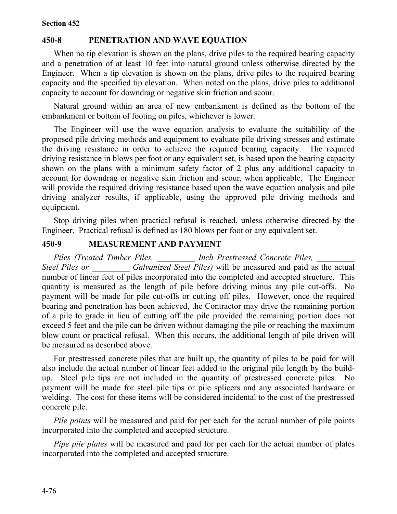# **450-8 PENETRATION AND WAVE EQUATION**

When no tip elevation is shown on the plans, drive piles to the required bearing capacity and a penetration of at least 10 feet into natural ground unless otherwise directed by the Engineer. When a tip elevation is shown on the plans, drive piles to the required bearing capacity and the specified tip elevation. When noted on the plans, drive piles to additional capacity to account for downdrag or negative skin friction and scour.

Natural ground within an area of new embankment is defined as the bottom of the embankment or bottom of footing on piles, whichever is lower.

The Engineer will use the wave equation analysis to evaluate the suitability of the proposed pile driving methods and equipment to evaluate pile driving stresses and estimate the driving resistance in order to achieve the required bearing capacity. The required driving resistance in blows per foot or any equivalent set, is based upon the bearing capacity shown on the plans with a minimum safety factor of 2 plus any additional capacity to account for downdrag or negative skin friction and scour, when applicable. The Engineer will provide the required driving resistance based upon the wave equation analysis and pile driving analyzer results, if applicable, using the approved pile driving methods and equipment.

Stop driving piles when practical refusal is reached, unless otherwise directed by the Engineer. Practical refusal is defined as 180 blows per foot or any equivalent set.

#### **450-9 MEASUREMENT AND PAYMENT**

*Piles (Treated Timber Piles, \_\_\_\_\_\_\_\_\_ Inch Prestressed Concrete Piles, \_\_\_\_\_\_\_\_\_ Steel Piles or \_\_\_\_\_\_\_\_\_ Galvanized Steel Piles)* will be measured and paid as the actual number of linear feet of piles incorporated into the completed and accepted structure. This quantity is measured as the length of pile before driving minus any pile cut-offs. No payment will be made for pile cut-offs or cutting off piles. However, once the required bearing and penetration has been achieved, the Contractor may drive the remaining portion of a pile to grade in lieu of cutting off the pile provided the remaining portion does not exceed 5 feet and the pile can be driven without damaging the pile or reaching the maximum blow count or practical refusal. When this occurs, the additional length of pile driven will be measured as described above.

For prestressed concrete piles that are built up, the quantity of piles to be paid for will also include the actual number of linear feet added to the original pile length by the buildup. Steel pile tips are not included in the quantity of prestressed concrete piles. No payment will be made for steel pile tips or pile splicers and any associated hardware or welding. The cost for these items will be considered incidental to the cost of the prestressed concrete pile.

*Pile points* will be measured and paid for per each for the actual number of pile points incorporated into the completed and accepted structure.

*Pipe pile plates* will be measured and paid for per each for the actual number of plates incorporated into the completed and accepted structure.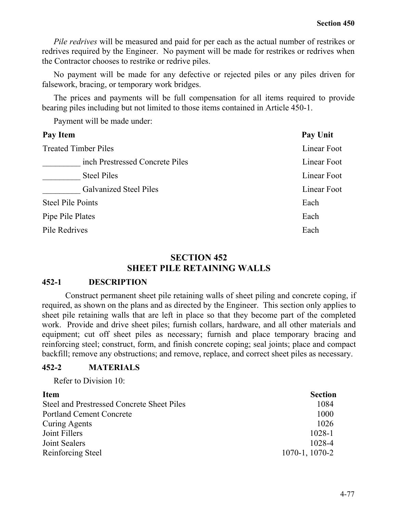*Pile redrives* will be measured and paid for per each as the actual number of restrikes or redrives required by the Engineer. No payment will be made for restrikes or redrives when the Contractor chooses to restrike or redrive piles.

No payment will be made for any defective or rejected piles or any piles driven for falsework, bracing, or temporary work bridges.

The prices and payments will be full compensation for all items required to provide bearing piles including but not limited to those items contained in Article 450-1.

Payment will be made under:

| <b>Treated Timber Piles</b><br>inch Prestressed Concrete Piles | Pay Unit    |
|----------------------------------------------------------------|-------------|
|                                                                | Linear Foot |
|                                                                | Linear Foot |
| <b>Steel Piles</b>                                             | Linear Foot |
| <b>Galvanized Steel Piles</b>                                  | Linear Foot |
| <b>Steel Pile Points</b><br>Each                               |             |
| Pipe Pile Plates<br>Each                                       |             |
| Pile Redrives<br>Each                                          |             |

## **SECTION 452 SHEET PILE RETAINING WALLS**

#### **452-1 DESCRIPTION**

Construct permanent sheet pile retaining walls of sheet piling and concrete coping, if required, as shown on the plans and as directed by the Engineer. This section only applies to sheet pile retaining walls that are left in place so that they become part of the completed work. Provide and drive sheet piles; furnish collars, hardware, and all other materials and equipment; cut off sheet piles as necessary; furnish and place temporary bracing and reinforcing steel; construct, form, and finish concrete coping; seal joints; place and compact backfill; remove any obstructions; and remove, replace, and correct sheet piles as necessary.

#### **452-2 MATERIALS**

Refer to Division 10:

| <b>Item</b>                                | <b>Section</b>      |
|--------------------------------------------|---------------------|
| Steel and Prestressed Concrete Sheet Piles | 1084                |
| <b>Portland Cement Concrete</b>            | 1000                |
| Curing Agents                              | 1026                |
| Joint Fillers                              | 1028-1              |
| Joint Sealers                              | 1028-4              |
| Reinforcing Steel                          | $1070 - 1$ , 1070-2 |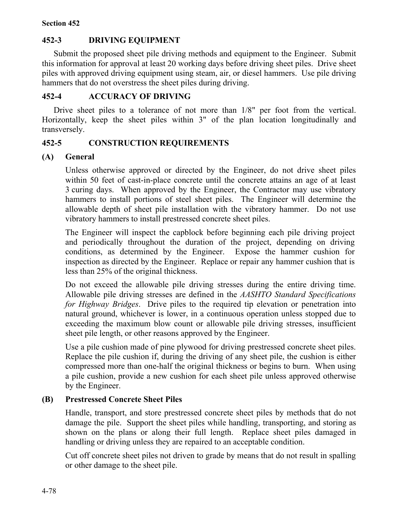# **452-3 DRIVING EQUIPMENT**

Submit the proposed sheet pile driving methods and equipment to the Engineer. Submit this information for approval at least 20 working days before driving sheet piles. Drive sheet piles with approved driving equipment using steam, air, or diesel hammers. Use pile driving hammers that do not overstress the sheet piles during driving.

## **452-4 ACCURACY OF DRIVING**

Drive sheet piles to a tolerance of not more than 1/8" per foot from the vertical. Horizontally, keep the sheet piles within 3" of the plan location longitudinally and transversely.

## **452-5 CONSTRUCTION REQUIREMENTS**

## **(A) General**

Unless otherwise approved or directed by the Engineer, do not drive sheet piles within 50 feet of cast-in-place concrete until the concrete attains an age of at least 3 curing days. When approved by the Engineer, the Contractor may use vibratory hammers to install portions of steel sheet piles. The Engineer will determine the allowable depth of sheet pile installation with the vibratory hammer. Do not use vibratory hammers to install prestressed concrete sheet piles.

The Engineer will inspect the capblock before beginning each pile driving project and periodically throughout the duration of the project, depending on driving conditions, as determined by the Engineer. Expose the hammer cushion for inspection as directed by the Engineer. Replace or repair any hammer cushion that is less than 25% of the original thickness.

Do not exceed the allowable pile driving stresses during the entire driving time. Allowable pile driving stresses are defined in the *AASHTO Standard Specifications for Highway Bridges*. Drive piles to the required tip elevation or penetration into natural ground, whichever is lower, in a continuous operation unless stopped due to exceeding the maximum blow count or allowable pile driving stresses, insufficient sheet pile length, or other reasons approved by the Engineer.

Use a pile cushion made of pine plywood for driving prestressed concrete sheet piles. Replace the pile cushion if, during the driving of any sheet pile, the cushion is either compressed more than one-half the original thickness or begins to burn. When using a pile cushion, provide a new cushion for each sheet pile unless approved otherwise by the Engineer.

# **(B) Prestressed Concrete Sheet Piles**

Handle, transport, and store prestressed concrete sheet piles by methods that do not damage the pile. Support the sheet piles while handling, transporting, and storing as shown on the plans or along their full length. Replace sheet piles damaged in handling or driving unless they are repaired to an acceptable condition.

Cut off concrete sheet piles not driven to grade by means that do not result in spalling or other damage to the sheet pile.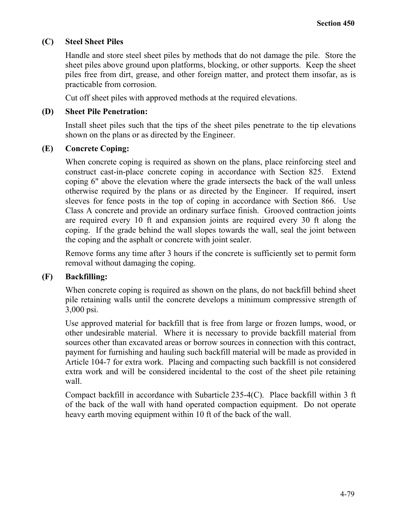## **(C) Steel Sheet Piles**

Handle and store steel sheet piles by methods that do not damage the pile. Store the sheet piles above ground upon platforms, blocking, or other supports. Keep the sheet piles free from dirt, grease, and other foreign matter, and protect them insofar, as is practicable from corrosion.

Cut off sheet piles with approved methods at the required elevations.

#### **(D) Sheet Pile Penetration:**

Install sheet piles such that the tips of the sheet piles penetrate to the tip elevations shown on the plans or as directed by the Engineer.

#### **(E) Concrete Coping:**

When concrete coping is required as shown on the plans, place reinforcing steel and construct cast-in-place concrete coping in accordance with Section 825. Extend coping 6" above the elevation where the grade intersects the back of the wall unless otherwise required by the plans or as directed by the Engineer. If required, insert sleeves for fence posts in the top of coping in accordance with Section 866. Use Class A concrete and provide an ordinary surface finish. Grooved contraction joints are required every 10 ft and expansion joints are required every 30 ft along the coping. If the grade behind the wall slopes towards the wall, seal the joint between the coping and the asphalt or concrete with joint sealer.

Remove forms any time after 3 hours if the concrete is sufficiently set to permit form removal without damaging the coping.

## **(F) Backfilling:**

When concrete coping is required as shown on the plans, do not backfill behind sheet pile retaining walls until the concrete develops a minimum compressive strength of 3,000 psi.

Use approved material for backfill that is free from large or frozen lumps, wood, or other undesirable material. Where it is necessary to provide backfill material from sources other than excavated areas or borrow sources in connection with this contract, payment for furnishing and hauling such backfill material will be made as provided in Article 104-7 for extra work. Placing and compacting such backfill is not considered extra work and will be considered incidental to the cost of the sheet pile retaining wall.

Compact backfill in accordance with Subarticle 235-4(C). Place backfill within 3 ft of the back of the wall with hand operated compaction equipment. Do not operate heavy earth moving equipment within 10 ft of the back of the wall.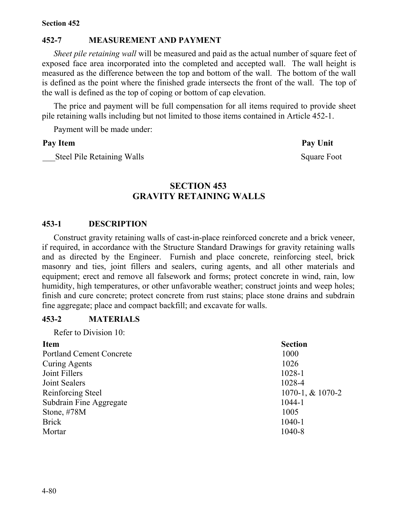#### **Section 452**

## **452-7 MEASUREMENT AND PAYMENT**

*Sheet pile retaining wall* will be measured and paid as the actual number of square feet of exposed face area incorporated into the completed and accepted wall. The wall height is measured as the difference between the top and bottom of the wall. The bottom of the wall is defined as the point where the finished grade intersects the front of the wall. The top of the wall is defined as the top of coping or bottom of cap elevation.

The price and payment will be full compensation for all items required to provide sheet pile retaining walls including but not limited to those items contained in Article 452-1.

Payment will be made under:

#### Pay Item Pay Unit

Steel Pile Retaining Walls Square Foot

# **SECTION 453 GRAVITY RETAINING WALLS**

#### **453-1 DESCRIPTION**

Construct gravity retaining walls of cast-in-place reinforced concrete and a brick veneer, if required, in accordance with the Structure Standard Drawings for gravity retaining walls and as directed by the Engineer. Furnish and place concrete, reinforcing steel, brick masonry and ties, joint fillers and sealers, curing agents, and all other materials and equipment; erect and remove all falsework and forms; protect concrete in wind, rain, low humidity, high temperatures, or other unfavorable weather; construct joints and weep holes; finish and cure concrete; protect concrete from rust stains; place stone drains and subdrain fine aggregate; place and compact backfill; and excavate for walls.

#### **453-2 MATERIALS**

Refer to Division 10:

| <b>Section</b>   |
|------------------|
| 1000             |
| 1026             |
| 1028-1           |
| 1028-4           |
| 1070-1, & 1070-2 |
| 1044-1           |
| 1005             |
| $1040 - 1$       |
| 1040-8           |
|                  |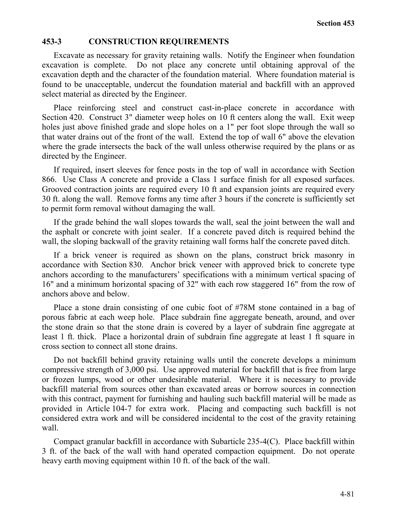#### **453-3 CONSTRUCTION REQUIREMENTS**

Excavate as necessary for gravity retaining walls. Notify the Engineer when foundation excavation is complete. Do not place any concrete until obtaining approval of the excavation depth and the character of the foundation material. Where foundation material is found to be unacceptable, undercut the foundation material and backfill with an approved select material as directed by the Engineer.

Place reinforcing steel and construct cast-in-place concrete in accordance with Section 420. Construct 3" diameter weep holes on 10 ft centers along the wall. Exit weep holes just above finished grade and slope holes on a 1" per foot slope through the wall so that water drains out of the front of the wall. Extend the top of wall 6" above the elevation where the grade intersects the back of the wall unless otherwise required by the plans or as directed by the Engineer.

If required, insert sleeves for fence posts in the top of wall in accordance with Section 866. Use Class A concrete and provide a Class 1 surface finish for all exposed surfaces. Grooved contraction joints are required every 10 ft and expansion joints are required every 30 ft. along the wall. Remove forms any time after 3 hours if the concrete is sufficiently set to permit form removal without damaging the wall.

If the grade behind the wall slopes towards the wall, seal the joint between the wall and the asphalt or concrete with joint sealer. If a concrete paved ditch is required behind the wall, the sloping backwall of the gravity retaining wall forms half the concrete paved ditch.

If a brick veneer is required as shown on the plans, construct brick masonry in accordance with Section 830. Anchor brick veneer with approved brick to concrete type anchors according to the manufacturers' specifications with a minimum vertical spacing of 16" and a minimum horizontal spacing of 32" with each row staggered 16" from the row of anchors above and below.

Place a stone drain consisting of one cubic foot of #78M stone contained in a bag of porous fabric at each weep hole. Place subdrain fine aggregate beneath, around, and over the stone drain so that the stone drain is covered by a layer of subdrain fine aggregate at least 1 ft. thick. Place a horizontal drain of subdrain fine aggregate at least 1 ft square in cross section to connect all stone drains.

Do not backfill behind gravity retaining walls until the concrete develops a minimum compressive strength of 3,000 psi. Use approved material for backfill that is free from large or frozen lumps, wood or other undesirable material. Where it is necessary to provide backfill material from sources other than excavated areas or borrow sources in connection with this contract, payment for furnishing and hauling such backfill material will be made as provided in Article 104-7 for extra work. Placing and compacting such backfill is not considered extra work and will be considered incidental to the cost of the gravity retaining wall.

Compact granular backfill in accordance with Subarticle 235-4(C). Place backfill within 3 ft. of the back of the wall with hand operated compaction equipment. Do not operate heavy earth moving equipment within 10 ft. of the back of the wall.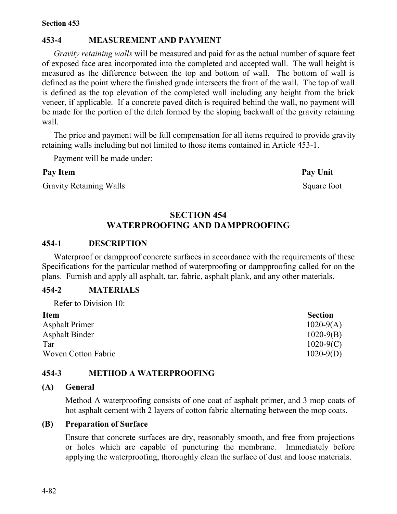# **453-4 MEASUREMENT AND PAYMENT**

*Gravity retaining walls* will be measured and paid for as the actual number of square feet of exposed face area incorporated into the completed and accepted wall. The wall height is measured as the difference between the top and bottom of wall. The bottom of wall is defined as the point where the finished grade intersects the front of the wall. The top of wall is defined as the top elevation of the completed wall including any height from the brick veneer, if applicable. If a concrete paved ditch is required behind the wall, no payment will be made for the portion of the ditch formed by the sloping backwall of the gravity retaining wall.

The price and payment will be full compensation for all items required to provide gravity retaining walls including but not limited to those items contained in Article 453-1.

Payment will be made under:

#### Pay Item **Pay Unit**

Gravity Retaining Walls Square foot

# **SECTION 454 WATERPROOFING AND DAMPPROOFING**

#### **454-1 DESCRIPTION**

Waterproof or dampproof concrete surfaces in accordance with the requirements of these Specifications for the particular method of waterproofing or dampproofing called for on the plans. Furnish and apply all asphalt, tar, fabric, asphalt plank, and any other materials.

# **454-2 MATERIALS** Refer to Division 10:

| 101010010111010111001 |                |
|-----------------------|----------------|
| <b>Item</b>           | <b>Section</b> |
| <b>Asphalt Primer</b> | $1020-9(A)$    |
| <b>Asphalt Binder</b> | $1020 - 9(B)$  |
| Tar                   | $1020-9(C)$    |
| Woven Cotton Fabric   | $1020-9(D)$    |

## **454-3 METHOD A WATERPROOFING**

#### **(A) General**

Method A waterproofing consists of one coat of asphalt primer, and 3 mop coats of hot asphalt cement with 2 layers of cotton fabric alternating between the mop coats.

#### **(B) Preparation of Surface**

Ensure that concrete surfaces are dry, reasonably smooth, and free from projections or holes which are capable of puncturing the membrane. Immediately before applying the waterproofing, thoroughly clean the surface of dust and loose materials.

4-82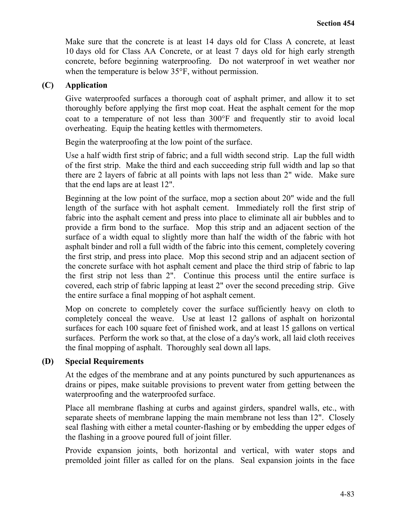Make sure that the concrete is at least 14 days old for Class A concrete, at least 10 days old for Class AA Concrete, or at least 7 days old for high early strength concrete, before beginning waterproofing. Do not waterproof in wet weather nor when the temperature is below 35°F, without permission.

## **(C) Application**

Give waterproofed surfaces a thorough coat of asphalt primer, and allow it to set thoroughly before applying the first mop coat. Heat the asphalt cement for the mop coat to a temperature of not less than 300°F and frequently stir to avoid local overheating. Equip the heating kettles with thermometers.

Begin the waterproofing at the low point of the surface.

Use a half width first strip of fabric; and a full width second strip. Lap the full width of the first strip. Make the third and each succeeding strip full width and lap so that there are 2 layers of fabric at all points with laps not less than 2" wide. Make sure that the end laps are at least 12".

Beginning at the low point of the surface, mop a section about 20" wide and the full length of the surface with hot asphalt cement. Immediately roll the first strip of fabric into the asphalt cement and press into place to eliminate all air bubbles and to provide a firm bond to the surface. Mop this strip and an adjacent section of the surface of a width equal to slightly more than half the width of the fabric with hot asphalt binder and roll a full width of the fabric into this cement, completely covering the first strip, and press into place. Mop this second strip and an adjacent section of the concrete surface with hot asphalt cement and place the third strip of fabric to lap the first strip not less than 2". Continue this process until the entire surface is covered, each strip of fabric lapping at least 2" over the second preceding strip. Give the entire surface a final mopping of hot asphalt cement.

Mop on concrete to completely cover the surface sufficiently heavy on cloth to completely conceal the weave. Use at least 12 gallons of asphalt on horizontal surfaces for each 100 square feet of finished work, and at least 15 gallons on vertical surfaces. Perform the work so that, at the close of a day's work, all laid cloth receives the final mopping of asphalt. Thoroughly seal down all laps.

#### **(D) Special Requirements**

At the edges of the membrane and at any points punctured by such appurtenances as drains or pipes, make suitable provisions to prevent water from getting between the waterproofing and the waterproofed surface.

Place all membrane flashing at curbs and against girders, spandrel walls, etc., with separate sheets of membrane lapping the main membrane not less than 12". Closely seal flashing with either a metal counter-flashing or by embedding the upper edges of the flashing in a groove poured full of joint filler.

Provide expansion joints, both horizontal and vertical, with water stops and premolded joint filler as called for on the plans. Seal expansion joints in the face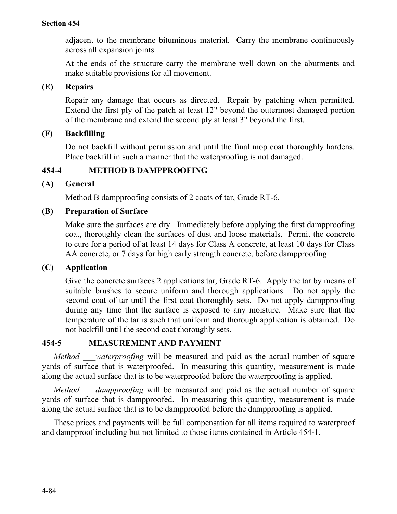adjacent to the membrane bituminous material. Carry the membrane continuously across all expansion joints.

At the ends of the structure carry the membrane well down on the abutments and make suitable provisions for all movement.

## **(E) Repairs**

Repair any damage that occurs as directed. Repair by patching when permitted. Extend the first ply of the patch at least 12" beyond the outermost damaged portion of the membrane and extend the second ply at least 3" beyond the first.

# **(F) Backfilling**

Do not backfill without permission and until the final mop coat thoroughly hardens. Place backfill in such a manner that the waterproofing is not damaged.

# **454-4 METHOD B DAMPPROOFING**

## **(A) General**

Method B dampproofing consists of 2 coats of tar, Grade RT-6.

## **(B) Preparation of Surface**

Make sure the surfaces are dry. Immediately before applying the first dampproofing coat, thoroughly clean the surfaces of dust and loose materials. Permit the concrete to cure for a period of at least 14 days for Class A concrete, at least 10 days for Class AA concrete, or 7 days for high early strength concrete, before dampproofing.

# **(C) Application**

Give the concrete surfaces 2 applications tar, Grade RT-6. Apply the tar by means of suitable brushes to secure uniform and thorough applications. Do not apply the second coat of tar until the first coat thoroughly sets. Do not apply dampproofing during any time that the surface is exposed to any moisture. Make sure that the temperature of the tar is such that uniform and thorough application is obtained. Do not backfill until the second coat thoroughly sets.

# **454-5 MEASUREMENT AND PAYMENT**

*Method waterproofing* will be measured and paid as the actual number of square yards of surface that is waterproofed. In measuring this quantity, measurement is made along the actual surface that is to be waterproofed before the waterproofing is applied.

*Method \_\_\_dampproofing* will be measured and paid as the actual number of square yards of surface that is dampproofed. In measuring this quantity, measurement is made along the actual surface that is to be dampproofed before the dampproofing is applied.

These prices and payments will be full compensation for all items required to waterproof and dampproof including but not limited to those items contained in Article 454-1.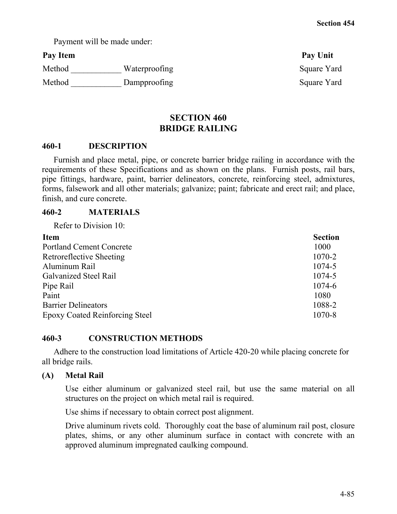Payment will be made under:

Method \_\_\_\_\_\_\_\_\_\_\_\_\_ Waterproofing Square Yard Method \_\_\_\_\_\_\_\_\_\_\_\_\_\_\_ Dampproofing Square Yard

Pay Item Pay Unit

# **SECTION 460 BRIDGE RAILING**

## **460-1 DESCRIPTION**

Furnish and place metal, pipe, or concrete barrier bridge railing in accordance with the requirements of these Specifications and as shown on the plans. Furnish posts, rail bars, pipe fittings, hardware, paint, barrier delineators, concrete, reinforcing steel, admixtures, forms, falsework and all other materials; galvanize; paint; fabricate and erect rail; and place, finish, and cure concrete.

## **460-2 MATERIALS**

Refer to Division 10:

| <b>Item</b>                           | <b>Section</b> |
|---------------------------------------|----------------|
| <b>Portland Cement Concrete</b>       | 1000           |
| <b>Retroreflective Sheeting</b>       | 1070-2         |
| Aluminum Rail                         | 1074-5         |
| Galvanized Steel Rail                 | 1074-5         |
| Pipe Rail                             | 1074-6         |
| Paint                                 | 1080           |
| <b>Barrier Delineators</b>            | 1088-2         |
| <b>Epoxy Coated Reinforcing Steel</b> | 1070-8         |

# **460-3 CONSTRUCTION METHODS**

Adhere to the construction load limitations of Article 420-20 while placing concrete for all bridge rails.

# **(A) Metal Rail**

Use either aluminum or galvanized steel rail, but use the same material on all structures on the project on which metal rail is required.

Use shims if necessary to obtain correct post alignment.

Drive aluminum rivets cold. Thoroughly coat the base of aluminum rail post, closure plates, shims, or any other aluminum surface in contact with concrete with an approved aluminum impregnated caulking compound.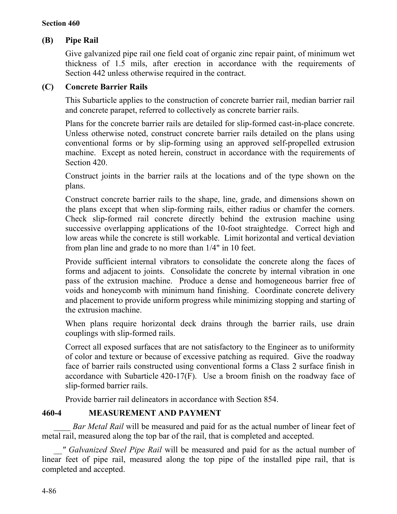# **(B) Pipe Rail**

Give galvanized pipe rail one field coat of organic zinc repair paint, of minimum wet thickness of 1.5 mils, after erection in accordance with the requirements of Section 442 unless otherwise required in the contract.

## **(C) Concrete Barrier Rails**

This Subarticle applies to the construction of concrete barrier rail, median barrier rail and concrete parapet, referred to collectively as concrete barrier rails.

Plans for the concrete barrier rails are detailed for slip-formed cast-in-place concrete. Unless otherwise noted, construct concrete barrier rails detailed on the plans using conventional forms or by slip-forming using an approved self-propelled extrusion machine. Except as noted herein, construct in accordance with the requirements of Section 420.

Construct joints in the barrier rails at the locations and of the type shown on the plans.

Construct concrete barrier rails to the shape, line, grade, and dimensions shown on the plans except that when slip-forming rails, either radius or chamfer the corners. Check slip-formed rail concrete directly behind the extrusion machine using successive overlapping applications of the 10-foot straightedge. Correct high and low areas while the concrete is still workable. Limit horizontal and vertical deviation from plan line and grade to no more than 1/4" in 10 feet.

Provide sufficient internal vibrators to consolidate the concrete along the faces of forms and adjacent to joints.Consolidate the concrete by internal vibration in one pass of the extrusion machine. Produce a dense and homogeneous barrier free of voids and honeycomb with minimum hand finishing. Coordinate concrete delivery and placement to provide uniform progress while minimizing stopping and starting of the extrusion machine.

When plans require horizontal deck drains through the barrier rails, use drain couplings with slip-formed rails.

Correct all exposed surfaces that are not satisfactory to the Engineer as to uniformity of color and texture or because of excessive patching as required.Give the roadway face of barrier rails constructed using conventional forms a Class 2 surface finish in accordance with Subarticle 420-17(F). Use a broom finish on the roadway face of slip-formed barrier rails.

Provide barrier rail delineators in accordance with Section 854.

# **460-4 MEASUREMENT AND PAYMENT**

*Bar Metal Rail* will be measured and paid for as the actual number of linear feet of metal rail, measured along the top bar of the rail, that is completed and accepted.

*\_\_" Galvanized Steel Pipe Rail* will be measured and paid for as the actual number of linear feet of pipe rail, measured along the top pipe of the installed pipe rail, that is completed and accepted.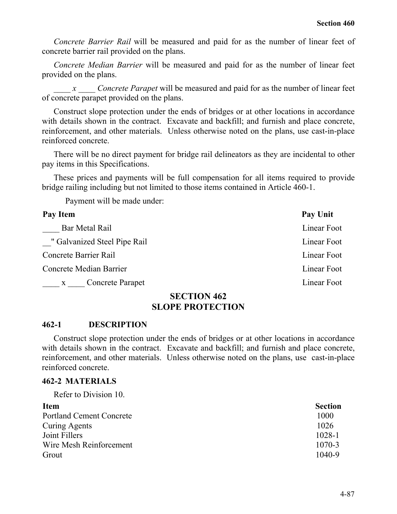*Concrete Barrier Rail* will be measured and paid for as the number of linear feet of concrete barrier rail provided on the plans.

*Concrete Median Barrier* will be measured and paid for as the number of linear feet provided on the plans.

*\_\_\_\_ x \_\_\_\_ Concrete Parapet* will be measured and paid for as the number of linear feet of concrete parapet provided on the plans.

Construct slope protection under the ends of bridges or at other locations in accordance with details shown in the contract. Excavate and backfill; and furnish and place concrete, reinforcement, and other materials. Unless otherwise noted on the plans, use cast-in-place reinforced concrete.

There will be no direct payment for bridge rail delineators as they are incidental to other pay items in this Specifications.

These prices and payments will be full compensation for all items required to provide bridge railing including but not limited to those items contained in Article 460-1.

Payment will be made under:

| Pay Item                                | Pay Unit    |
|-----------------------------------------|-------------|
| Bar Metal Rail                          | Linear Foot |
| " Galvanized Steel Pipe Rail            | Linear Foot |
| Concrete Barrier Rail                   | Linear Foot |
| Concrete Median Barrier                 | Linear Foot |
| <b>Concrete Parapet</b><br>$\mathbf{X}$ | Linear Foot |

#### **SECTION 462 SLOPE PROTECTION**

#### **462-1 DESCRIPTION**

Construct slope protection under the ends of bridges or at other locations in accordance with details shown in the contract. Excavate and backfill; and furnish and place concrete, reinforcement, and other materials. Unless otherwise noted on the plans, use cast-in-place reinforced concrete.

#### **462-2 MATERIALS**

Refer to Division 10.

| <b>Item</b>                     | <b>Section</b> |
|---------------------------------|----------------|
| <b>Portland Cement Concrete</b> | 1000           |
| Curing Agents                   | 1026           |
| Joint Fillers                   | $1028 - 1$     |
| Wire Mesh Reinforcement         | $1070 - 3$     |
| Grout                           | $1040 - 9$     |